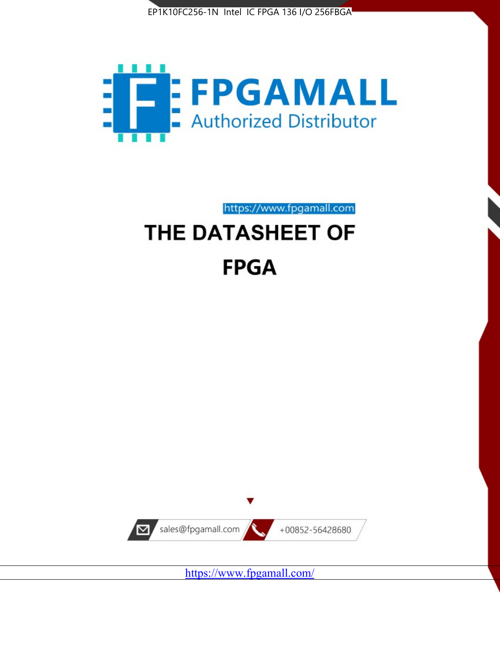



https://www.fpgamall.com THE DATASHEET OF

# **FPGA**



<https://www.fpgamall.com/>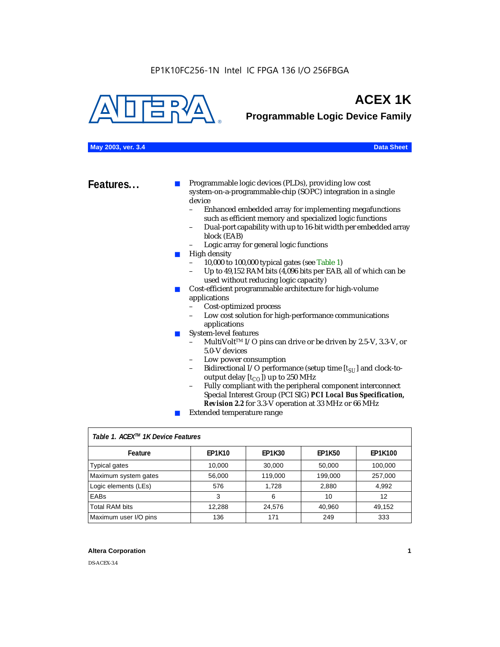

# **ACEX 1K**

**Programmable Logic Device Family**

### **May 2003, ver. 3.4 Data Sheet**

**Features...** ■ Programmable logic devices (PLDs), providing low cost system-on-a-programmable-chip (SOPC) integration in a single device

- Enhanced embedded array for implementing megafunctions such as efficient memory and specialized logic functions
- Dual-port capability with up to 16-bit width per embedded array block (EAB)
- Logic array for general logic functions
- High density
	- 10,000 to 100,000 typical gates (see Table 1)
	- Up to 49,152 RAM bits (4,096 bits per EAB, all of which can be used without reducing logic capacity)
- Cost-efficient programmable architecture for high-volume applications
	- Cost-optimized process
	- Low cost solution for high-performance communications applications
- System-level features
	- MultiVolt<sup>™</sup> I/O pins can drive or be driven by 2.5-V, 3.3-V, or 5.0-V devices
	- Low power consumption
	- Bidirectional I/O performance (setup time [ $t_{SU}$ ] and clock-tooutput delay  $[t_{CO}]$ ) up to 250 MHz
	- Fully compliant with the peripheral component interconnect Special Interest Group (PCI SIG) *PCI Local Bus Specification, Revision 2.2* for 3.3-V operation at 33 MHz or 66 MHz
	- Extended temperature range

| Table 1. ACEX™ 1K Device Features |               |               |               |                |  |  |  |
|-----------------------------------|---------------|---------------|---------------|----------------|--|--|--|
| Feature                           | <b>EP1K10</b> | <b>EP1K30</b> | <b>EP1K50</b> | <b>EP1K100</b> |  |  |  |
| <b>Typical gates</b>              | 10,000        | 30,000        | 50,000        | 100,000        |  |  |  |
| Maximum system gates              | 56,000        | 119,000       | 199,000       | 257,000        |  |  |  |
| Logic elements (LEs)              | 576           | 1.728         | 2,880         | 4,992          |  |  |  |
| <b>EABs</b>                       | 3             | 6             | 10            | 12             |  |  |  |
| <b>Total RAM bits</b>             | 12,288        | 24,576        | 40,960        | 49,152         |  |  |  |
| Maximum user I/O pins             | 136           | 171           | 249           | 333            |  |  |  |

### **Altera Corporation 1**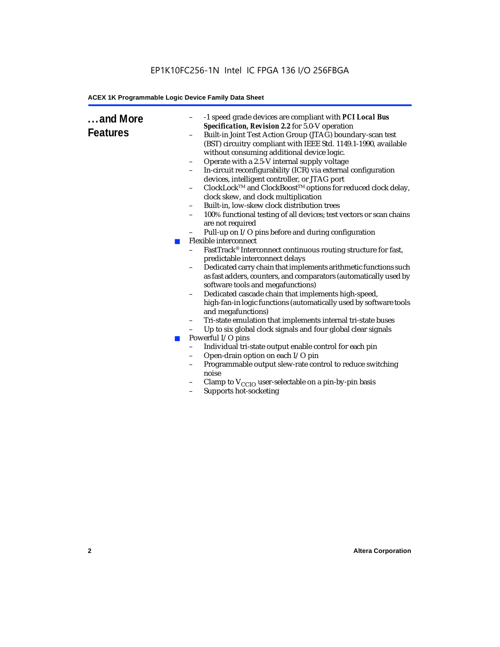| and More<br><b>Features</b> | ×<br><b>COL</b> | -1 speed grade devices are compliant with PCI Local Bus<br>Specification, Revision 2.2 for 5.0-V operation<br>Built-in Joint Test Action Group (JTAG) boundary-scan test<br>$\qquad \qquad -$<br>(BST) circuitry compliant with IEEE Std. 1149.1-1990, available<br>without consuming additional device logic.<br>Operate with a 2.5-V internal supply voltage<br>$\qquad \qquad -$<br>In-circuit reconfigurability (ICR) via external configuration<br>$\qquad \qquad -$<br>devices, intelligent controller, or JTAG port<br>ClockLock™ and ClockBoost™ options for reduced clock delay,<br>clock skew, and clock multiplication<br>Built-in, low-skew clock distribution trees<br>-<br>100% functional testing of all devices; test vectors or scan chains<br>$\qquad \qquad -$<br>are not required<br>Pull-up on I/O pins before and during configuration<br><b>Flexible interconnect</b><br>FastTrack® Interconnect continuous routing structure for fast,<br>$\overline{\phantom{0}}$<br>predictable interconnect delays<br>Dedicated carry chain that implements arithmetic functions such<br>$\qquad \qquad -$<br>as fast adders, counters, and comparators (automatically used by<br>software tools and megafunctions)<br>Dedicated cascade chain that implements high-speed,<br>$\qquad \qquad -$<br>high-fan-in logic functions (automatically used by software tools<br>and megafunctions)<br>Tri-state emulation that implements internal tri-state buses<br>$\qquad \qquad -$<br>Up to six global clock signals and four global clear signals<br>Powerful I/O pins<br>Individual tri-state output enable control for each pin<br>$\qquad \qquad -$<br>Open-drain option on each I/O pin<br>Programmable output slew-rate control to reduce switching<br>$\qquad \qquad -$<br>noise<br>Clamp to $V_{\text{CCIO}}$ user-selectable on a pin-by-pin basis<br>Supports hot-socketing |
|-----------------------------|-----------------|-----------------------------------------------------------------------------------------------------------------------------------------------------------------------------------------------------------------------------------------------------------------------------------------------------------------------------------------------------------------------------------------------------------------------------------------------------------------------------------------------------------------------------------------------------------------------------------------------------------------------------------------------------------------------------------------------------------------------------------------------------------------------------------------------------------------------------------------------------------------------------------------------------------------------------------------------------------------------------------------------------------------------------------------------------------------------------------------------------------------------------------------------------------------------------------------------------------------------------------------------------------------------------------------------------------------------------------------------------------------------------------------------------------------------------------------------------------------------------------------------------------------------------------------------------------------------------------------------------------------------------------------------------------------------------------------------------------------------------------------------------------------------------------------------------------------------------------------------------------------------------------------------|
|                             |                 |                                                                                                                                                                                                                                                                                                                                                                                                                                                                                                                                                                                                                                                                                                                                                                                                                                                                                                                                                                                                                                                                                                                                                                                                                                                                                                                                                                                                                                                                                                                                                                                                                                                                                                                                                                                                                                                                                               |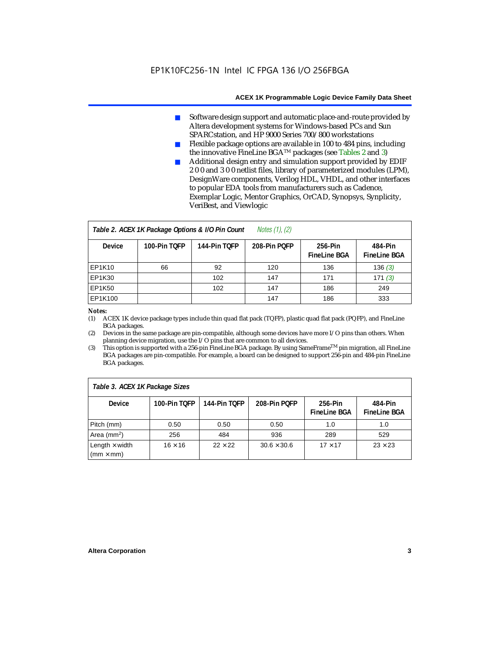- Software design support and automatic place-and-route provided by Altera development systems for Windows-based PCs and Sun SPARCstation, and HP 9000 Series 700/800 workstations
- Flexible package options are available in 100 to 484 pins, including the innovative FineLine BGATM packages (see Tables 2 and 3)
- Additional design entry and simulation support provided by EDIF 2 0 0 and 3 0 0 netlist files, library of parameterized modules (LPM), DesignWare components, Verilog HDL, VHDL, and other interfaces to popular EDA tools from manufacturers such as Cadence, Exemplar Logic, Mentor Graphics, OrCAD, Synopsys, Synplicity, VeriBest, and Viewlogic

| <i>Notes <math>(1)</math>, <math>(2)</math></i><br>Table 2. ACEX 1K Package Options & I/O Pin Count |              |              |              |                                |                                |  |  |
|-----------------------------------------------------------------------------------------------------|--------------|--------------|--------------|--------------------------------|--------------------------------|--|--|
| <b>Device</b>                                                                                       | 100-Pin TOFP | 144-Pin TOFP | 208-Pin POFP | 256-Pin<br><b>FineLine BGA</b> | 484-Pin<br><b>FineLine BGA</b> |  |  |
| EP1K10                                                                                              | 66           | 92           | 120          | 136                            | 136(3)                         |  |  |
| <b>EP1K30</b>                                                                                       |              | 102          | 147          | 171                            | 171(3)                         |  |  |
| <b>EP1K50</b>                                                                                       |              | 102          | 147          | 186                            | 249                            |  |  |
| EP1K100                                                                                             |              |              | 147          | 186                            | 333                            |  |  |

### *Notes:*

(1) ACEX 1K device package types include thin quad flat pack (TQFP), plastic quad flat pack (PQFP), and FineLine BGA packages.

(2) Devices in the same package are pin-compatible, although some devices have more I/O pins than others. When planning device migration, use the I/O pins that are common to all devices.

(3) This option is supported with a 256-pin FineLine BGA package. By using SameFrameTM pin migration, all FineLine BGA packages are pin-compatible. For example, a board can be designed to support 256-pin and 484-pin FineLine BGA packages.

| Table 3. ACEX 1K Package Sizes                           |                |                |                    |                                |                                |  |
|----------------------------------------------------------|----------------|----------------|--------------------|--------------------------------|--------------------------------|--|
| <b>Device</b>                                            | 100-Pin TOFP   | 144-Pin TOFP   | 208-Pin POFP       | 256-Pin<br><b>FineLine BGA</b> | 484-Pin<br><b>FineLine BGA</b> |  |
| Pitch (mm)                                               | 0.50           | 0.50           | 0.50               | 1.0                            | 1.0                            |  |
| Area ( $mm2$ )                                           | 256            | 484            | 936                | 289                            | 529                            |  |
| Length $\times$ width<br>$\mathsf{mmm}\times\mathsf{mm}$ | $16 \times 16$ | $22 \times 22$ | $30.6 \times 30.6$ | $17 \times 17$                 | $23 \times 23$                 |  |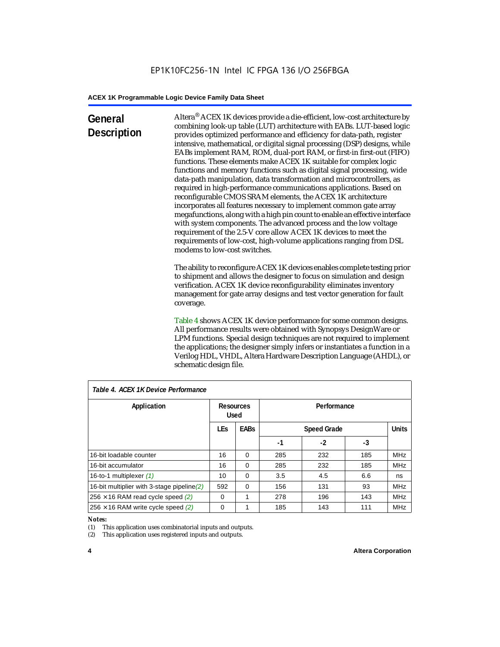### **General Description**

Altera® ACEX 1K devices provide a die-efficient, low-cost architecture by combining look-up table (LUT) architecture with EABs. LUT-based logic provides optimized performance and efficiency for data-path, register intensive, mathematical, or digital signal processing (DSP) designs, while EABs implement RAM, ROM, dual-port RAM, or first-in first-out (FIFO) functions. These elements make ACEX 1K suitable for complex logic functions and memory functions such as digital signal processing, wide data-path manipulation, data transformation and microcontrollers, as required in high-performance communications applications. Based on reconfigurable CMOS SRAM elements, the ACEX 1K architecture incorporates all features necessary to implement common gate array megafunctions, along with a high pin count to enable an effective interface with system components. The advanced process and the low voltage requirement of the 2.5-V core allow ACEX 1K devices to meet the requirements of low-cost, high-volume applications ranging from DSL modems to low-cost switches.

The ability to reconfigure ACEX 1K devices enables complete testing prior to shipment and allows the designer to focus on simulation and design verification. ACEX 1K device reconfigurability eliminates inventory management for gate array designs and test vector generation for fault coverage.

Table 4 shows ACEX 1K device performance for some common designs. All performance results were obtained with Synopsys DesignWare or LPM functions. Special design techniques are not required to implement the applications; the designer simply infers or instantiates a function in a Verilog HDL, VHDL, Altera Hardware Description Language (AHDL), or schematic design file.

| Table 4. ACEX 1K Device Performance         |                                                 |          |             |              |     |            |  |
|---------------------------------------------|-------------------------------------------------|----------|-------------|--------------|-----|------------|--|
| Application                                 | <b>Resources</b><br><b>Used</b>                 |          | Performance |              |     |            |  |
|                                             | <b>LEs</b><br><b>EABs</b><br><b>Speed Grade</b> |          |             | <b>Units</b> |     |            |  |
|                                             |                                                 |          | -1          | -2           | -3  |            |  |
| 16-bit loadable counter                     | 16                                              | $\Omega$ | 285         | 232          | 185 | <b>MHz</b> |  |
| 16-bit accumulator                          | 16                                              | $\Omega$ | 285         | 232          | 185 | <b>MHz</b> |  |
| 16-to-1 multiplexer (1)                     | 10                                              | $\Omega$ | 3.5         | 4.5          | 6.6 | ns         |  |
| 16-bit multiplier with 3-stage pipeline (2) | 592                                             | $\Omega$ | 156         | 131          | 93  | <b>MHz</b> |  |
| $256 \times 16$ RAM read cycle speed (2)    | $\Omega$                                        | 1        | 278         | 196          | 143 | <b>MHz</b> |  |
| $256 \times 16$ RAM write cycle speed (2)   | 0                                               |          | 185         | 143          | 111 | <b>MHz</b> |  |

### *Table 4. ACEX 1K Device Performance*

#### *Notes:*

(1) This application uses combinatorial inputs and outputs.

(2) This application uses registered inputs and outputs.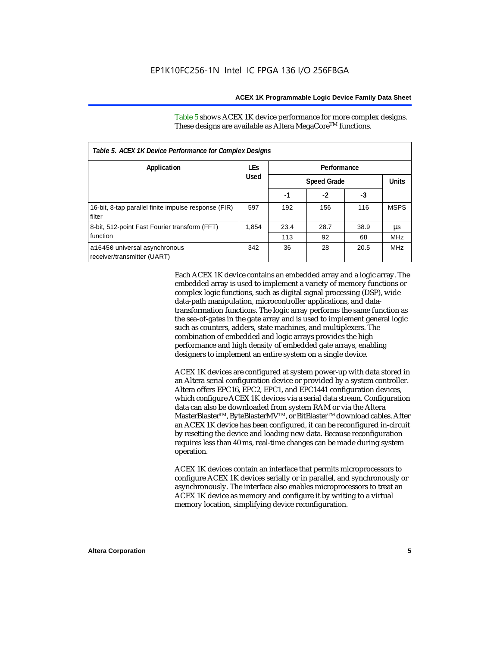Table 5 shows ACEX 1K device performance for more complex designs. These designs are available as Altera MegaCore<sup>TM</sup> functions.

| Table 5. ACEX 1K Device Performance for Complex Designs        |            |             |                    |      |              |  |
|----------------------------------------------------------------|------------|-------------|--------------------|------|--------------|--|
| Application                                                    | <b>LEs</b> | Performance |                    |      |              |  |
|                                                                | Used       |             | <b>Speed Grade</b> |      | <b>Units</b> |  |
|                                                                |            | -1          | $-2$               | -3   |              |  |
| 16-bit, 8-tap parallel finite impulse response (FIR)<br>filter | 597        | 192         | 156                | 116  | <b>MSPS</b>  |  |
| 8-bit, 512-point Fast Fourier transform (FFT)                  | 1.854      | 23.4        | 28.7               | 38.9 | μs           |  |
| function                                                       |            | 113         | 92                 | 68   | <b>MHz</b>   |  |
| a16450 universal asynchronous<br>receiver/transmitter (UART)   | 342        | 36          | 28                 | 20.5 | <b>MHz</b>   |  |

Each ACEX 1K device contains an embedded array and a logic array. The embedded array is used to implement a variety of memory functions or complex logic functions, such as digital signal processing (DSP), wide data-path manipulation, microcontroller applications, and datatransformation functions. The logic array performs the same function as the sea-of-gates in the gate array and is used to implement general logic such as counters, adders, state machines, and multiplexers. The combination of embedded and logic arrays provides the high performance and high density of embedded gate arrays, enabling designers to implement an entire system on a single device.

ACEX 1K devices are configured at system power-up with data stored in an Altera serial configuration device or provided by a system controller. Altera offers EPC16, EPC2, EPC1, and EPC1441 configuration devices, which configure ACEX 1K devices via a serial data stream. Configuration data can also be downloaded from system RAM or via the Altera MasterBlaster™, ByteBlasterMV™, or BitBlaster™ download cables. After an ACEX 1K device has been configured, it can be reconfigured in-circuit by resetting the device and loading new data. Because reconfiguration requires less than 40 ms, real-time changes can be made during system operation.

ACEX 1K devices contain an interface that permits microprocessors to configure ACEX 1K devices serially or in parallel, and synchronously or asynchronously. The interface also enables microprocessors to treat an ACEX 1K device as memory and configure it by writing to a virtual memory location, simplifying device reconfiguration.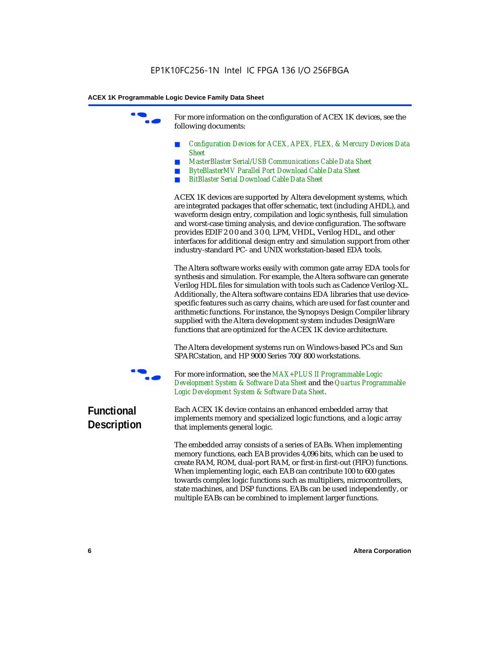For more information on the configuration of ACEX 1K devices, see the following documents:

- *Configuration Devices for ACEX, APEX, FLEX, & Mercury Devices Data Sheet*
- *MasterBlaster Serial/USB Communications Cable Data Sheet*
- *ByteBlasterMV Parallel Port Download Cable Data Sheet*
- *BitBlaster Serial Download Cable Data Sheet*

ACEX 1K devices are supported by Altera development systems, which are integrated packages that offer schematic, text (including AHDL), and waveform design entry, compilation and logic synthesis, full simulation and worst-case timing analysis, and device configuration. The software provides EDIF 2 0 0 and 3 0 0, LPM, VHDL, Verilog HDL, and other interfaces for additional design entry and simulation support from other industry-standard PC- and UNIX workstation-based EDA tools.

The Altera software works easily with common gate array EDA tools for synthesis and simulation. For example, the Altera software can generate Verilog HDL files for simulation with tools such as Cadence Verilog-XL. Additionally, the Altera software contains EDA libraries that use devicespecific features such as carry chains, which are used for fast counter and arithmetic functions. For instance, the Synopsys Design Compiler library supplied with the Altera development system includes DesignWare functions that are optimized for the ACEX 1K device architecture.

The Altera development systems run on Windows-based PCs and Sun SPARCstation, and HP 9000 Series 700/800 workstations.



For more information, see the *MAX+PLUS II Programmable Logic Development System & Software Data Sheet* and the *Quartus Programmable Logic Development System & Software Data Sheet*.

### **Functional Description**

Each ACEX 1K device contains an enhanced embedded array that implements memory and specialized logic functions, and a logic array that implements general logic.

The embedded array consists of a series of EABs. When implementing memory functions, each EAB provides 4,096 bits, which can be used to create RAM, ROM, dual-port RAM, or first-in first-out (FIFO) functions. When implementing logic, each EAB can contribute 100 to 600 gates towards complex logic functions such as multipliers, microcontrollers, state machines, and DSP functions. EABs can be used independently, or multiple EABs can be combined to implement larger functions.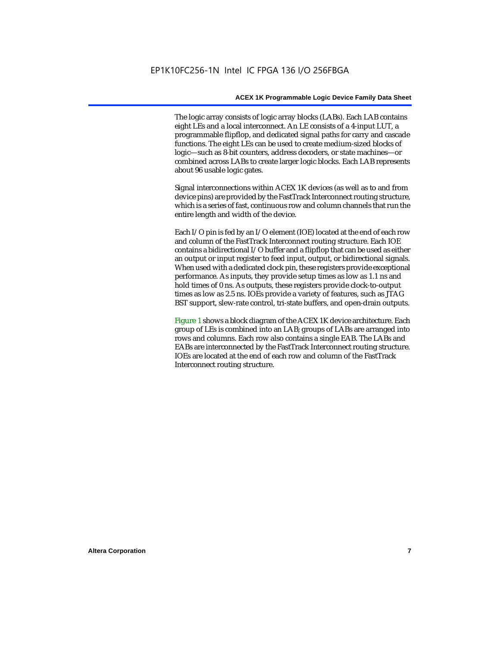The logic array consists of logic array blocks (LABs). Each LAB contains eight LEs and a local interconnect. An LE consists of a 4-input LUT, a programmable flipflop, and dedicated signal paths for carry and cascade functions. The eight LEs can be used to create medium-sized blocks of logic—such as 8-bit counters, address decoders, or state machines—or combined across LABs to create larger logic blocks. Each LAB represents about 96 usable logic gates.

Signal interconnections within ACEX 1K devices (as well as to and from device pins) are provided by the FastTrack Interconnect routing structure, which is a series of fast, continuous row and column channels that run the entire length and width of the device.

Each I/O pin is fed by an I/O element (IOE) located at the end of each row and column of the FastTrack Interconnect routing structure. Each IOE contains a bidirectional I/O buffer and a flipflop that can be used as either an output or input register to feed input, output, or bidirectional signals. When used with a dedicated clock pin, these registers provide exceptional performance. As inputs, they provide setup times as low as 1.1 ns and hold times of 0 ns. As outputs, these registers provide clock-to-output times as low as 2.5 ns. IOEs provide a variety of features, such as JTAG BST support, slew-rate control, tri-state buffers, and open-drain outputs.

Figure 1 shows a block diagram of the ACEX 1K device architecture. Each group of LEs is combined into an LAB; groups of LABs are arranged into rows and columns. Each row also contains a single EAB. The LABs and EABs are interconnected by the FastTrack Interconnect routing structure. IOEs are located at the end of each row and column of the FastTrack Interconnect routing structure.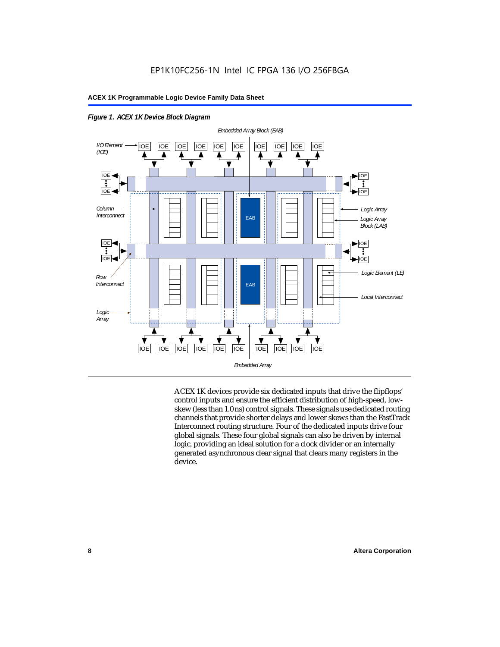

*Figure 1. ACEX 1K Device Block Diagram*

ACEX 1K devices provide six dedicated inputs that drive the flipflops' control inputs and ensure the efficient distribution of high-speed, lowskew (less than 1.0 ns) control signals. These signals use dedicated routing channels that provide shorter delays and lower skews than the FastTrack Interconnect routing structure. Four of the dedicated inputs drive four global signals. These four global signals can also be driven by internal logic, providing an ideal solution for a clock divider or an internally generated asynchronous clear signal that clears many registers in the device.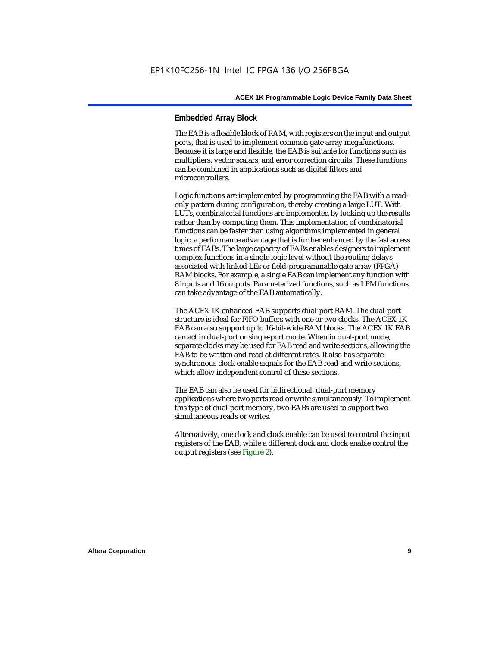### **Embedded Array Block**

The EAB is a flexible block of RAM, with registers on the input and output ports, that is used to implement common gate array megafunctions. Because it is large and flexible, the EAB is suitable for functions such as multipliers, vector scalars, and error correction circuits. These functions can be combined in applications such as digital filters and microcontrollers.

Logic functions are implemented by programming the EAB with a readonly pattern during configuration, thereby creating a large LUT. With LUTs, combinatorial functions are implemented by looking up the results rather than by computing them. This implementation of combinatorial functions can be faster than using algorithms implemented in general logic, a performance advantage that is further enhanced by the fast access times of EABs. The large capacity of EABs enables designers to implement complex functions in a single logic level without the routing delays associated with linked LEs or field-programmable gate array (FPGA) RAM blocks. For example, a single EAB can implement any function with 8 inputs and 16 outputs. Parameterized functions, such as LPM functions, can take advantage of the EAB automatically.

The ACEX 1K enhanced EAB supports dual-port RAM. The dual-port structure is ideal for FIFO buffers with one or two clocks. The ACEX 1K EAB can also support up to 16-bit-wide RAM blocks. The ACEX 1K EAB can act in dual-port or single-port mode. When in dual-port mode, separate clocks may be used for EAB read and write sections, allowing the EAB to be written and read at different rates. It also has separate synchronous clock enable signals for the EAB read and write sections, which allow independent control of these sections.

The EAB can also be used for bidirectional, dual-port memory applications where two ports read or write simultaneously. To implement this type of dual-port memory, two EABs are used to support two simultaneous reads or writes.

Alternatively, one clock and clock enable can be used to control the input registers of the EAB, while a different clock and clock enable control the output registers (see Figure 2).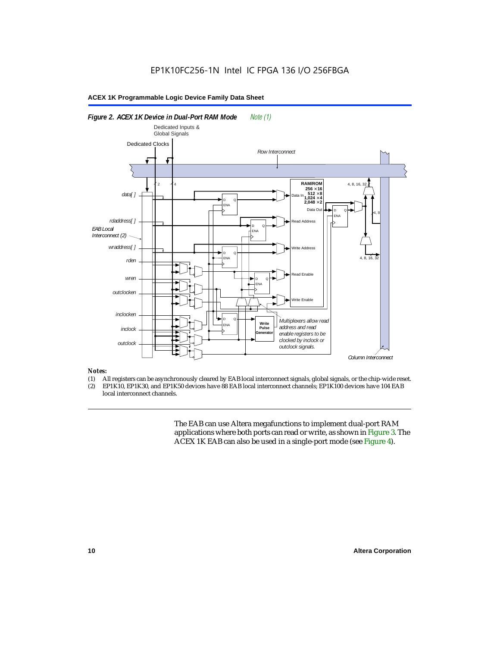

#### *Notes:*

- (1) All registers can be asynchronously cleared by EAB local interconnect signals, global signals, or the chip-wide reset.<br>(2) EP1K10. EP1K30. and EP1K50 devices have 88 EAB local interconnect channels: EP1K100 devices hav
- EP1K10, EP1K30, and EP1K50 devices have 88 EAB local interconnect channels; EP1K100 devices have 104 EAB local interconnect channels.

The EAB can use Altera megafunctions to implement dual-port RAM applications where both ports can read or write, as shown in Figure 3. The ACEX 1K EAB can also be used in a single-port mode (see Figure 4).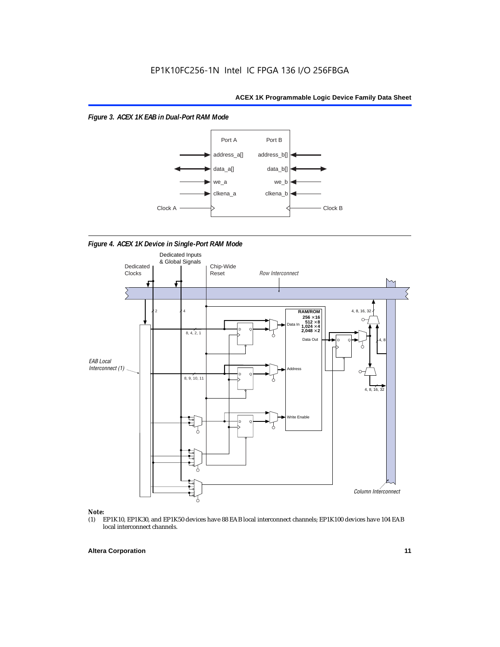*Figure 3. ACEX 1K EAB in Dual-Port RAM Mode*



*Figure 4. ACEX 1K Device in Single-Port RAM Mode* 



## *Note:*<br>(1) **H**

EP1K10, EP1K30, and EP1K50 devices have 88 EAB local interconnect channels; EP1K100 devices have 104 EAB local interconnect channels.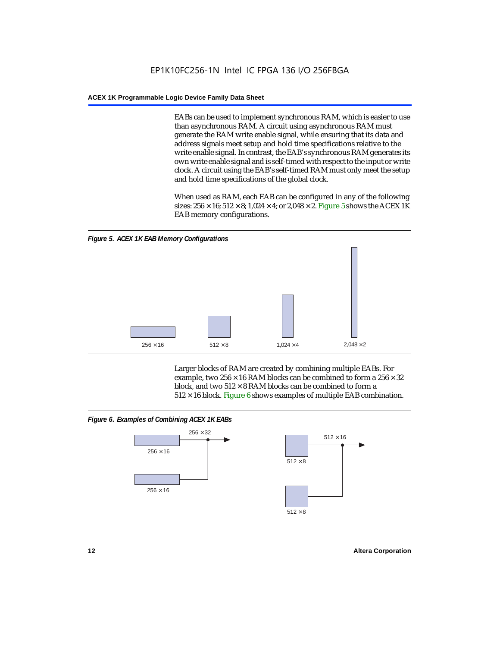EABs can be used to implement synchronous RAM, which is easier to use than asynchronous RAM. A circuit using asynchronous RAM must generate the RAM write enable signal, while ensuring that its data and address signals meet setup and hold time specifications relative to the write enable signal. In contrast, the EAB's synchronous RAM generates its own write enable signal and is self-timed with respect to the input or write clock. A circuit using the EAB's self-timed RAM must only meet the setup and hold time specifications of the global clock.

When used as RAM, each EAB can be configured in any of the following sizes:  $256 \times 16$ ;  $512 \times 8$ ;  $1,024 \times 4$ ; or  $2,048 \times 2$ . Figure 5 shows the ACEX 1K EAB memory configurations.



Larger blocks of RAM are created by combining multiple EABs. For example, two  $256 \times 16$  RAM blocks can be combined to form a  $256 \times 32$ block, and two  $512 \times 8$  RAM blocks can be combined to form a  $512 \times 16$  block. Figure 6 shows examples of multiple EAB combination.

### *Figure 6. Examples of Combining ACEX 1K EABs*



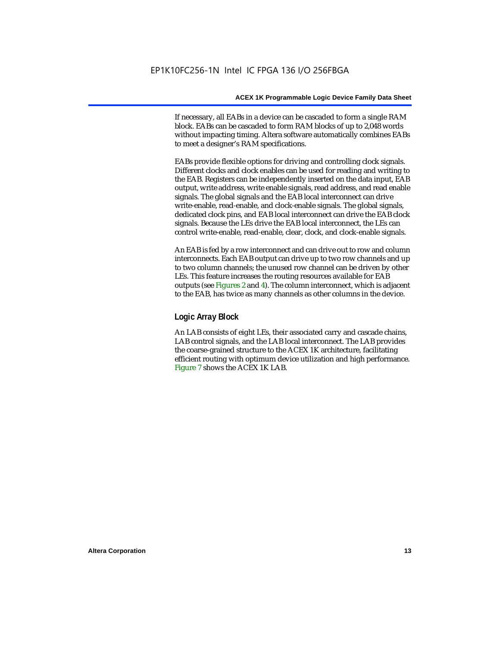If necessary, all EABs in a device can be cascaded to form a single RAM block. EABs can be cascaded to form RAM blocks of up to 2,048 words without impacting timing. Altera software automatically combines EABs to meet a designer's RAM specifications.

EABs provide flexible options for driving and controlling clock signals. Different clocks and clock enables can be used for reading and writing to the EAB. Registers can be independently inserted on the data input, EAB output, write address, write enable signals, read address, and read enable signals. The global signals and the EAB local interconnect can drive write-enable, read-enable, and clock-enable signals. The global signals, dedicated clock pins, and EAB local interconnect can drive the EAB clock signals. Because the LEs drive the EAB local interconnect, the LEs can control write-enable, read-enable, clear, clock, and clock-enable signals.

An EAB is fed by a row interconnect and can drive out to row and column interconnects. Each EAB output can drive up to two row channels and up to two column channels; the unused row channel can be driven by other LEs. This feature increases the routing resources available for EAB outputs (see Figures 2 and 4). The column interconnect, which is adjacent to the EAB, has twice as many channels as other columns in the device.

### **Logic Array Block**

An LAB consists of eight LEs, their associated carry and cascade chains, LAB control signals, and the LAB local interconnect. The LAB provides the coarse-grained structure to the ACEX 1K architecture, facilitating efficient routing with optimum device utilization and high performance. Figure 7 shows the ACEX 1K LAB.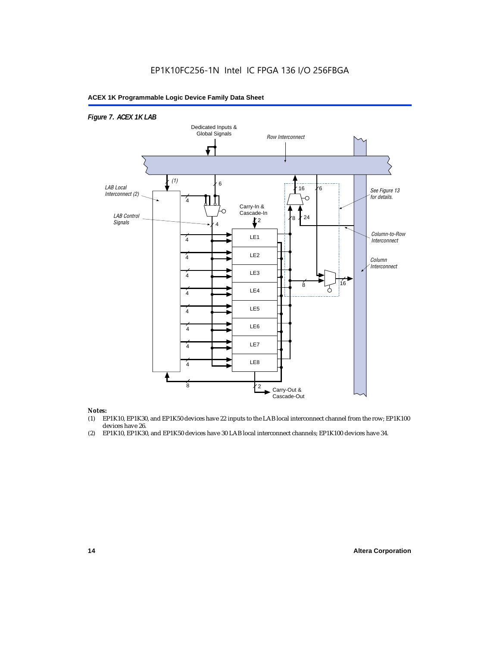

### *Notes:*

- (1) EP1K10, EP1K30, and EP1K50 devices have 22 inputs to the LAB local interconnect channel from the row; EP1K100 devices have 26.
- (2) EP1K10, EP1K30, and EP1K50 devices have 30 LAB local interconnect channels; EP1K100 devices have 34.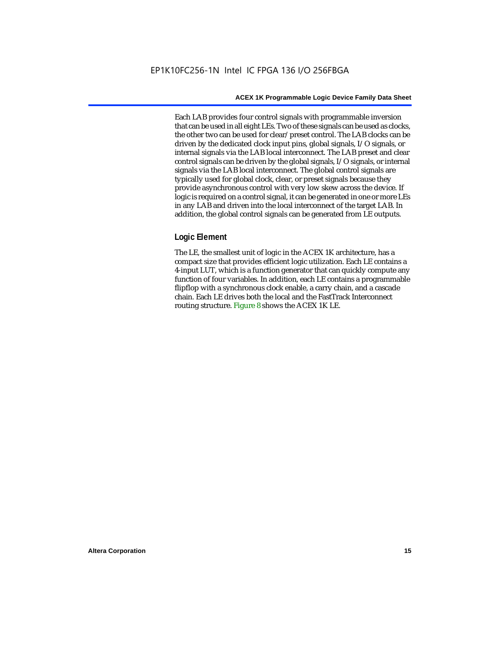Each LAB provides four control signals with programmable inversion that can be used in all eight LEs. Two of these signals can be used as clocks, the other two can be used for clear/preset control. The LAB clocks can be driven by the dedicated clock input pins, global signals, I/O signals, or internal signals via the LAB local interconnect. The LAB preset and clear control signals can be driven by the global signals, I/O signals, or internal signals via the LAB local interconnect. The global control signals are typically used for global clock, clear, or preset signals because they provide asynchronous control with very low skew across the device. If logic is required on a control signal, it can be generated in one or more LEs in any LAB and driven into the local interconnect of the target LAB. In addition, the global control signals can be generated from LE outputs.

### **Logic Element**

The LE, the smallest unit of logic in the ACEX 1K architecture, has a compact size that provides efficient logic utilization. Each LE contains a 4-input LUT, which is a function generator that can quickly compute any function of four variables. In addition, each LE contains a programmable flipflop with a synchronous clock enable, a carry chain, and a cascade chain. Each LE drives both the local and the FastTrack Interconnect routing structure. Figure 8 shows the ACEX 1K LE.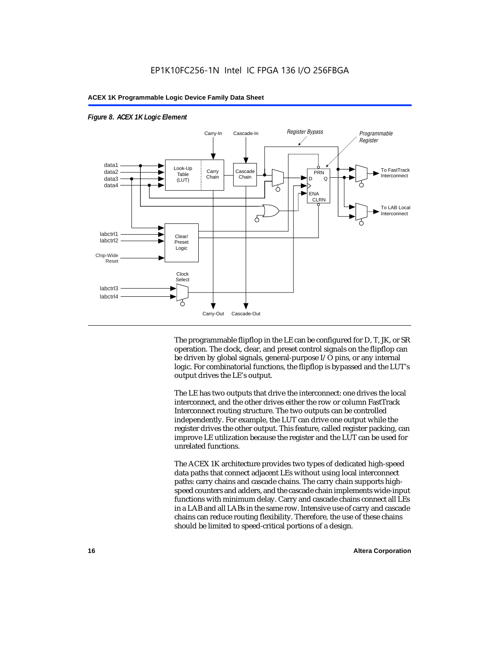

### *Figure 8. ACEX 1K Logic Element*

The programmable flipflop in the LE can be configured for D, T, JK, or SR operation. The clock, clear, and preset control signals on the flipflop can be driven by global signals, general-purpose I/O pins, or any internal logic. For combinatorial functions, the flipflop is bypassed and the LUT's output drives the LE's output.

The LE has two outputs that drive the interconnect: one drives the local interconnect, and the other drives either the row or column FastTrack Interconnect routing structure. The two outputs can be controlled independently. For example, the LUT can drive one output while the register drives the other output. This feature, called register packing, can improve LE utilization because the register and the LUT can be used for unrelated functions.

The ACEX 1K architecture provides two types of dedicated high-speed data paths that connect adjacent LEs without using local interconnect paths: carry chains and cascade chains. The carry chain supports highspeed counters and adders, and the cascade chain implements wide-input functions with minimum delay. Carry and cascade chains connect all LEs in a LAB and all LABs in the same row. Intensive use of carry and cascade chains can reduce routing flexibility. Therefore, the use of these chains should be limited to speed-critical portions of a design.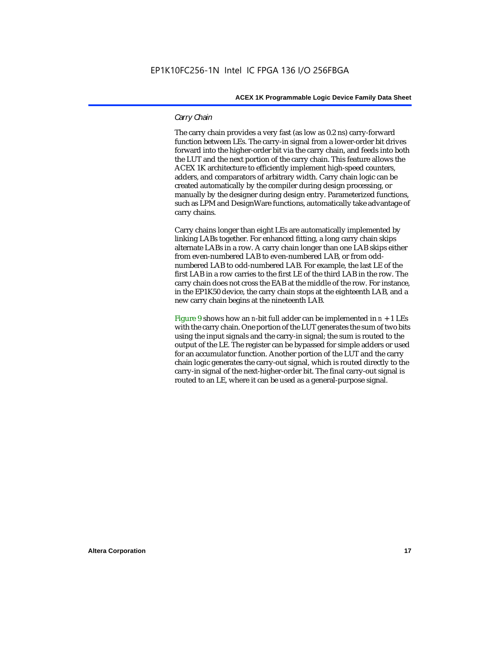### *Carry Chain*

The carry chain provides a very fast (as low as 0.2 ns) carry-forward function between LEs. The carry-in signal from a lower-order bit drives forward into the higher-order bit via the carry chain, and feeds into both the LUT and the next portion of the carry chain. This feature allows the ACEX 1K architecture to efficiently implement high-speed counters, adders, and comparators of arbitrary width. Carry chain logic can be created automatically by the compiler during design processing, or manually by the designer during design entry. Parameterized functions, such as LPM and DesignWare functions, automatically take advantage of carry chains.

Carry chains longer than eight LEs are automatically implemented by linking LABs together. For enhanced fitting, a long carry chain skips alternate LABs in a row. A carry chain longer than one LAB skips either from even-numbered LAB to even-numbered LAB, or from oddnumbered LAB to odd-numbered LAB. For example, the last LE of the first LAB in a row carries to the first LE of the third LAB in the row. The carry chain does not cross the EAB at the middle of the row. For instance, in the EP1K50 device, the carry chain stops at the eighteenth LAB, and a new carry chain begins at the nineteenth LAB.

Figure 9 shows how an *n*-bit full adder can be implemented in  $n + 1$  LEs with the carry chain. One portion of the LUT generates the sum of two bits using the input signals and the carry-in signal; the sum is routed to the output of the LE. The register can be bypassed for simple adders or used for an accumulator function. Another portion of the LUT and the carry chain logic generates the carry-out signal, which is routed directly to the carry-in signal of the next-higher-order bit. The final carry-out signal is routed to an LE, where it can be used as a general-purpose signal.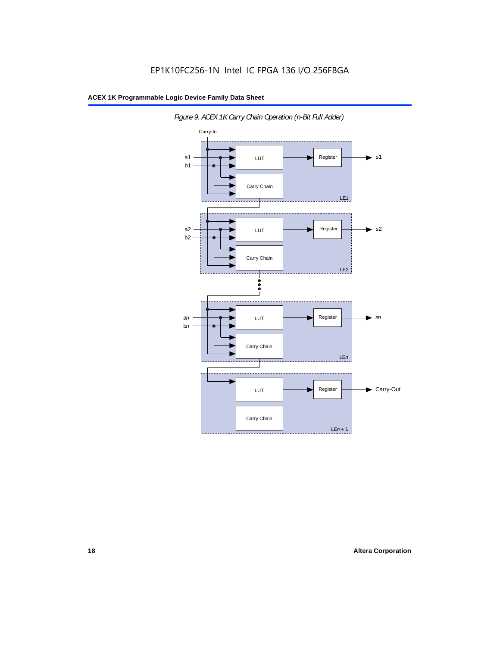

*Figure 9. ACEX 1K Carry Chain Operation (n-Bit Full Adder)*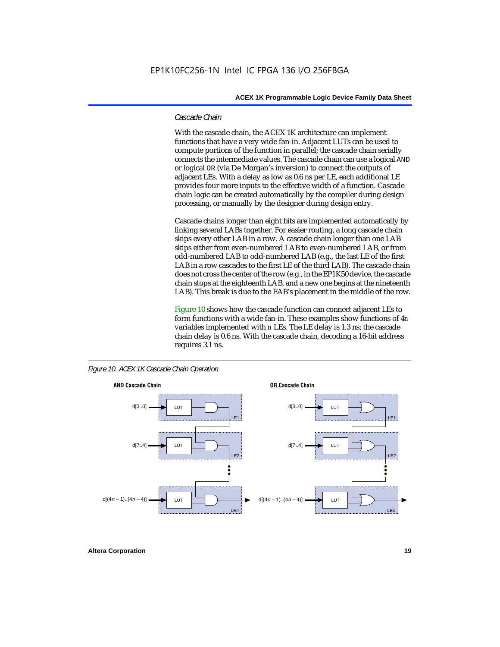### *Cascade Chain*

With the cascade chain, the ACEX 1K architecture can implement functions that have a very wide fan-in. Adjacent LUTs can be used to compute portions of the function in parallel; the cascade chain serially connects the intermediate values. The cascade chain can use a logical AND or logical OR (via De Morgan's inversion) to connect the outputs of adjacent LEs. With a delay as low as 0.6 ns per LE, each additional LE provides four more inputs to the effective width of a function. Cascade chain logic can be created automatically by the compiler during design processing, or manually by the designer during design entry.

Cascade chains longer than eight bits are implemented automatically by linking several LABs together. For easier routing, a long cascade chain skips every other LAB in a row. A cascade chain longer than one LAB skips either from even-numbered LAB to even-numbered LAB, or from odd-numbered LAB to odd-numbered LAB (e.g., the last LE of the first LAB in a row cascades to the first LE of the third LAB). The cascade chain does not cross the center of the row (e.g., in the EP1K50 device, the cascade chain stops at the eighteenth LAB, and a new one begins at the nineteenth LAB). This break is due to the EAB's placement in the middle of the row.

Figure 10 shows how the cascade function can connect adjacent LEs to form functions with a wide fan-in. These examples show functions of 4*n* variables implemented with *n* LEs. The LE delay is 1.3 ns; the cascade chain delay is 0.6 ns. With the cascade chain, decoding a 16-bit address requires 3.1 ns.



*Figure 10. ACEX 1K Cascade Chain Operation*

**Altera Corporation 19**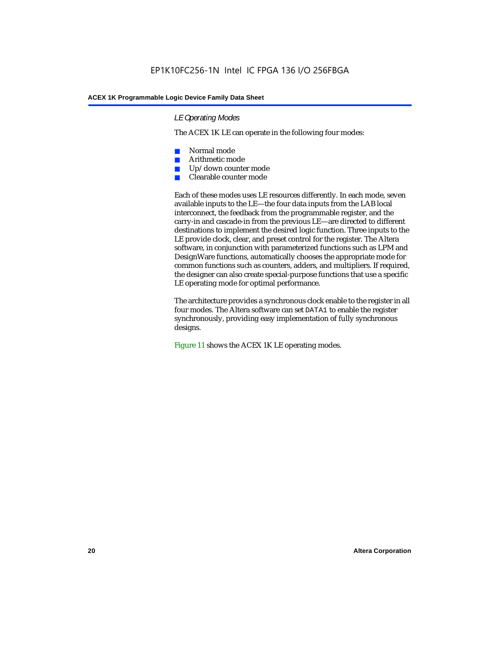### *LE Operating Modes*

The ACEX 1K LE can operate in the following four modes:

- Normal mode
- Arithmetic mode
- Up/down counter mode
- Clearable counter mode

Each of these modes uses LE resources differently. In each mode, seven available inputs to the LE—the four data inputs from the LAB local interconnect, the feedback from the programmable register, and the carry-in and cascade-in from the previous LE—are directed to different destinations to implement the desired logic function. Three inputs to the LE provide clock, clear, and preset control for the register. The Altera software, in conjunction with parameterized functions such as LPM and DesignWare functions, automatically chooses the appropriate mode for common functions such as counters, adders, and multipliers. If required, the designer can also create special-purpose functions that use a specific LE operating mode for optimal performance.

The architecture provides a synchronous clock enable to the register in all four modes. The Altera software can set DATA1 to enable the register synchronously, providing easy implementation of fully synchronous designs.

Figure 11 shows the ACEX 1K LE operating modes.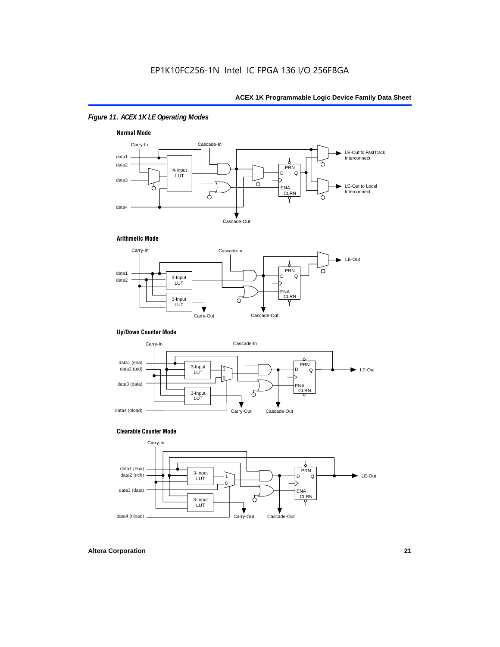### *Figure 11. ACEX 1K LE Operating Modes*



### **Arithmetic Mode**



### **Up/Down Counter Mode**



### **Clearable Counter Mode**

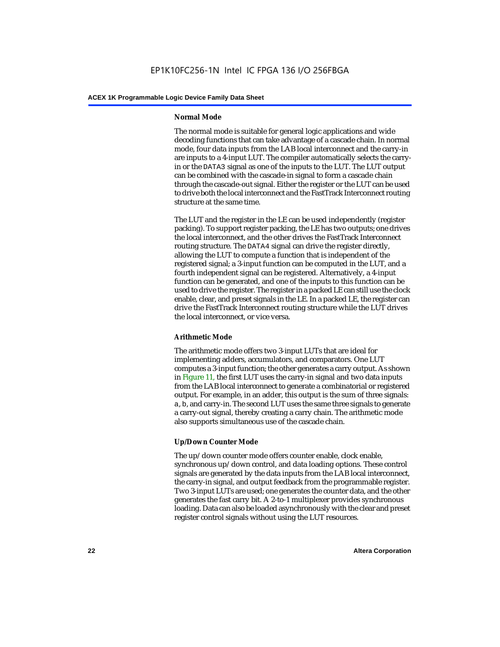### **Normal Mode**

The normal mode is suitable for general logic applications and wide decoding functions that can take advantage of a cascade chain. In normal mode, four data inputs from the LAB local interconnect and the carry-in are inputs to a 4-input LUT. The compiler automatically selects the carryin or the DATA3 signal as one of the inputs to the LUT. The LUT output can be combined with the cascade-in signal to form a cascade chain through the cascade-out signal. Either the register or the LUT can be used to drive both the local interconnect and the FastTrack Interconnect routing structure at the same time.

The LUT and the register in the LE can be used independently (register packing). To support register packing, the LE has two outputs; one drives the local interconnect, and the other drives the FastTrack Interconnect routing structure. The DATA4 signal can drive the register directly, allowing the LUT to compute a function that is independent of the registered signal; a 3-input function can be computed in the LUT, and a fourth independent signal can be registered. Alternatively, a 4-input function can be generated, and one of the inputs to this function can be used to drive the register. The register in a packed LE can still use the clock enable, clear, and preset signals in the LE. In a packed LE, the register can drive the FastTrack Interconnect routing structure while the LUT drives the local interconnect, or vice versa.

### **Arithmetic Mode**

The arithmetic mode offers two 3-input LUTs that are ideal for implementing adders, accumulators, and comparators. One LUT computes a 3-input function; the other generates a carry output. As shown in Figure 11, the first LUT uses the carry-in signal and two data inputs from the LAB local interconnect to generate a combinatorial or registered output. For example, in an adder, this output is the sum of three signals: a, b, and carry-in. The second LUT uses the same three signals to generate a carry-out signal, thereby creating a carry chain. The arithmetic mode also supports simultaneous use of the cascade chain.

### **Up/Down Counter Mode**

The up/down counter mode offers counter enable, clock enable, synchronous up/down control, and data loading options. These control signals are generated by the data inputs from the LAB local interconnect, the carry-in signal, and output feedback from the programmable register. Two 3-input LUTs are used; one generates the counter data, and the other generates the fast carry bit. A 2-to-1 multiplexer provides synchronous loading. Data can also be loaded asynchronously with the clear and preset register control signals without using the LUT resources.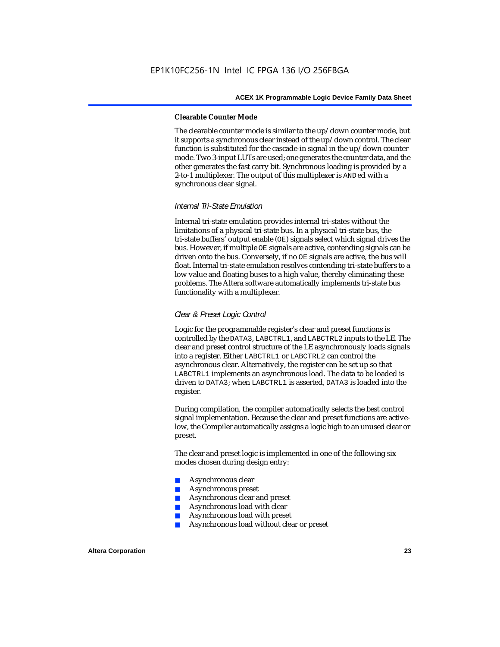#### **Clearable Counter Mode**

The clearable counter mode is similar to the up/down counter mode, but it supports a synchronous clear instead of the up/down control. The clear function is substituted for the cascade-in signal in the up/down counter mode. Two 3-input LUTs are used; one generates the counter data, and the other generates the fast carry bit. Synchronous loading is provided by a 2-to-1 multiplexer. The output of this multiplexer is ANDed with a synchronous clear signal.

### *Internal Tri-State Emulation*

Internal tri-state emulation provides internal tri-states without the limitations of a physical tri-state bus. In a physical tri-state bus, the tri-state buffers' output enable (OE) signals select which signal drives the bus. However, if multiple OE signals are active, contending signals can be driven onto the bus. Conversely, if no OE signals are active, the bus will float. Internal tri-state emulation resolves contending tri-state buffers to a low value and floating buses to a high value, thereby eliminating these problems. The Altera software automatically implements tri-state bus functionality with a multiplexer.

### *Clear & Preset Logic Control*

Logic for the programmable register's clear and preset functions is controlled by the DATA3, LABCTRL1, and LABCTRL2 inputs to the LE. The clear and preset control structure of the LE asynchronously loads signals into a register. Either LABCTRL1 or LABCTRL2 can control the asynchronous clear. Alternatively, the register can be set up so that LABCTRL1 implements an asynchronous load. The data to be loaded is driven to DATA3; when LABCTRL1 is asserted, DATA3 is loaded into the register.

During compilation, the compiler automatically selects the best control signal implementation. Because the clear and preset functions are activelow, the Compiler automatically assigns a logic high to an unused clear or preset.

The clear and preset logic is implemented in one of the following six modes chosen during design entry:

- Asynchronous clear
- Asynchronous preset
- Asynchronous clear and preset
- Asynchronous load with clear
- Asynchronous load with preset
- Asynchronous load without clear or preset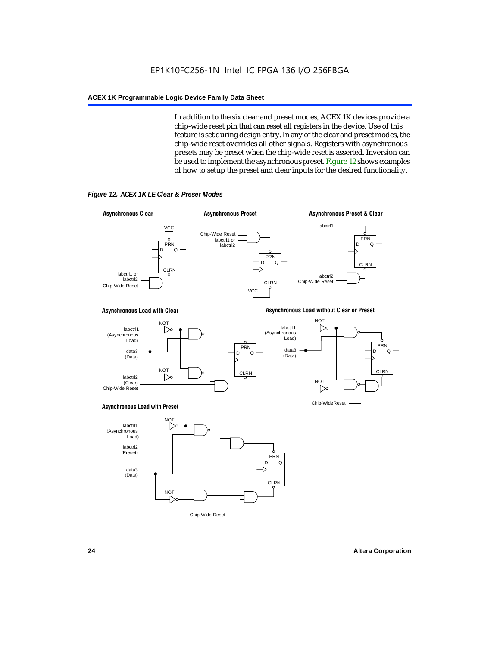In addition to the six clear and preset modes, ACEX 1K devices provide a chip-wide reset pin that can reset all registers in the device. Use of this feature is set during design entry. In any of the clear and preset modes, the chip-wide reset overrides all other signals. Registers with asynchronous presets may be preset when the chip-wide reset is asserted. Inversion can be used to implement the asynchronous preset. Figure 12 shows examples of how to setup the preset and clear inputs for the desired functionality.



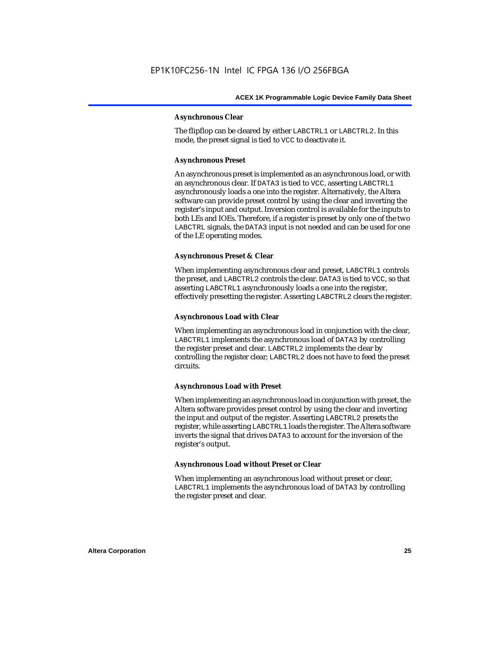### **Asynchronous Clear**

The flipflop can be cleared by either LABCTRL1 or LABCTRL2. In this mode, the preset signal is tied to VCC to deactivate it.

### **Asynchronous Preset**

An asynchronous preset is implemented as an asynchronous load, or with an asynchronous clear. If DATA3 is tied to VCC, asserting LABCTRL1 asynchronously loads a one into the register. Alternatively, the Altera software can provide preset control by using the clear and inverting the register's input and output. Inversion control is available for the inputs to both LEs and IOEs. Therefore, if a register is preset by only one of the two LABCTRL signals, the DATA3 input is not needed and can be used for one of the LE operating modes.

### **Asynchronous Preset & Clear**

When implementing asynchronous clear and preset, LABCTRL1 controls the preset, and LABCTRL2 controls the clear. DATA3 is tied to VCC, so that asserting LABCTRL1 asynchronously loads a one into the register, effectively presetting the register. Asserting LABCTRL2 clears the register.

### **Asynchronous Load with Clear**

When implementing an asynchronous load in conjunction with the clear, LABCTRL1 implements the asynchronous load of DATA3 by controlling the register preset and clear. LABCTRL2 implements the clear by controlling the register clear; LABCTRL2 does not have to feed the preset circuits.

### **Asynchronous Load with Preset**

When implementing an asynchronous load in conjunction with preset, the Altera software provides preset control by using the clear and inverting the input and output of the register. Asserting LABCTRL2 presets the register, while asserting LABCTRL1 loads the register. The Altera software inverts the signal that drives DATA3 to account for the inversion of the register's output.

### **Asynchronous Load without Preset or Clear**

When implementing an asynchronous load without preset or clear, LABCTRL1 implements the asynchronous load of DATA3 by controlling the register preset and clear.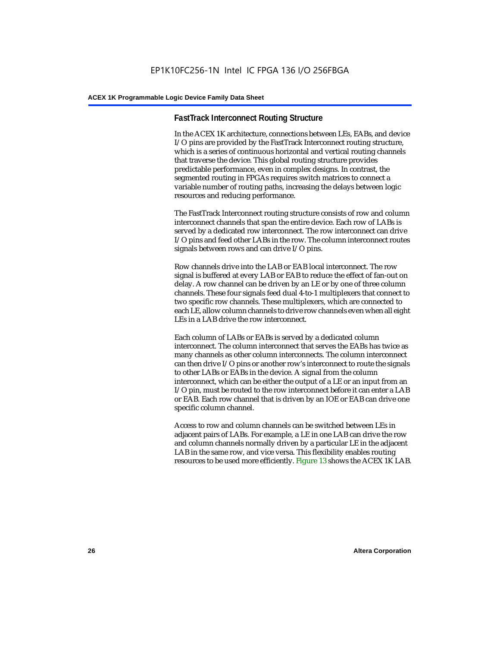### **FastTrack Interconnect Routing Structure**

In the ACEX 1K architecture, connections between LEs, EABs, and device I/O pins are provided by the FastTrack Interconnect routing structure, which is a series of continuous horizontal and vertical routing channels that traverse the device. This global routing structure provides predictable performance, even in complex designs. In contrast, the segmented routing in FPGAs requires switch matrices to connect a variable number of routing paths, increasing the delays between logic resources and reducing performance.

The FastTrack Interconnect routing structure consists of row and column interconnect channels that span the entire device. Each row of LABs is served by a dedicated row interconnect. The row interconnect can drive I/O pins and feed other LABs in the row. The column interconnect routes signals between rows and can drive I/O pins.

Row channels drive into the LAB or EAB local interconnect. The row signal is buffered at every LAB or EAB to reduce the effect of fan-out on delay. A row channel can be driven by an LE or by one of three column channels. These four signals feed dual 4-to-1 multiplexers that connect to two specific row channels. These multiplexers, which are connected to each LE, allow column channels to drive row channels even when all eight LEs in a LAB drive the row interconnect.

Each column of LABs or EABs is served by a dedicated column interconnect. The column interconnect that serves the EABs has twice as many channels as other column interconnects. The column interconnect can then drive I/O pins or another row's interconnect to route the signals to other LABs or EABs in the device. A signal from the column interconnect, which can be either the output of a LE or an input from an I/O pin, must be routed to the row interconnect before it can enter a LAB or EAB. Each row channel that is driven by an IOE or EAB can drive one specific column channel.

Access to row and column channels can be switched between LEs in adjacent pairs of LABs. For example, a LE in one LAB can drive the row and column channels normally driven by a particular LE in the adjacent LAB in the same row, and vice versa. This flexibility enables routing resources to be used more efficiently. Figure 13 shows the ACEX 1K LAB.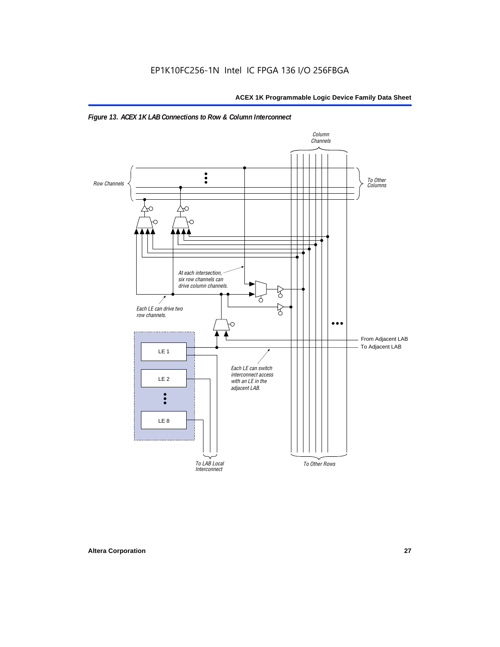

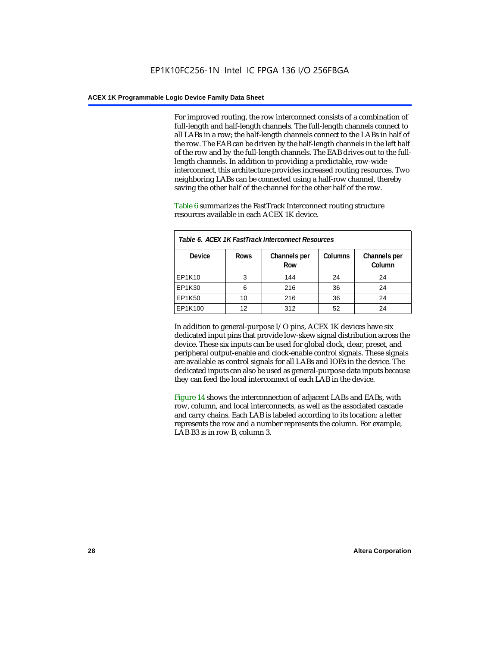For improved routing, the row interconnect consists of a combination of full-length and half-length channels. The full-length channels connect to all LABs in a row; the half-length channels connect to the LABs in half of the row. The EAB can be driven by the half-length channels in the left half of the row and by the full-length channels. The EAB drives out to the fulllength channels. In addition to providing a predictable, row-wide interconnect, this architecture provides increased routing resources. Two neighboring LABs can be connected using a half-row channel, thereby saving the other half of the channel for the other half of the row.

Table 6 summarizes the FastTrack Interconnect routing structure resources available in each ACEX 1K device.

| Table 6. ACEX 1K FastTrack Interconnect Resources |             |                     |                |                        |  |  |
|---------------------------------------------------|-------------|---------------------|----------------|------------------------|--|--|
| <b>Device</b>                                     | <b>Rows</b> | Channels per<br>Row | <b>Columns</b> | Channels per<br>Column |  |  |
| EP1K10                                            | 3           | 144                 | 24             | 24                     |  |  |
| EP1K30                                            | 6           | 216                 | 36             | 24                     |  |  |
| EP1K50                                            | 10          | 216                 | 36             | 24                     |  |  |
| EP1K100                                           | 12          | 312                 | 52             | 24                     |  |  |

In addition to general-purpose I/O pins, ACEX 1K devices have six dedicated input pins that provide low-skew signal distribution across the device. These six inputs can be used for global clock, clear, preset, and peripheral output-enable and clock-enable control signals. These signals are available as control signals for all LABs and IOEs in the device. The dedicated inputs can also be used as general-purpose data inputs because they can feed the local interconnect of each LAB in the device.

Figure 14 shows the interconnection of adjacent LABs and EABs, with row, column, and local interconnects, as well as the associated cascade and carry chains. Each LAB is labeled according to its location: a letter represents the row and a number represents the column. For example, LAB B3 is in row B, column 3.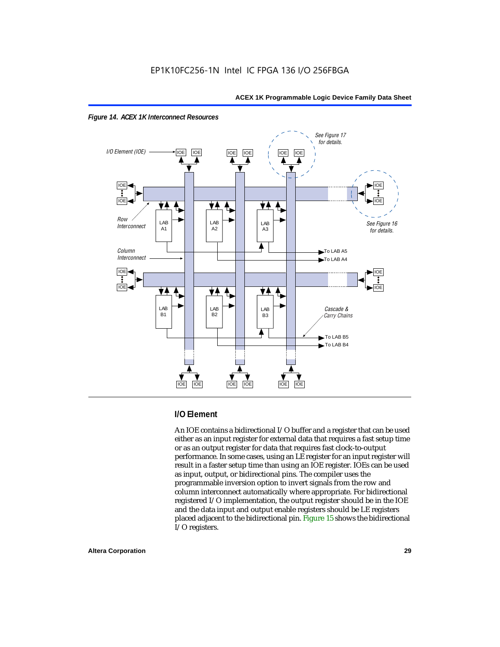



### **I/O Element**

An IOE contains a bidirectional I/O buffer and a register that can be used either as an input register for external data that requires a fast setup time or as an output register for data that requires fast clock-to-output performance. In some cases, using an LE register for an input register will result in a faster setup time than using an IOE register. IOEs can be used as input, output, or bidirectional pins. The compiler uses the programmable inversion option to invert signals from the row and column interconnect automatically where appropriate. For bidirectional registered I/O implementation, the output register should be in the IOE and the data input and output enable registers should be LE registers placed adjacent to the bidirectional pin. Figure 15 shows the bidirectional I/O registers.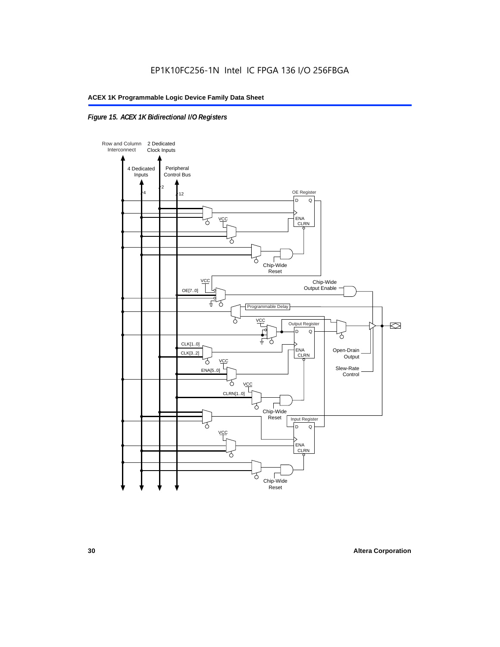### *Figure 15. ACEX 1K Bidirectional I/O Registers*

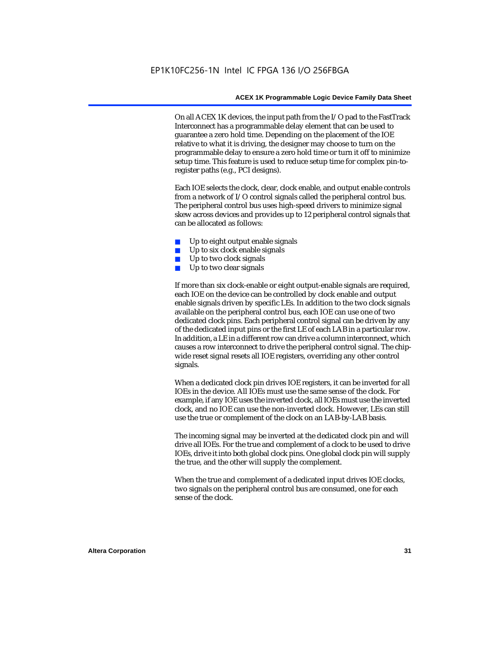On all ACEX 1K devices, the input path from the I/O pad to the FastTrack Interconnect has a programmable delay element that can be used to guarantee a zero hold time. Depending on the placement of the IOE relative to what it is driving, the designer may choose to turn on the programmable delay to ensure a zero hold time or turn it off to minimize setup time. This feature is used to reduce setup time for complex pin-toregister paths (e.g., PCI designs).

Each IOE selects the clock, clear, clock enable, and output enable controls from a network of I/O control signals called the peripheral control bus. The peripheral control bus uses high-speed drivers to minimize signal skew across devices and provides up to 12 peripheral control signals that can be allocated as follows:

- Up to eight output enable signals
- Up to six clock enable signals
- Up to two clock signals
- Up to two clear signals

If more than six clock-enable or eight output-enable signals are required, each IOE on the device can be controlled by clock enable and output enable signals driven by specific LEs. In addition to the two clock signals available on the peripheral control bus, each IOE can use one of two dedicated clock pins. Each peripheral control signal can be driven by any of the dedicated input pins or the first LE of each LAB in a particular row. In addition, a LE in a different row can drive a column interconnect, which causes a row interconnect to drive the peripheral control signal. The chipwide reset signal resets all IOE registers, overriding any other control signals.

When a dedicated clock pin drives IOE registers, it can be inverted for all IOEs in the device. All IOEs must use the same sense of the clock. For example, if any IOE uses the inverted clock, all IOEs must use the inverted clock, and no IOE can use the non-inverted clock. However, LEs can still use the true or complement of the clock on an LAB-by-LAB basis.

The incoming signal may be inverted at the dedicated clock pin and will drive all IOEs. For the true and complement of a clock to be used to drive IOEs, drive it into both global clock pins. One global clock pin will supply the true, and the other will supply the complement.

When the true and complement of a dedicated input drives IOE clocks, two signals on the peripheral control bus are consumed, one for each sense of the clock.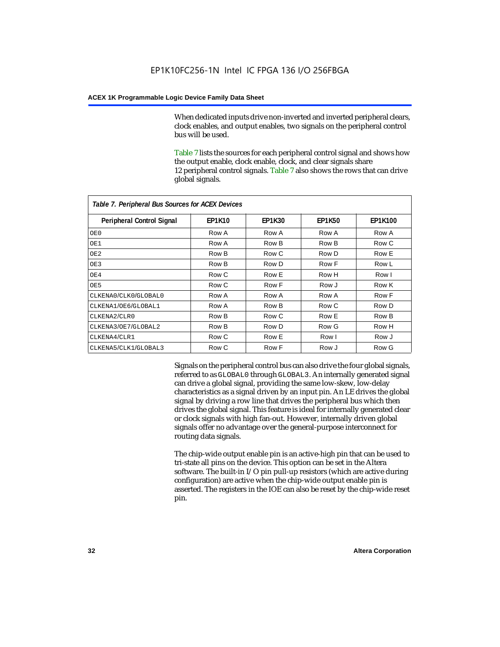When dedicated inputs drive non-inverted and inverted peripheral clears, clock enables, and output enables, two signals on the peripheral control bus will be used.

Table 7 lists the sources for each peripheral control signal and shows how the output enable, clock enable, clock, and clear signals share 12 peripheral control signals. Table 7 also shows the rows that can drive global signals.

| Table 7. Peripheral Bus Sources for ACEX Devices |               |               |               |                |  |  |  |
|--------------------------------------------------|---------------|---------------|---------------|----------------|--|--|--|
| Peripheral Control Signal                        | <b>EP1K10</b> | <b>EP1K30</b> | <b>EP1K50</b> | <b>EP1K100</b> |  |  |  |
| OE0                                              | Row A         | Row A         | Row A         | Row A          |  |  |  |
| OE1                                              | Row A         | Row B         | Row B         | Row C          |  |  |  |
| OE <sub>2</sub>                                  | Row B         | Row C         | Row D         | Row E          |  |  |  |
| OE3                                              | Row B         | Row D         | Row F         | Row L          |  |  |  |
| OE4                                              | Row C         | Row E         | Row H         | Row I          |  |  |  |
| OE5                                              | Row C         | Row F         | Row J         | Row K          |  |  |  |
| CLKENA0/CLK0/GLOBAL0                             | Row A         | Row A         | Row A         | Row F          |  |  |  |
| CLKENA1/OE6/GLOBAL1                              | Row A         | Row B         | Row C         | Row D          |  |  |  |
| CLKENA2/CLR0                                     | Row B         | Row C         | Row E         | Row B          |  |  |  |
| CLKENA3/OE7/GLOBAL2                              | Row B         | Row D         | Row G         | Row H          |  |  |  |
| CLKENA4/CLR1                                     | Row C         | Row E         | Row I         | Row J          |  |  |  |
| CLKENA5/CLK1/GLOBAL3                             | Row C         | Row F         | Row J         | Row G          |  |  |  |

Signals on the peripheral control bus can also drive the four global signals, referred to as GLOBAL0 through GLOBAL3. An internally generated signal can drive a global signal, providing the same low-skew, low-delay characteristics as a signal driven by an input pin. An LE drives the global signal by driving a row line that drives the peripheral bus which then drives the global signal. This feature is ideal for internally generated clear or clock signals with high fan-out. However, internally driven global signals offer no advantage over the general-purpose interconnect for routing data signals.

The chip-wide output enable pin is an active-high pin that can be used to tri-state all pins on the device. This option can be set in the Altera software. The built-in I/O pin pull-up resistors (which are active during configuration) are active when the chip-wide output enable pin is asserted. The registers in the IOE can also be reset by the chip-wide reset pin.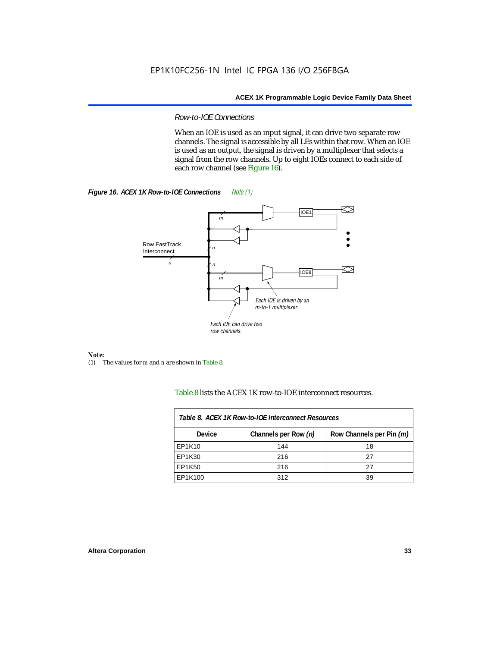### *Row-to-IOE Connections*

When an IOE is used as an input signal, it can drive two separate row channels. The signal is accessible by all LEs within that row. When an IOE is used as an output, the signal is driven by a multiplexer that selects a signal from the row channels. Up to eight IOEs connect to each side of each row channel (see Figure 16).





*Note:*<br>(1) 7 (1) The values for *m* and *n* are shown in Table 8.

Table 8 lists the ACEX 1K row-to-IOE interconnect resources.

| Table 8. ACEX 1K Row-to-IOE Interconnect Resources |                      |                          |  |  |  |  |
|----------------------------------------------------|----------------------|--------------------------|--|--|--|--|
| Device                                             | Channels per Row (n) | Row Channels per Pin (m) |  |  |  |  |
| EP1K10                                             | 144                  | 18                       |  |  |  |  |
| EP1K30                                             | 216                  | 27                       |  |  |  |  |
| EP1K50                                             | 216                  | 27                       |  |  |  |  |
| EP1K100                                            | 312                  | 39                       |  |  |  |  |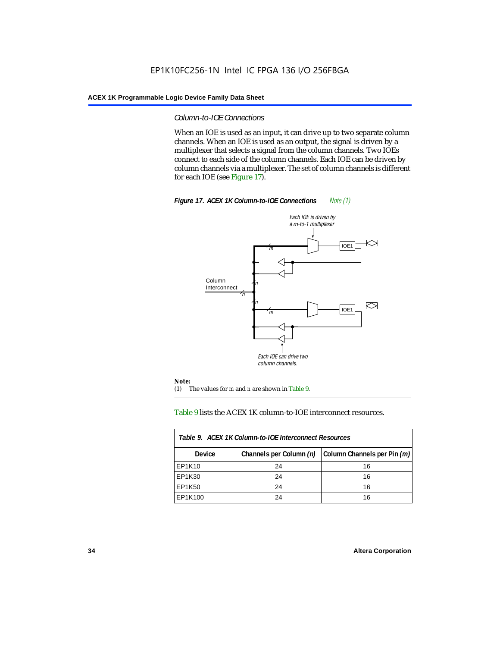### *Column-to-IOE Connections*

When an IOE is used as an input, it can drive up to two separate column channels. When an IOE is used as an output, the signal is driven by a multiplexer that selects a signal from the column channels. Two IOEs connect to each side of the column channels. Each IOE can be driven by column channels via a multiplexer. The set of column channels is different for each IOE (see Figure 17).



Table 9 lists the ACEX 1K column-to-IOE interconnect resources.

| Table 9. ACEX 1K Column-to-IOE Interconnect Resources |                         |                             |  |  |  |  |
|-------------------------------------------------------|-------------------------|-----------------------------|--|--|--|--|
| <b>Device</b>                                         | Channels per Column (n) | Column Channels per Pin (m) |  |  |  |  |
| EP1K10                                                | 24                      | 16                          |  |  |  |  |
| EP1K30                                                | 24                      | 16                          |  |  |  |  |
| EP1K50                                                | 24                      | 16                          |  |  |  |  |
| EP1K100                                               | 24                      | 16                          |  |  |  |  |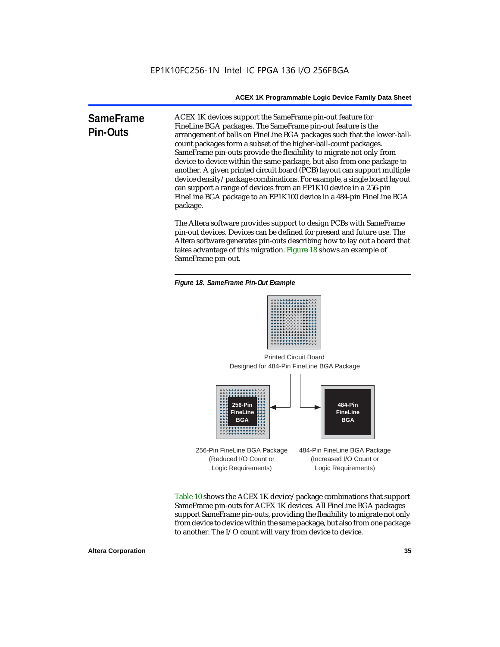**SameFrame Pin-Outs** ACEX 1K devices support the SameFrame pin-out feature for FineLine BGA packages. The SameFrame pin-out feature is the arrangement of balls on FineLine BGA packages such that the lower-ballcount packages form a subset of the higher-ball-count packages. SameFrame pin-outs provide the flexibility to migrate not only from device to device within the same package, but also from one package to another. A given printed circuit board (PCB) layout can support multiple device density/package combinations. For example, a single board layout can support a range of devices from an EP1K10 device in a 256-pin FineLine BGA package to an EP1K100 device in a 484-pin FineLine BGA package.

> The Altera software provides support to design PCBs with SameFrame pin-out devices. Devices can be defined for present and future use. The Altera software generates pin-outs describing how to lay out a board that takes advantage of this migration. Figure 18 shows an example of SameFrame pin-out.

*Figure 18. SameFrame Pin-Out Example*



Designed for 484-Pin FineLine BGA Package Printed Circuit Board



Table 10 shows the ACEX 1K device/package combinations that support SameFrame pin-outs for ACEX 1K devices. All FineLine BGA packages support SameFrame pin-outs, providing the flexibility to migrate not only from device to device within the same package, but also from one package to another. The I/O count will vary from device to device.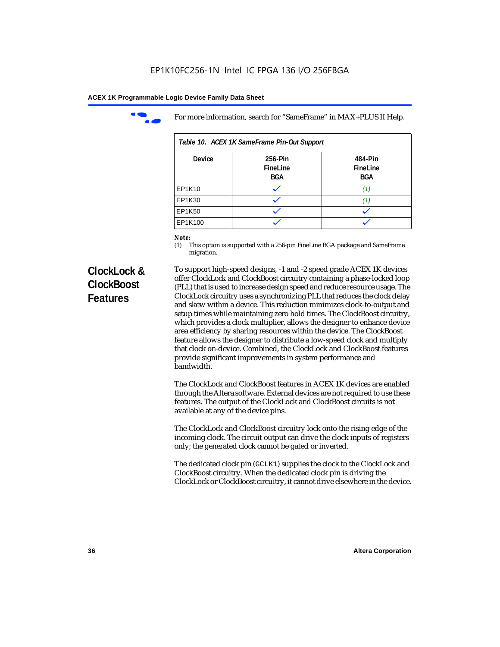

For more information, search for "SameFrame" in MAX+PLUS II Help.

| Table 10. ACEX 1K SameFrame Pin-Out Support |                                   |                                   |  |  |  |
|---------------------------------------------|-----------------------------------|-----------------------------------|--|--|--|
| <b>Device</b>                               | 256-Pin<br>FineLine<br><b>BGA</b> | 484-Pin<br>FineLine<br><b>BGA</b> |  |  |  |
| EP1K10                                      |                                   | (1)                               |  |  |  |
| EP1K30                                      |                                   | 71                                |  |  |  |
| EP1K50                                      |                                   |                                   |  |  |  |
| EP1K100                                     |                                   |                                   |  |  |  |

# *Note:*<br>(1) **7**

This option is supported with a 256-pin FineLine BGA package and SameFrame migration.

# **ClockLock & ClockBoost Features**

To support high-speed designs, -1 and -2 speed grade ACEX 1K devices offer ClockLock and ClockBoost circuitry containing a phase-locked loop (PLL) that is used to increase design speed and reduce resource usage. The ClockLock circuitry uses a synchronizing PLL that reduces the clock delay and skew within a device. This reduction minimizes clock-to-output and setup times while maintaining zero hold times. The ClockBoost circuitry, which provides a clock multiplier, allows the designer to enhance device area efficiency by sharing resources within the device. The ClockBoost feature allows the designer to distribute a low-speed clock and multiply that clock on-device. Combined, the ClockLock and ClockBoost features provide significant improvements in system performance and bandwidth.

The ClockLock and ClockBoost features in ACEX 1K devices are enabled through the Altera software. External devices are not required to use these features. The output of the ClockLock and ClockBoost circuits is not available at any of the device pins.

The ClockLock and ClockBoost circuitry lock onto the rising edge of the incoming clock. The circuit output can drive the clock inputs of registers only; the generated clock cannot be gated or inverted.

The dedicated clock pin (GCLK1) supplies the clock to the ClockLock and ClockBoost circuitry. When the dedicated clock pin is driving the ClockLock or ClockBoost circuitry, it cannot drive elsewhere in the device.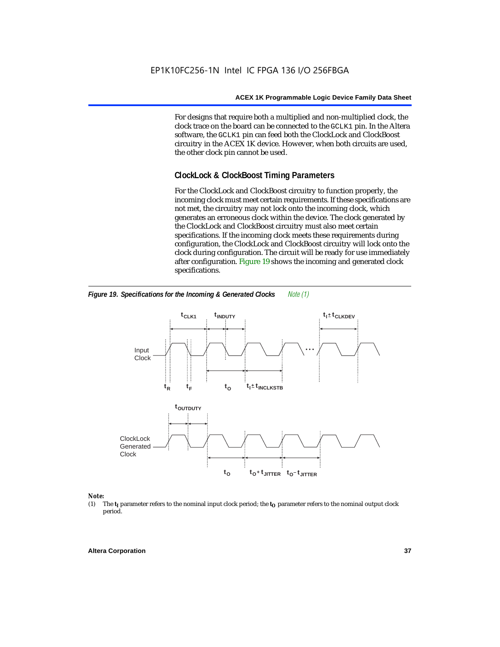For designs that require both a multiplied and non-multiplied clock, the clock trace on the board can be connected to the GCLK1 pin. In the Altera software, the GCLK1 pin can feed both the ClockLock and ClockBoost circuitry in the ACEX 1K device. However, when both circuits are used, the other clock pin cannot be used.

#### **ClockLock & ClockBoost Timing Parameters**

For the ClockLock and ClockBoost circuitry to function properly, the incoming clock must meet certain requirements. If these specifications are not met, the circuitry may not lock onto the incoming clock, which generates an erroneous clock within the device. The clock generated by the ClockLock and ClockBoost circuitry must also meet certain specifications. If the incoming clock meets these requirements during configuration, the ClockLock and ClockBoost circuitry will lock onto the clock during configuration. The circuit will be ready for use immediately after configuration. Figure 19 shows the incoming and generated clock specifications.



*Figure 19. Specifications for the Incoming & Generated Clocks Note (1)*

# *Note:*<br>(1) 1

The  $t<sub>I</sub>$  parameter refers to the nominal input clock period; the  $t<sub>O</sub>$  parameter refers to the nominal output clock period.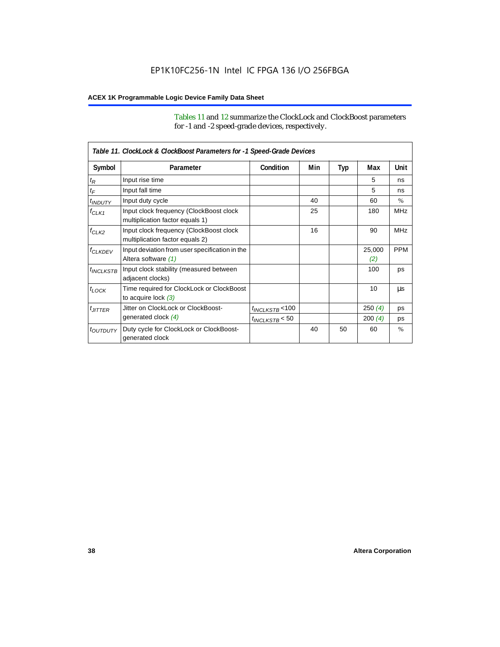Tables 11 and 12 summarize the ClockLock and ClockBoost parameters for -1 and -2 speed-grade devices, respectively.

|                       | Table 11. ClockLock & ClockBoost Parameters for -1 Speed-Grade Devices     |                      |     |     |               |               |  |
|-----------------------|----------------------------------------------------------------------------|----------------------|-----|-----|---------------|---------------|--|
| Symbol                | Parameter                                                                  | Condition            | Min | Typ | Max           | Unit          |  |
| $t_{\mathsf{R}}$      | Input rise time                                                            |                      |     |     | 5             | ns            |  |
| $t_{\mathsf{F}}$      | Input fall time                                                            |                      |     |     | 5             | ns            |  |
| $t_{INDUTY}$          | Input duty cycle                                                           |                      | 40  |     | 60            | $\frac{0}{0}$ |  |
| $f_{CLK1}$            | Input clock frequency (ClockBoost clock<br>multiplication factor equals 1) |                      | 25  |     | 180           | <b>MHz</b>    |  |
| $f_{CLK2}$            | Input clock frequency (ClockBoost clock<br>multiplication factor equals 2) |                      | 16  |     | 90            | <b>MHz</b>    |  |
| <b><i>fCLKDEV</i></b> | Input deviation from user specification in the<br>Altera software (1)      |                      |     |     | 25,000<br>(2) | <b>PPM</b>    |  |
| $t_{INCLKSTB}$        | Input clock stability (measured between<br>adjacent clocks)                |                      |     |     | 100           | ps            |  |
| $t_{LOCK}$            | Time required for ClockLock or ClockBoost<br>to acquire lock $(3)$         |                      |     |     | 10            | μs            |  |
| $t_{JITTER}$          | Jitter on ClockLock or ClockBoost-                                         | $t_{INCLKSTB}$ < 100 |     |     | 250(4)        | ps            |  |
|                       | generated clock (4)                                                        | $t_{INCLKSTB}$ < 50  |     |     | 200(4)        | ps            |  |
| <i>toutbuty</i>       | Duty cycle for ClockLock or ClockBoost-<br>generated clock                 |                      | 40  | 50  | 60            | $\frac{0}{0}$ |  |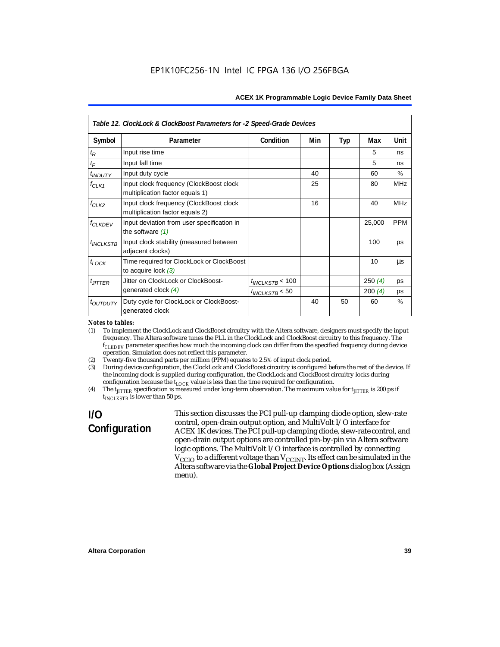|                           | Table 12. ClockLock & ClockBoost Parameters for -2 Speed-Grade Devices     |                      |     |            |        |             |
|---------------------------|----------------------------------------------------------------------------|----------------------|-----|------------|--------|-------------|
| Symbol                    | Parameter                                                                  | Condition            | Min | <b>Typ</b> | Max    | <b>Unit</b> |
| $t_{\mathsf{R}}$          | Input rise time                                                            |                      |     |            | 5      | ns          |
| $t_F$                     | Input fall time                                                            |                      |     |            | 5      | ns          |
| <i>t<sub>INDUTY</sub></i> | Input duty cycle                                                           |                      | 40  |            | 60     | $\%$        |
| $f_{CLK1}$                | Input clock frequency (ClockBoost clock<br>multiplication factor equals 1) |                      | 25  |            | 80     | <b>MHz</b>  |
| $f_{CLK2}$                | Input clock frequency (ClockBoost clock<br>multiplication factor equals 2) |                      | 16  |            | 40     | <b>MHz</b>  |
| <b>f<sub>CLKDEV</sub></b> | Input deviation from user specification in<br>the software $(1)$           |                      |     |            | 25,000 | <b>PPM</b>  |
| $t_{INCLKSTB}$            | Input clock stability (measured between<br>adjacent clocks)                |                      |     |            | 100    | ps          |
| $t_{LOCK}$                | Time required for ClockLock or ClockBoost<br>to acquire lock $(3)$         |                      |     |            | 10     | us          |
| $t_{JITTER}$              | Jitter on ClockLock or ClockBoost-                                         | $t_{INCLKSTB}$ < 100 |     |            | 250(4) | ps          |
|                           | generated clock (4)                                                        | $t_{INCLKSTB}$ < 50  |     |            | 200(4) | ps          |
| <i>toutputy</i>           | Duty cycle for ClockLock or ClockBoost-<br>generated clock                 |                      | 40  | 50         | 60     | $\%$        |

#### *Notes to tables:*

(1) To implement the ClockLock and ClockBoost circuitry with the Altera software, designers must specify the input frequency. The Altera software tunes the PLL in the ClockLock and ClockBoost circuitry to this frequency. The *fCLKDEV* parameter specifies how much the incoming clock can differ from the specified frequency during device operation. Simulation does not reflect this parameter.

(2) Twenty-five thousand parts per million (PPM) equates to 2.5% of input clock period.

(3) During device configuration, the ClockLock and ClockBoost circuitry is configured before the rest of the device. If the incoming clock is supplied during configuration, the ClockLock and ClockBoost circuitry locks during configuration because the  $t_{LOCK}$  value is less than the time required for configuration.

(4) The  $t_{\text{ITTTER}}$  specification is measured under long-term observation. The maximum value for  $t_{\text{ITTTER}}$  is 200 ps if  $t_{INCIKSTR}$  is lower than 50 ps.

# **I/O Configuration**

This section discusses the PCI pull-up clamping diode option, slew-rate control, open-drain output option, and MultiVolt I/O interface for ACEX 1K devices. The PCI pull-up clamping diode, slew-rate control, and open-drain output options are controlled pin-by-pin via Altera software logic options. The MultiVolt I/O interface is controlled by connecting  $V_{\text{CCIO}}$  to a different voltage than  $V_{\text{CCINT}}$ . Its effect can be simulated in the Altera software via the **Global Project Device Options** dialog box (Assign menu).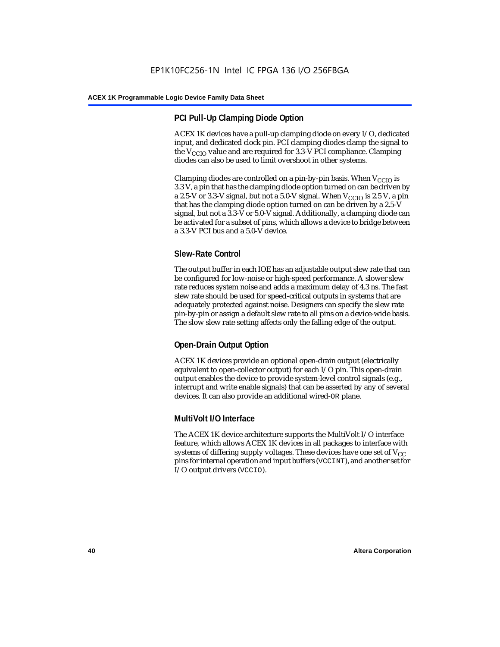#### **PCI Pull-Up Clamping Diode Option**

ACEX 1K devices have a pull-up clamping diode on every I/O, dedicated input, and dedicated clock pin. PCI clamping diodes clamp the signal to the  $V_{\text{CCIO}}$  value and are required for 3.3-V PCI compliance. Clamping diodes can also be used to limit overshoot in other systems.

Clamping diodes are controlled on a pin-by-pin basis. When  $V_{CCIO}$  is 3.3 V, a pin that has the clamping diode option turned on can be driven by a 2.5-V or 3.3-V signal, but not a 5.0-V signal. When  $V_{CCIO}$  is 2.5 V, a pin that has the clamping diode option turned on can be driven by a 2.5-V signal, but not a 3.3-V or 5.0-V signal. Additionally, a clamping diode can be activated for a subset of pins, which allows a device to bridge between a 3.3-V PCI bus and a 5.0-V device.

#### **Slew-Rate Control**

The output buffer in each IOE has an adjustable output slew rate that can be configured for low-noise or high-speed performance. A slower slew rate reduces system noise and adds a maximum delay of 4.3 ns. The fast slew rate should be used for speed-critical outputs in systems that are adequately protected against noise. Designers can specify the slew rate pin-by-pin or assign a default slew rate to all pins on a device-wide basis. The slow slew rate setting affects only the falling edge of the output.

#### **Open-Drain Output Option**

ACEX 1K devices provide an optional open-drain output (electrically equivalent to open-collector output) for each I/O pin. This open-drain output enables the device to provide system-level control signals (e.g., interrupt and write enable signals) that can be asserted by any of several devices. It can also provide an additional wired-OR plane.

#### **MultiVolt I/O Interface**

The ACEX 1K device architecture supports the MultiVolt I/O interface feature, which allows ACEX 1K devices in all packages to interface with systems of differing supply voltages. These devices have one set of  $V_{CC}$ pins for internal operation and input buffers (VCCINT), and another set for I/O output drivers (VCCIO).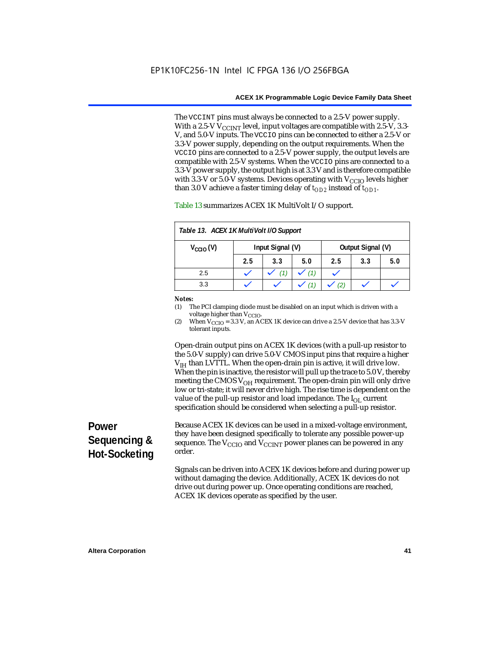The VCCINT pins must always be connected to a 2.5-V power supply. With a 2.5-V  $V_{CCMT}$  level, input voltages are compatible with 2.5-V, 3.3-V, and 5.0-V inputs. The VCCIO pins can be connected to either a 2.5-V or 3.3-V power supply, depending on the output requirements. When the VCCIO pins are connected to a 2.5-V power supply, the output levels are compatible with 2.5-V systems. When the VCCIO pins are connected to a 3.3-V power supply, the output high is at 3.3 V and is therefore compatible with 3.3-V or 5.0-V systems. Devices operating with  $V_{\text{CCIO}}$  levels higher than 3.0 V achieve a faster timing delay of  $t_{OD2}$  instead of  $t_{OD1}$ .

| Table 13. ACEX 1K MultiVolt I/O Support                       |     |     |     |     |     |     |
|---------------------------------------------------------------|-----|-----|-----|-----|-----|-----|
| Input Signal (V)<br>Output Signal (V)<br>$V_{\text{CCIO}}(V)$ |     |     |     |     |     |     |
|                                                               | 2.5 | 3.3 | 5.0 | 2.5 | 3.3 | 5.0 |
| 2.5                                                           |     | (1) | (1) |     |     |     |
| 3.3                                                           |     |     |     |     |     |     |

Table 13 summarizes ACEX 1K MultiVolt I/O support.

#### *Notes:*

(1) The PCI clamping diode must be disabled on an input which is driven with a voltage higher than V<sub>CCIO</sub>.

(2) When  $V_{\text{CCIO}} = 3.3$  V, an ACEX 1K device can drive a 2.5-V device that has 3.3-V tolerant inputs.

Open-drain output pins on ACEX 1K devices (with a pull-up resistor to the 5.0-V supply) can drive 5.0-V CMOS input pins that require a higher  $V<sub>IH</sub>$  than LVTTL. When the open-drain pin is active, it will drive low. When the pin is inactive, the resistor will pull up the trace to 5.0 V, thereby meeting the CMOS  $V_{OH}$  requirement. The open-drain pin will only drive low or tri-state; it will never drive high. The rise time is dependent on the value of the pull-up resistor and load impedance. The  $I_{OL}$  current specification should be considered when selecting a pull-up resistor.

# **Power Sequencing & Hot-Socketing**

Because ACEX 1K devices can be used in a mixed-voltage environment, they have been designed specifically to tolerate any possible power-up sequence. The  $V_{\text{CCIO}}$  and  $V_{\text{CCINT}}$  power planes can be powered in any order.

Signals can be driven into ACEX 1K devices before and during power up without damaging the device. Additionally, ACEX 1K devices do not drive out during power up. Once operating conditions are reached, ACEX 1K devices operate as specified by the user.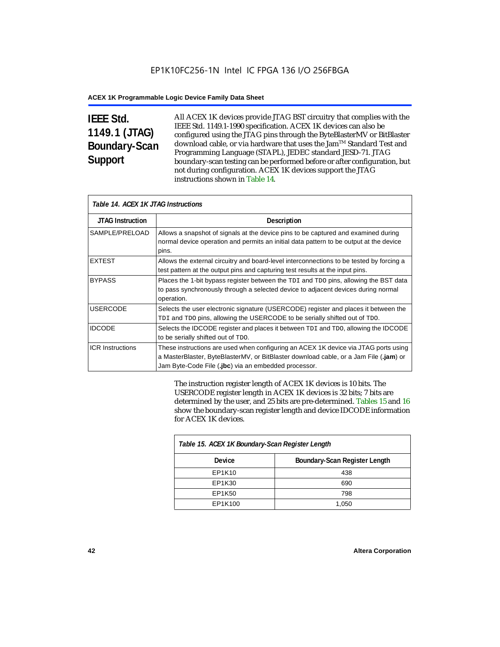# **IEEE Std. 1149.1 (JTAG) Boundary-Scan Support**

All ACEX 1K devices provide JTAG BST circuitry that complies with the IEEE Std. 1149.1-1990 specification. ACEX 1K devices can also be configured using the JTAG pins through the ByteBlasterMV or BitBlaster download cable, or via hardware that uses the Jam™ Standard Test and Programming Language (STAPL), JEDEC standard JESD-71. JTAG boundary-scan testing can be performed before or after configuration, but not during configuration. ACEX 1K devices support the JTAG instructions shown in Table 14.

| Table 14. ACEX 1K JTAG Instructions |                                                                                                                                                                                                                                      |  |  |  |
|-------------------------------------|--------------------------------------------------------------------------------------------------------------------------------------------------------------------------------------------------------------------------------------|--|--|--|
| <b>JTAG Instruction</b>             | <b>Description</b>                                                                                                                                                                                                                   |  |  |  |
| SAMPLE/PRELOAD                      | Allows a snapshot of signals at the device pins to be captured and examined during<br>normal device operation and permits an initial data pattern to be output at the device<br>pins.                                                |  |  |  |
| <b>EXTEST</b>                       | Allows the external circuitry and board-level interconnections to be tested by forcing a<br>test pattern at the output pins and capturing test results at the input pins.                                                            |  |  |  |
| <b>BYPASS</b>                       | Places the 1-bit bypass register between the TDI and TDO pins, allowing the BST data<br>to pass synchronously through a selected device to adjacent devices during normal<br>operation.                                              |  |  |  |
| <b>USERCODE</b>                     | Selects the user electronic signature (USERCODE) register and places it between the<br>TDI and TDO pins, allowing the USERCODE to be serially shifted out of TDO.                                                                    |  |  |  |
| <b>IDCODE</b>                       | Selects the IDCODE register and places it between TDI and TDO, allowing the IDCODE<br>to be serially shifted out of TDO.                                                                                                             |  |  |  |
| <b>ICR Instructions</b>             | These instructions are used when configuring an ACEX 1K device via JTAG ports using<br>a MasterBlaster, ByteBlasterMV, or BitBlaster download cable, or a Jam File (.jam) or<br>Jam Byte-Code File (.jbc) via an embedded processor. |  |  |  |

The instruction register length of ACEX 1K devices is 10 bits. The USERCODE register length in ACEX 1K devices is 32 bits; 7 bits are determined by the user, and 25 bits are pre-determined. Tables 15 and 16 show the boundary-scan register length and device IDCODE information for ACEX 1K devices.

| Table 15. ACEX 1K Boundary-Scan Register Length |                               |  |  |  |
|-------------------------------------------------|-------------------------------|--|--|--|
| <b>Device</b>                                   | Boundary-Scan Register Length |  |  |  |
| EP1K10                                          | 438                           |  |  |  |
| EP1K30                                          | 690                           |  |  |  |
| EP1K50                                          | 798                           |  |  |  |
| EP1K100                                         | 1,050                         |  |  |  |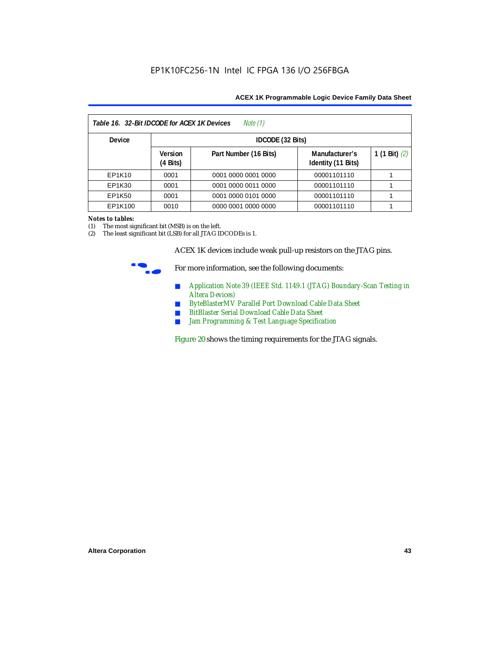| Table 16. 32-Bit IDCODE for ACEX 1K Devices<br>Note (1) |                                      |                       |                                      |                 |  |  |
|---------------------------------------------------------|--------------------------------------|-----------------------|--------------------------------------|-----------------|--|--|
| <b>Device</b>                                           |                                      | IDCODE (32 Bits)      |                                      |                 |  |  |
|                                                         | <b>Version</b><br>$(4 \text{ Bits})$ | Part Number (16 Bits) | Manufacturer's<br>Identity (11 Bits) | 1 (1 Bit) $(2)$ |  |  |
| EP1K10                                                  | 0001                                 | 0001 0000 0001 0000   | 00001101110                          |                 |  |  |
| EP1K30                                                  | 0001                                 | 0001 0000 0011 0000   | 00001101110                          |                 |  |  |
| EP1K50                                                  | 0001                                 | 0001 0000 0101 0000   | 00001101110                          |                 |  |  |
| EP1K100                                                 | 0010                                 | 0000 0001 0000 0000   | 00001101110                          |                 |  |  |

#### *Notes to tables:*

(1) The most significant bit (MSB) is on the left.

(2) The least significant bit (LSB) for all JTAG IDCODEs is 1.

ACEX 1K devices include weak pull-up resistors on the JTAG pins.



For more information, see the following documents:

- *Application Note 39 (IEEE Std. 1149.1 (JTAG) Boundary-Scan Testing in Altera Devices)*
- *ByteBlasterMV Parallel Port Download Cable Data Sheet*
- *BitBlaster Serial Download Cable Data Sheet*
- *Jam Programming & Test Language Specification*

Figure 20 shows the timing requirements for the JTAG signals.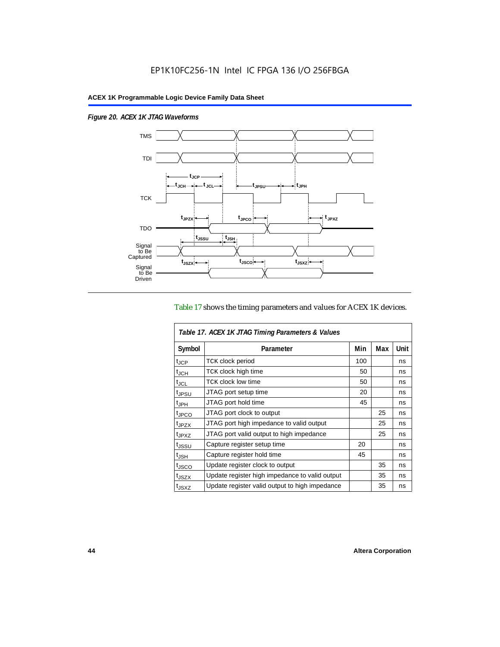$\overline{1}$ 

*Figure 20. ACEX 1K JTAG Waveforms*



#### Table 17 shows the timing parameters and values for ACEX 1K devices.

| Table 17. ACEX 1K JTAG Timing Parameters & Values |                                                |     |     |      |  |  |
|---------------------------------------------------|------------------------------------------------|-----|-----|------|--|--|
| Symbol                                            | Parameter                                      | Min | Max | Unit |  |  |
| t <sub>JCP</sub>                                  | <b>TCK clock period</b>                        | 100 |     | ns   |  |  |
| $t_{JCH}$                                         | TCK clock high time                            | 50  |     | ns   |  |  |
| t <sub>JCL</sub>                                  | <b>TCK clock low time</b>                      | 50  |     | ns   |  |  |
| <sup>t</sup> JPSU                                 | JTAG port setup time                           | 20  |     | ns   |  |  |
| $t_{\rm JPH}$                                     | JTAG port hold time                            | 45  |     | ns   |  |  |
| <sup>t</sup> JPCO                                 | JTAG port clock to output                      |     | 25  | ns   |  |  |
| t <sub>JPZX</sub>                                 | JTAG port high impedance to valid output       |     | 25  | ns   |  |  |
| t <sub>JPXZ</sub>                                 | JTAG port valid output to high impedance       |     | 25  | ns   |  |  |
| tjssu                                             | Capture register setup time                    | 20  |     | ns   |  |  |
| $t_{\mathsf{JSH}}$                                | Capture register hold time                     | 45  |     | ns   |  |  |
| t <sub>JSCO</sub>                                 | Update register clock to output                |     | 35  | ns   |  |  |
| t <sub>JSZX</sub>                                 | Update register high impedance to valid output |     | 35  | ns   |  |  |
| t <sub>JSXZ</sub>                                 | Update register valid output to high impedance |     | 35  | ns   |  |  |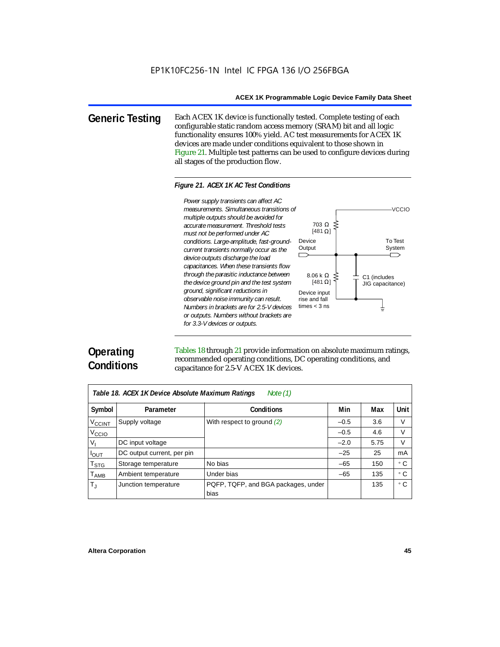**Generic Testing** Each ACEX 1K device is functionally tested. Complete testing of each configurable static random access memory (SRAM) bit and all logic functionality ensures 100% yield. AC test measurements for ACEX 1K devices are made under conditions equivalent to those shown in Figure 21. Multiple test patterns can be used to configure devices during all stages of the production flow.

#### *Figure 21. ACEX 1K AC Test Conditions*



# **Operating Conditions**

Tables 18 through 21 provide information on absolute maximum ratings, recommended operating conditions, DC operating conditions, and capacitance for 2.5-V ACEX 1K devices.

| Note $(1)$<br>Table 18. ACEX 1K Device Absolute Maximum Ratings |                            |                                             |        |      |           |  |  |
|-----------------------------------------------------------------|----------------------------|---------------------------------------------|--------|------|-----------|--|--|
| Symbol                                                          | Parameter                  | Conditions                                  | Min    | Max  | Unit      |  |  |
| <b>V<sub>CCINT</sub></b>                                        | Supply voltage             | With respect to ground (2)                  | $-0.5$ | 3.6  | V         |  |  |
| V <sub>CCIO</sub>                                               |                            |                                             | $-0.5$ | 4.6  | V         |  |  |
| V,                                                              | DC input voltage           |                                             | $-2.0$ | 5.75 | V         |  |  |
| $I_{OUT}$                                                       | DC output current, per pin |                                             | $-25$  | 25   | mA        |  |  |
| $\mathsf{T}_{\textsf{STG}}$                                     | Storage temperature        | No bias                                     | $-65$  | 150  | ۰c        |  |  |
| $T_{\sf AMB}$                                                   | Ambient temperature        | Under bias                                  | $-65$  | 135  | $\circ$ C |  |  |
| $T_{\rm J}$                                                     | Junction temperature       | PQFP, TQFP, and BGA packages, under<br>bias |        | 135  | ۰c        |  |  |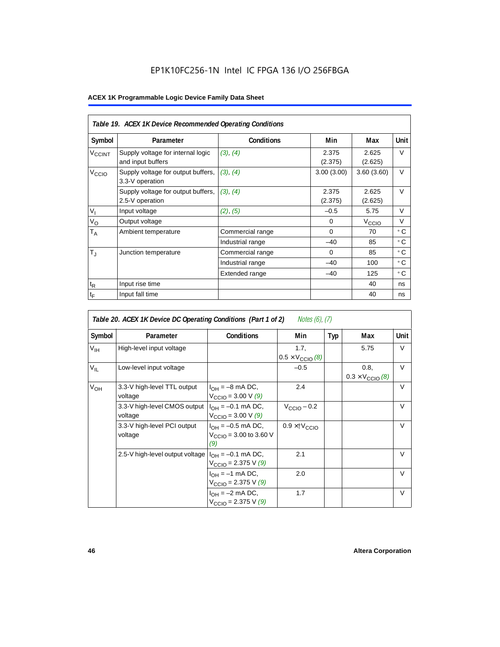## EP1K10FC256-1N Intel IC FPGA 136 I/O 256FBGA

|                             | Table 19. ACEX 1K Device Recommended Operating Conditions |                   |                  |                   |             |  |  |  |
|-----------------------------|-----------------------------------------------------------|-------------------|------------------|-------------------|-------------|--|--|--|
| Symbol                      | Parameter                                                 | <b>Conditions</b> | Min              | Max               | <b>Unit</b> |  |  |  |
| V <sub>CCINT</sub>          | Supply voltage for internal logic<br>and input buffers    | (3), (4)          | 2.375<br>(2.375) | 2.625<br>(2.625)  | V           |  |  |  |
| V <sub>CCIO</sub>           | Supply voltage for output buffers,<br>3.3-V operation     | (3), (4)          | 3.00(3.00)       | 3.60(3.60)        | $\vee$      |  |  |  |
|                             | Supply voltage for output buffers,<br>2.5-V operation     | (3), (4)          | 2.375<br>(2.375) | 2.625<br>(2.625)  | $\vee$      |  |  |  |
| $V_{I}$                     | Input voltage                                             | (2), (5)          | $-0.5$           | 5.75              | V           |  |  |  |
| $V_{\rm O}$                 | Output voltage                                            |                   | $\Omega$         | V <sub>ccio</sub> | V           |  |  |  |
| $\mathsf{T}_\mathsf{A}$     | Ambient temperature                                       | Commercial range  | $\Omega$         | 70                | ۰c          |  |  |  |
|                             |                                                           | Industrial range  | $-40$            | 85                | $\circ$ C   |  |  |  |
| $T_{\rm J}$                 | Junction temperature                                      | Commercial range  | 0                | 85                | $\circ$ C   |  |  |  |
|                             |                                                           | Industrial range  | $-40$            | 100               | ° C         |  |  |  |
|                             |                                                           | Extended range    | $-40$            | 125               | ° C         |  |  |  |
| $\mathfrak{t}_{\mathsf{R}}$ | Input rise time                                           |                   |                  | 40                | ns          |  |  |  |
| $t_{\mathsf{F}}$            | Input fall time                                           |                   |                  | 40                | ns          |  |  |  |

|                 | Table 20. ACEX 1K Device DC Operating Conditions (Part 1 of 2) |                                                                     | Notes (6), (7)                            |            |                                          |        |
|-----------------|----------------------------------------------------------------|---------------------------------------------------------------------|-------------------------------------------|------------|------------------------------------------|--------|
| Symbol          | Parameter                                                      | <b>Conditions</b>                                                   | Min                                       | <b>Typ</b> | Max                                      | Unit   |
| $V_{\text{IH}}$ | High-level input voltage                                       |                                                                     | 1.7,<br>$0.5 \times V_{\text{CCIO}}(8)$   |            | 5.75                                     | V      |
| $V_{IL}$        | Low-level input voltage                                        |                                                                     | $-0.5$                                    |            | 0.8,<br>$0.3 \times V_{\text{CCIO}}$ (8) | $\vee$ |
| $V_{OH}$        | 3.3-V high-level TTL output<br>voltage                         | $I_{OH} = -8$ mA DC,<br>$V_{\text{CCIO}} = 3.00 \text{ V } (9)$     | 2.4                                       |            |                                          | $\vee$ |
|                 | 3.3-V high-level CMOS output<br>voltage                        | $I_{OH} = -0.1$ mA DC,<br>$V_{\text{CCIO}} = 3.00 \text{ V } (9)$   | $V_{\text{CCIO}} - 0.2$                   |            |                                          | $\vee$ |
|                 | 3.3-V high-level PCI output<br>voltage                         | $I_{OH} = -0.5$ mA DC,<br>$V_{\text{CCIO}} = 3.00$ to 3.60 V<br>(9) | $0.9 \times$ $\uparrow$ $V_{\text{CCIO}}$ |            |                                          | $\vee$ |
|                 | 2.5-V high-level output voltage                                | $I_{OH} = -0.1$ mA DC,<br>$V_{\text{CCIO}} = 2.375 \text{ V} (9)$   | 2.1                                       |            |                                          | $\vee$ |
|                 |                                                                | $I_{OH} = -1$ mA DC,<br>$V_{\text{CCIO}} = 2.375 \text{ V} (9)$     | 2.0                                       |            |                                          | $\vee$ |
|                 |                                                                | $I_{OH} = -2$ mA DC,<br>$V_{\text{CCIO}} = 2.375 \text{ V} (9)$     | 1.7                                       |            |                                          | $\vee$ |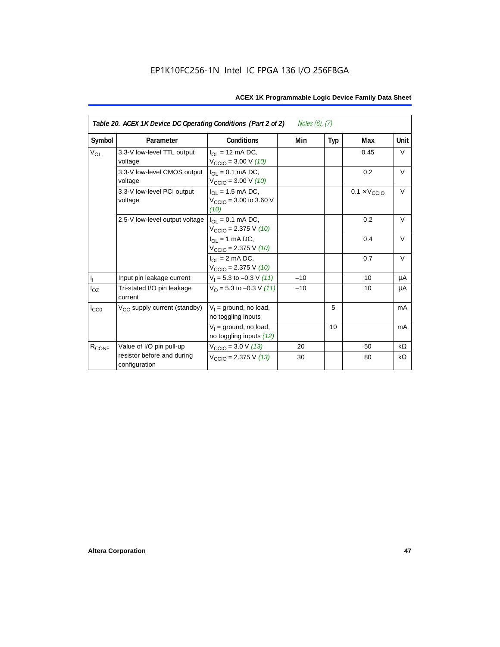| Table 20. ACEX 1K Device DC Operating Conditions (Part 2 of 2)<br>Notes $(6)$ , $(7)$ |                                             |                                                                         |       |     |                              |           |  |
|---------------------------------------------------------------------------------------|---------------------------------------------|-------------------------------------------------------------------------|-------|-----|------------------------------|-----------|--|
| Symbol                                                                                | Parameter                                   | Conditions                                                              | Min   | Typ | Max                          | Unit      |  |
| $V_{OL}$                                                                              | 3.3-V low-level TTL output<br>voltage       | $I_{\Omega}$ = 12 mA DC,<br>$V_{\text{CCIO}} = 3.00 \text{ V} (10)$     |       |     | 0.45                         | V         |  |
|                                                                                       | 3.3-V low-level CMOS output<br>voltage      | $I_{\Omega I} = 0.1$ mA DC,<br>$V_{\text{CCIO}} = 3.00 \text{ V} (10)$  |       |     | 0.2                          | $\vee$    |  |
|                                                                                       | 3.3-V low-level PCI output<br>voltage       | $I_{OL} = 1.5$ mA DC,<br>$V_{\text{CCIO}} = 3.00$ to 3.60 V<br>(10)     |       |     | $0.1 \times V_{\text{CCIO}}$ | $\vee$    |  |
|                                                                                       | 2.5-V low-level output voltage              | $I_{\Omega I} = 0.1$ mA DC,<br>$V_{\text{CCIO}} = 2.375 \text{ V} (10)$ |       |     | 0.2                          | $\vee$    |  |
|                                                                                       |                                             | $I_{OL}$ = 1 mA DC,<br>$V_{\text{CCIO}} = 2.375 \text{ V} (10)$         |       |     | 0.4                          | $\vee$    |  |
|                                                                                       |                                             | $I_{\Omega}$ = 2 mA DC,<br>$V_{\text{CCIO}} = 2.375 \text{ V} (10)$     |       |     | 0.7                          | $\vee$    |  |
| $\mathbf{I}_\mathrm{I}$                                                               | Input pin leakage current                   | $V_1 = 5.3$ to $-0.3$ V (11)                                            | $-10$ |     | 10                           | μA        |  |
| $I_{OZ}$                                                                              | Tri-stated I/O pin leakage<br>current       | $V_{\Omega}$ = 5.3 to -0.3 V (11)                                       | $-10$ |     | 10                           | μA        |  |
| $I_{CC0}$                                                                             | V <sub>CC</sub> supply current (standby)    | $V_1$ = ground, no load,<br>no toggling inputs                          |       | 5   |                              | mA        |  |
|                                                                                       |                                             | $V_1$ = ground, no load,<br>no toggling inputs (12)                     |       | 10  |                              | mA        |  |
| R <sub>CONF</sub>                                                                     | Value of I/O pin pull-up                    | $V_{\text{CCIO}} = 3.0 \text{ V} (13)$                                  | 20    |     | 50                           | $k\Omega$ |  |
|                                                                                       | resistor before and during<br>configuration | $V_{\text{CCIO}}$ = 2.375 V (13)                                        | 30    |     | 80                           | kΩ        |  |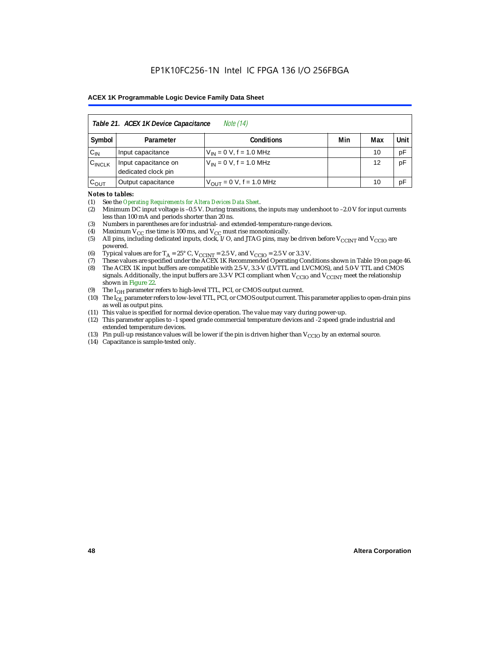| Table 21. ACEX 1K Device Capacitance<br><i>Note</i> (14) |                                                      |                               |  |    |    |  |  |
|----------------------------------------------------------|------------------------------------------------------|-------------------------------|--|----|----|--|--|
| Symbol                                                   | Min<br>Unit<br><b>Conditions</b><br>Max<br>Parameter |                               |  |    |    |  |  |
| $C_{IN}$                                                 | Input capacitance                                    | $V_{IN} = 0 V$ , f = 1.0 MHz  |  | 10 | pF |  |  |
| $C_{\text{INCLK}}$                                       | Input capacitance on<br>dedicated clock pin          | $V_{1N} = 0 V$ , f = 1.0 MHz  |  | 12 | pF |  |  |
| $C_{OUT}$                                                | Output capacitance                                   | $V_{OUT} = 0 V$ , f = 1.0 MHz |  | 10 | pF |  |  |

#### *Notes to tables:*

(1) See the *Operating Requirements for Altera Devices Data Sheet*.

- (2) Minimum DC input voltage is –0.5 V. During transitions, the inputs may undershoot to –2.0 V for input currents less than 100 mA and periods shorter than 20 ns.
- (3) Numbers in parentheses are for industrial- and extended-temperature-range devices.
- (4) Maximum  $V_{CC}$  rise time is 100 ms, and  $V_{CC}$  must rise monotonically.<br>(5) All pins, including dedicated inputs, clock, I/O, and JTAG pins, may
- All pins, including dedicated inputs, clock, I/O, and JTAG pins, may be driven before  $V_{\text{CCINT}}$  and  $V_{\text{CCIO}}$  are powered.
- (6) Typical values are for  $T_A = 25^\circ$  C,  $V_{CClNT} = 2.5$  V, and  $V_{CClO} = 2.5$  V or 3.3 V.<br>(7) These values are specified under the ACEX 1K Recommended Operating Cone
- (7) These values are specified under the ACEX 1K Recommended Operating Conditions shown in Table 19 on page 46.<br>(8) The ACEX 1K input buffers are compatible with 2.5-V. 3.3-V (LVTTL and LVCMOS), and 5.0-V TTL and CMOS
- The ACEX 1K input buffers are compatible with 2.5-V, 3.3-V (LVTTL and LVCMOS), and 5.0-V TTL and CMOS signals. Additionally, the input buffers are 3.3-V PCI compliant when  $V_{CCIO}$  and  $V_{CCINT}$  meet the relationship shown in Figure 22.
- (9) The  $I_{OH}$  parameter refers to high-level TTL, PCI, or CMOS output current.
- (10) The I<sub>OL</sub> parameter refers to low-level TTL, PCI, or CMOS output current. This parameter applies to open-drain pins as well as output pins.
- (11) This value is specified for normal device operation. The value may vary during power-up.
- (12) This parameter applies to -1 speed grade commercial temperature devices and -2 speed grade industrial and extended temperature devices.
- (13) Pin pull-up resistance values will be lower if the pin is driven higher than  $V_{\text{CCIO}}$  by an external source.
- (14) Capacitance is sample-tested only.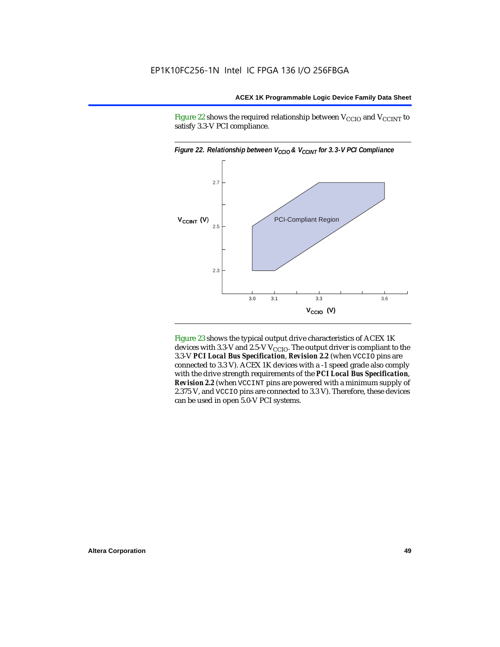Figure 22 shows the required relationship between  $V_{\text{CCIO}}$  and  $V_{\text{CCINT}}$  to satisfy 3.3-V PCI compliance.



Figure 23 shows the typical output drive characteristics of ACEX 1K devices with 3.3-V and 2.5-V  $V_{\text{CCIO}}$ . The output driver is compliant to the 3.3-V *PCI Local Bus Specification*, *Revision 2.2* (when VCCIO pins are connected to 3.3 V). ACEX 1K devices with a -1 speed grade also comply with the drive strength requirements of the *PCI Local Bus Specification*, *Revision 2.2* (when VCCINT pins are powered with a minimum supply of 2.375 V, and VCCIO pins are connected to 3.3 V). Therefore, these devices can be used in open 5.0-V PCI systems.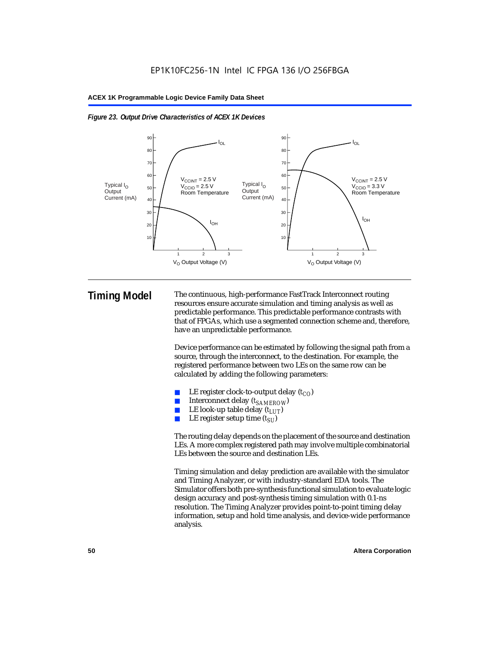



**Timing Model** The continuous, high-performance FastTrack Interconnect routing resources ensure accurate simulation and timing analysis as well as predictable performance. This predictable performance contrasts with that of FPGAs, which use a segmented connection scheme and, therefore, have an unpredictable performance.

> Device performance can be estimated by following the signal path from a source, through the interconnect, to the destination. For example, the registered performance between two LEs on the same row can be calculated by adding the following parameters:

- LE register clock-to-output delay  $(t_{CO})$
- Interconnect delay ( $t_{SAMFROW}$ )
- **■** LE look-up table delay  $(t_{LUT})$ <br>
 LE register setup time  $(t_{SL})$
- LE register setup time  $(t_{SI})$

The routing delay depends on the placement of the source and destination LEs. A more complex registered path may involve multiple combinatorial LEs between the source and destination LEs.

Timing simulation and delay prediction are available with the simulator and Timing Analyzer, or with industry-standard EDA tools. The Simulator offers both pre-synthesis functional simulation to evaluate logic design accuracy and post-synthesis timing simulation with 0.1-ns resolution. The Timing Analyzer provides point-to-point timing delay information, setup and hold time analysis, and device-wide performance analysis.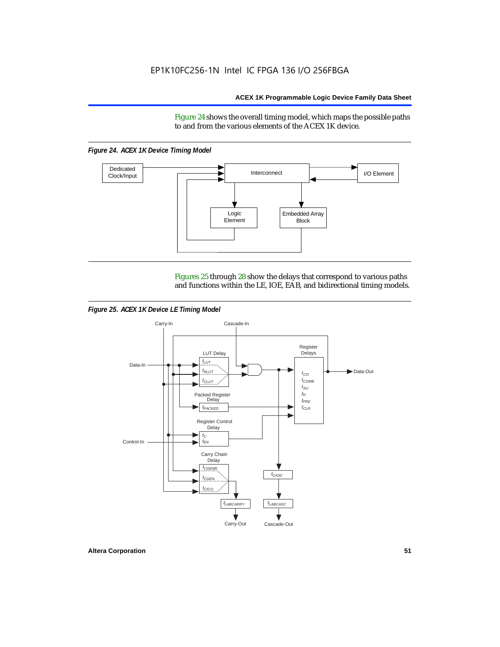Figure 24 shows the overall timing model, which maps the possible paths to and from the various elements of the ACEX 1K device.

*Figure 24. ACEX 1K Device Timing Model*



Figures 25 through 28 show the delays that correspond to various paths and functions within the LE, IOE, EAB, and bidirectional timing models.

*Figure 25. ACEX 1K Device LE Timing Model*

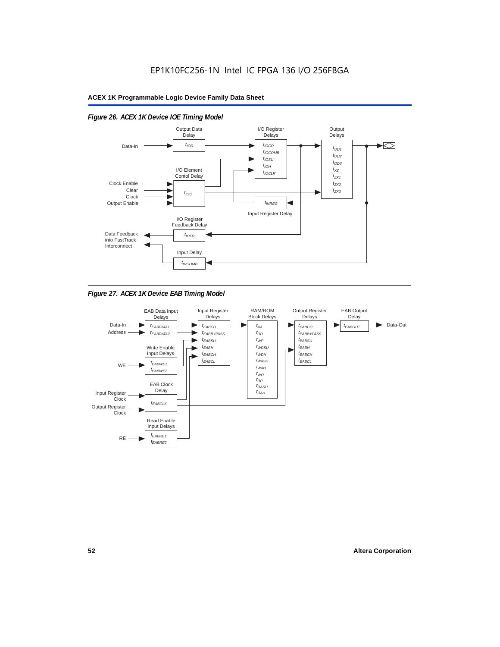

#### *Figure 26. ACEX 1K Device IOE Timing Model*

*Figure 27. ACEX 1K Device EAB Timing Model*

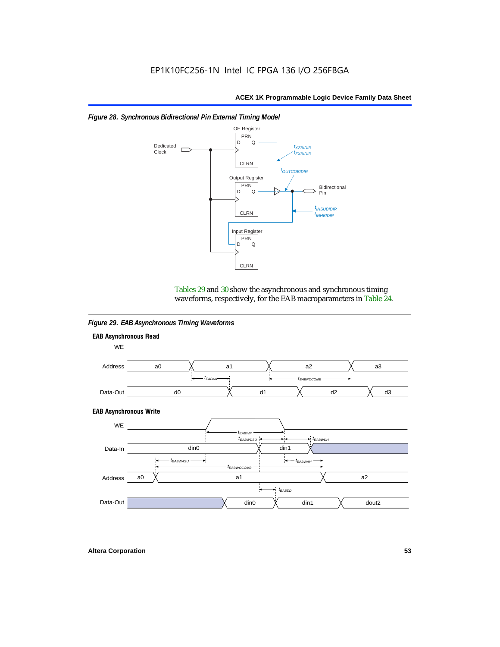

#### *Figure 28. Synchronous Bidirectional Pin External Timing Model*

Tables 29 and 30 show the asynchronous and synchronous timing waveforms, respectively, for the EAB macroparameters in Table 24.

*Figure 29. EAB Asynchronous Timing Waveforms*

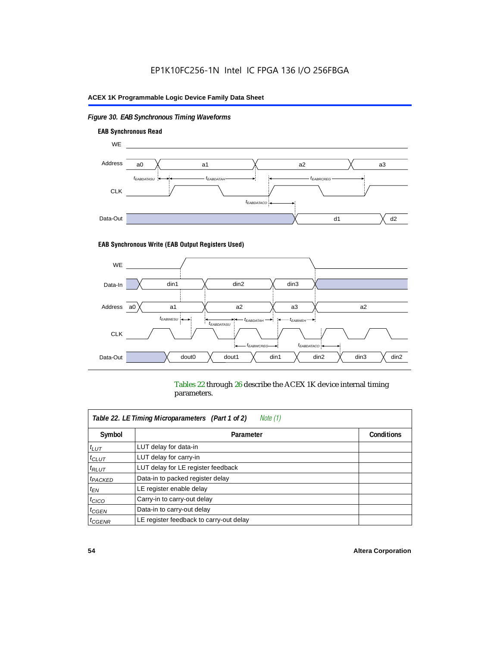### *Figure 30. EAB Synchronous Timing Waveforms*



#### **EAB Synchronous Write (EAB Output Registers Used)**



Tables 22 through 26 describe the ACEX 1K device internal timing parameters.

| Note (1)<br>Table 22. LE Timing Microparameters (Part 1 of 2) |                                         |                   |  |  |  |
|---------------------------------------------------------------|-----------------------------------------|-------------------|--|--|--|
| Symbol                                                        | Parameter                               | <b>Conditions</b> |  |  |  |
| $t_{LUT}$                                                     | LUT delay for data-in                   |                   |  |  |  |
| $t_{CLUT}$                                                    | LUT delay for carry-in                  |                   |  |  |  |
| $t_{RLUT}$                                                    | LUT delay for LE register feedback      |                   |  |  |  |
| <sup>t</sup> PACKED                                           | Data-in to packed register delay        |                   |  |  |  |
| $t_{EN}$                                                      | LE register enable delay                |                   |  |  |  |
| $t_{CICO}$                                                    | Carry-in to carry-out delay             |                   |  |  |  |
| $t_{G\text{E}\text{N}}$                                       | Data-in to carry-out delay              |                   |  |  |  |
| ${}^t$ CGENR                                                  | LE register feedback to carry-out delay |                   |  |  |  |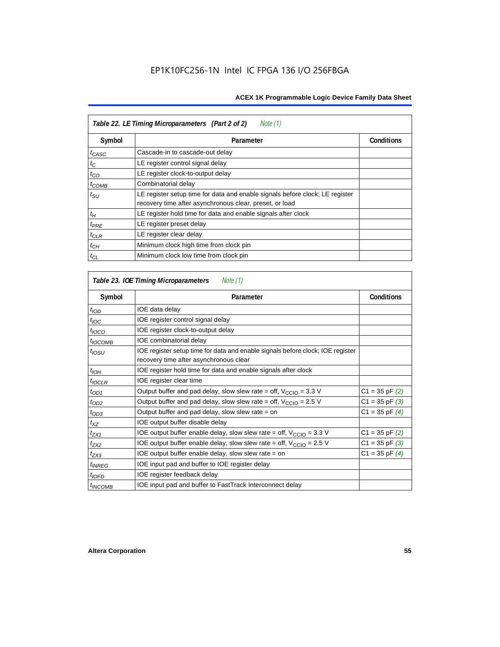| Table 22. LE Timing Microparameters (Part 2 of 2)<br>Note (1) |                                                                                                                                         |                   |  |  |  |
|---------------------------------------------------------------|-----------------------------------------------------------------------------------------------------------------------------------------|-------------------|--|--|--|
| Symbol                                                        | Parameter                                                                                                                               | <b>Conditions</b> |  |  |  |
| t <sub>CASC</sub>                                             | Cascade-in to cascade-out delay                                                                                                         |                   |  |  |  |
| $t_C$                                                         | LE register control signal delay                                                                                                        |                   |  |  |  |
| $t_{CO}$                                                      | LE register clock-to-output delay                                                                                                       |                   |  |  |  |
| $t_{COMB}$                                                    | Combinatorial delay                                                                                                                     |                   |  |  |  |
| $t_{\rm SU}$                                                  | LE register setup time for data and enable signals before clock; LE register<br>recovery time after asynchronous clear, preset, or load |                   |  |  |  |
| $t_H$                                                         | LE register hold time for data and enable signals after clock                                                                           |                   |  |  |  |
| $t_{PRE}$                                                     | LE register preset delay                                                                                                                |                   |  |  |  |
| $t_{CLR}$                                                     | LE register clear delay                                                                                                                 |                   |  |  |  |
| $t_{CH}$                                                      | Minimum clock high time from clock pin                                                                                                  |                   |  |  |  |
| $t_{CL}$                                                      | Minimum clock low time from clock pin                                                                                                   |                   |  |  |  |

| Table 23. IOE Timing Microparameters<br>Note (1) |                                                                                                                          |                    |  |  |  |
|--------------------------------------------------|--------------------------------------------------------------------------------------------------------------------------|--------------------|--|--|--|
| Symbol                                           | Parameter                                                                                                                | <b>Conditions</b>  |  |  |  |
| $t$ <sub>IOD</sub>                               | IOE data delay                                                                                                           |                    |  |  |  |
| $t_{\text{IOC}}$                                 | IOE register control signal delay                                                                                        |                    |  |  |  |
| $t_{\text{IOCO}}$                                | IOE register clock-to-output delay                                                                                       |                    |  |  |  |
| $t_{IOCOMB}$                                     | IOE combinatorial delay                                                                                                  |                    |  |  |  |
| t <sub>IOSU</sub>                                | IOE register setup time for data and enable signals before clock; IOE register<br>recovery time after asynchronous clear |                    |  |  |  |
| $t_{IOH}$                                        | IOE register hold time for data and enable signals after clock                                                           |                    |  |  |  |
| $t_{IOCLR}$                                      | IOE register clear time                                                                                                  |                    |  |  |  |
| $t_{OD1}$                                        | Output buffer and pad delay, slow slew rate = off, $V_{\text{CCIO}} = 3.3$ V                                             | $C1 = 35$ pF $(2)$ |  |  |  |
| $t_{OD2}$                                        | Output buffer and pad delay, slow slew rate = off, $V_{\text{CCIO}} = 2.5 V$                                             | $C1 = 35$ pF $(3)$ |  |  |  |
| $t_{OD3}$                                        | Output buffer and pad delay, slow slew rate $=$ on                                                                       | $C1 = 35$ pF $(4)$ |  |  |  |
| $t_{XZ}$                                         | IOE output buffer disable delay                                                                                          |                    |  |  |  |
| $t_{ZX1}$                                        | IOE output buffer enable delay, slow slew rate = off, $V_{\text{CCIO}} = 3.3 V$                                          | $C1 = 35$ pF $(2)$ |  |  |  |
| $t_{ZX2}$                                        | IOE output buffer enable delay, slow slew rate = off, $V_{\text{CCIO}} = 2.5$ V                                          | $C1 = 35$ pF $(3)$ |  |  |  |
| $t_{ZX3}$                                        | IOE output buffer enable delay, slow slew rate $=$ on                                                                    | $C1 = 35$ pF $(4)$ |  |  |  |
| <sup>t</sup> INREG                               | IOE input pad and buffer to IOE register delay                                                                           |                    |  |  |  |
| $t_{IOFD}$                                       | IOE register feedback delay                                                                                              |                    |  |  |  |
| <sup>t</sup> INCOMB                              | IOE input pad and buffer to FastTrack Interconnect delay                                                                 |                    |  |  |  |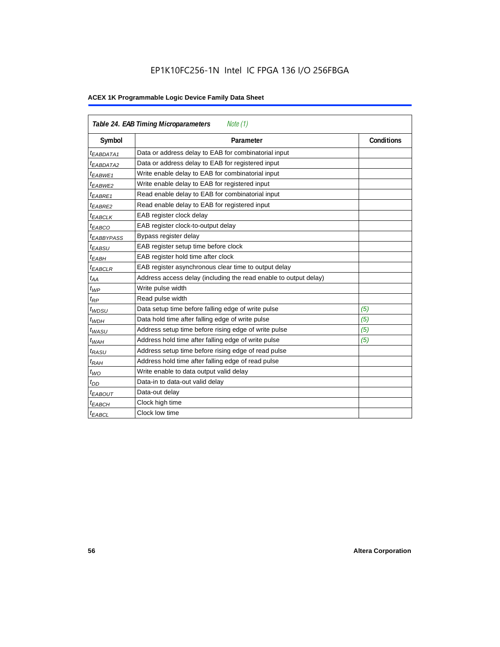## EP1K10FC256-1N Intel IC FPGA 136 I/O 256FBGA

| <b>Table 24. EAB Timing Microparameters</b><br>Note (1) |                                                                  |                   |  |  |  |
|---------------------------------------------------------|------------------------------------------------------------------|-------------------|--|--|--|
| Symbol                                                  | Parameter                                                        | <b>Conditions</b> |  |  |  |
| <sup>t</sup> EABDATA1                                   | Data or address delay to EAB for combinatorial input             |                   |  |  |  |
| <sup>t</sup> EABDATA2                                   | Data or address delay to EAB for registered input                |                   |  |  |  |
| <sup>t</sup> EABWE1                                     | Write enable delay to EAB for combinatorial input                |                   |  |  |  |
| t <sub>EABWE2</sub>                                     | Write enable delay to EAB for registered input                   |                   |  |  |  |
| $t_{EABRE1}$                                            | Read enable delay to EAB for combinatorial input                 |                   |  |  |  |
| $t_{EABRE2}$                                            | Read enable delay to EAB for registered input                    |                   |  |  |  |
| $t_{EABCLK}$                                            | EAB register clock delay                                         |                   |  |  |  |
| $t_{EABCO}$                                             | EAB register clock-to-output delay                               |                   |  |  |  |
| <sup>t</sup> EABBYPASS                                  | Bypass register delay                                            |                   |  |  |  |
| t <sub>EABSU</sub>                                      | EAB register setup time before clock                             |                   |  |  |  |
| t <sub>EABH</sub>                                       | EAB register hold time after clock                               |                   |  |  |  |
| $t_{EABCLR}$                                            | EAB register asynchronous clear time to output delay             |                   |  |  |  |
| $t_{AA}$                                                | Address access delay (including the read enable to output delay) |                   |  |  |  |
| $t_{WP}$                                                | Write pulse width                                                |                   |  |  |  |
| $t_{RP}$                                                | Read pulse width                                                 |                   |  |  |  |
| $t_{WDSU}$                                              | Data setup time before falling edge of write pulse               | (5)               |  |  |  |
| $t_{WDH}$                                               | Data hold time after falling edge of write pulse                 | (5)               |  |  |  |
| $t_{WASU}$                                              | Address setup time before rising edge of write pulse             | (5)               |  |  |  |
| $t_{WAH}$                                               | Address hold time after falling edge of write pulse              | (5)               |  |  |  |
| t <sub>RASU</sub>                                       | Address setup time before rising edge of read pulse              |                   |  |  |  |
| $t_{RAH}$                                               | Address hold time after falling edge of read pulse               |                   |  |  |  |
| $t_{WO}$                                                | Write enable to data output valid delay                          |                   |  |  |  |
| $t_{DD}$                                                | Data-in to data-out valid delay                                  |                   |  |  |  |
| $t_{EABOUT}$                                            | Data-out delay                                                   |                   |  |  |  |
| <sup>t</sup> ЕАВСН                                      | Clock high time                                                  |                   |  |  |  |
| <sup>t</sup> EABCL                                      | Clock low time                                                   |                   |  |  |  |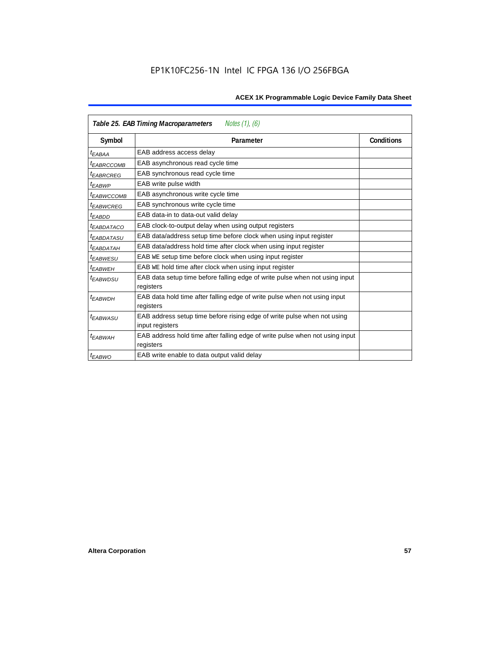| Table 25. EAB Timing Macroparameters<br>Notes $(1)$ , $(6)$ |                                                                                           |                   |  |  |  |
|-------------------------------------------------------------|-------------------------------------------------------------------------------------------|-------------------|--|--|--|
| Symbol                                                      | Parameter                                                                                 | <b>Conditions</b> |  |  |  |
| t <sub>EABAA</sub>                                          | EAB address access delay                                                                  |                   |  |  |  |
| <sup>t</sup> EABRCCOMB                                      | EAB asynchronous read cycle time                                                          |                   |  |  |  |
| <sup>t</sup> EABRCREG                                       | EAB synchronous read cycle time                                                           |                   |  |  |  |
| <sup>t</sup> EABWP                                          | EAB write pulse width                                                                     |                   |  |  |  |
| <sup>t</sup> EABWCCOMB                                      | EAB asynchronous write cycle time                                                         |                   |  |  |  |
| <sup>t</sup> EABWCREG                                       | EAB synchronous write cycle time                                                          |                   |  |  |  |
| <sup>t</sup> FARDD                                          | EAB data-in to data-out valid delay                                                       |                   |  |  |  |
| <sup>I</sup> EABDATACO                                      | EAB clock-to-output delay when using output registers                                     |                   |  |  |  |
| <sup>t</sup> EABDATASU                                      | EAB data/address setup time before clock when using input register                        |                   |  |  |  |
| <sup>t</sup> EABDATAH                                       | EAB data/address hold time after clock when using input register                          |                   |  |  |  |
| <sup>t</sup> EABWESU                                        | EAB WE setup time before clock when using input register                                  |                   |  |  |  |
| <sup>t</sup> EABWEH                                         | EAB WE hold time after clock when using input register                                    |                   |  |  |  |
| <sup>t</sup> EABWDSU                                        | EAB data setup time before falling edge of write pulse when not using input<br>registers  |                   |  |  |  |
| <sup>t</sup> EABWDH                                         | EAB data hold time after falling edge of write pulse when not using input                 |                   |  |  |  |
|                                                             | registers                                                                                 |                   |  |  |  |
| <sup>t</sup> EABWASU                                        | EAB address setup time before rising edge of write pulse when not using                   |                   |  |  |  |
|                                                             | input registers                                                                           |                   |  |  |  |
| t <sub>EABWAH</sub>                                         | EAB address hold time after falling edge of write pulse when not using input<br>registers |                   |  |  |  |
| <sup>t</sup> EABWO                                          | EAB write enable to data output valid delay                                               |                   |  |  |  |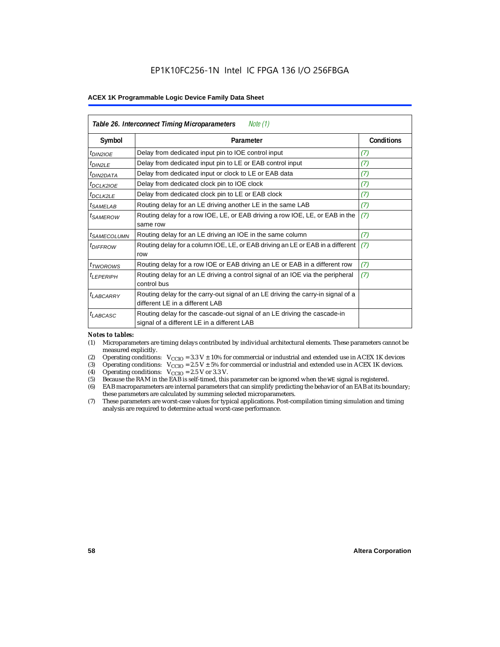| Table 26. Interconnect Timing Microparameters<br>Note (1) |                                                                                                                         |                   |  |  |  |
|-----------------------------------------------------------|-------------------------------------------------------------------------------------------------------------------------|-------------------|--|--|--|
| Symbol                                                    | Parameter                                                                                                               | <b>Conditions</b> |  |  |  |
| t <sub>DIN2IOE</sub>                                      | Delay from dedicated input pin to IOE control input                                                                     | (7)               |  |  |  |
| $t_{DIN2LE}$                                              | Delay from dedicated input pin to LE or EAB control input                                                               | (7)               |  |  |  |
| <sup>t</sup> DIN2DATA                                     | Delay from dedicated input or clock to LE or EAB data                                                                   | (7)               |  |  |  |
| <sup>t</sup> DCLK2IOE                                     | Delay from dedicated clock pin to IOE clock                                                                             | (7)               |  |  |  |
| $t_{DCLK2LE}$                                             | Delay from dedicated clock pin to LE or EAB clock                                                                       | (7)               |  |  |  |
| <sup>t</sup> SAMELAB                                      | Routing delay for an LE driving another LE in the same LAB                                                              | (7)               |  |  |  |
| <sup>t</sup> SAMEROW                                      | Routing delay for a row IOE, LE, or EAB driving a row IOE, LE, or EAB in the<br>same row                                | (7)               |  |  |  |
| <i><b>ISAMECOLUMN</b></i>                                 | Routing delay for an LE driving an IOE in the same column                                                               | (7)               |  |  |  |
| <i>t<sub>DIFFROW</sub></i>                                | Routing delay for a column IOE, LE, or EAB driving an LE or EAB in a different<br>row                                   | (7)               |  |  |  |
| $t_{TWOROWS}$                                             | Routing delay for a row IOE or EAB driving an LE or EAB in a different row                                              | (7)               |  |  |  |
| <sup>t</sup> LEPERIPH                                     | Routing delay for an LE driving a control signal of an IOE via the peripheral<br>control bus                            | (7)               |  |  |  |
| $t_{LABCARRY}$                                            | Routing delay for the carry-out signal of an LE driving the carry-in signal of a<br>different LE in a different LAB     |                   |  |  |  |
| $t_{LABCASC}$                                             | Routing delay for the cascade-out signal of an LE driving the cascade-in<br>signal of a different LE in a different LAB |                   |  |  |  |

#### *Notes to tables:*

- (1) Microparameters are timing delays contributed by individual architectural elements. These parameters cannot be measured explicitly.
- (2) Operating conditions:  $V_{\text{CCIO}} = 3.3 V \pm 10\%$  for commercial or industrial and extended use in ACEX 1K devices (3) Operating conditions:  $V_{\text{CCIO}} = 2.5 V \pm 5\%$  for commercial or industrial and extended use in ACEX 1K
- (3) Operating conditions:  $V_{CCIO} = 2.5 V \pm 5\%$  for commercial or industrial and extended use in ACEX 1K devices.<br>(4) Operating conditions:  $V_{CCIO} = 2.5 V$  or 3.3 V.
- (4) Operating conditions:  $V_{\text{CCIO}} = 2.5 \text{ V or } 3.3 \text{ V.}$ <br>(5) Because the RAM in the EAB is self-timed, this
- Because the RAM in the EAB is self-timed, this parameter can be ignored when the WE signal is registered.
- (6) EAB macroparameters are internal parameters that can simplify predicting the behavior of an EAB at its boundary; these parameters are calculated by summing selected microparameters.
- (7) These parameters are worst-case values for typical applications. Post-compilation timing simulation and timing analysis are required to determine actual worst-case performance.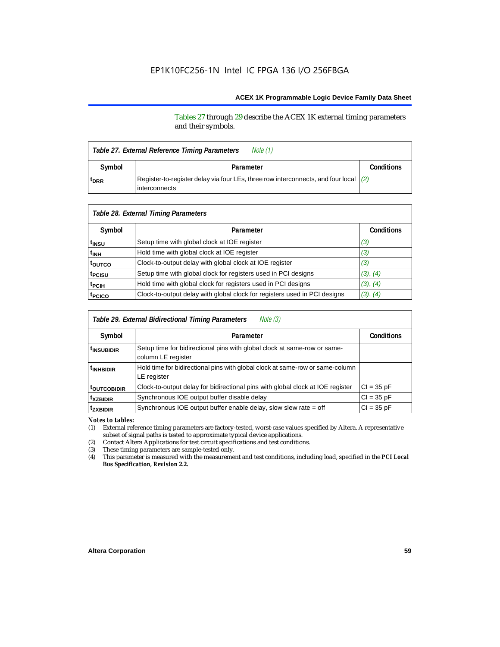Tables 27 through 29 describe the ACEX 1K external timing parameters and their symbols.

| Note (1)<br>Table 27. External Reference Timing Parameters |                                                                                        |  |  |  |  |
|------------------------------------------------------------|----------------------------------------------------------------------------------------|--|--|--|--|
| Symbol                                                     | Parameter                                                                              |  |  |  |  |
| <sup>t</sup> DRR                                           | Register-to-register delay via four LEs, three row interconnects, and four local $(2)$ |  |  |  |  |

| Table 28. External Timing Parameters |                                                                           |                   |  |  |  |
|--------------------------------------|---------------------------------------------------------------------------|-------------------|--|--|--|
| Symbol                               | Parameter                                                                 | <b>Conditions</b> |  |  |  |
| t <sub>insu</sub>                    | Setup time with global clock at IOE register                              | (3)               |  |  |  |
| t <sub>INH</sub>                     | Hold time with global clock at IOE register                               | (3)               |  |  |  |
| t <sub>outco</sub>                   | Clock-to-output delay with global clock at IOE register                   | (3)               |  |  |  |
| t <sub>PCISU</sub>                   | Setup time with global clock for registers used in PCI designs            | (3), (4)          |  |  |  |
| <sup>t</sup> PCIH                    | Hold time with global clock for registers used in PCI designs             | (3), (4)          |  |  |  |
| t <sub>PCICO</sub>                   | Clock-to-output delay with global clock for registers used in PCI designs | (3), (4)          |  |  |  |

| Table 29. External Bidirectional Timing Parameters<br>Note (3) |                                                                                                |                   |  |  |  |
|----------------------------------------------------------------|------------------------------------------------------------------------------------------------|-------------------|--|--|--|
| Symbol                                                         | Parameter                                                                                      | <b>Conditions</b> |  |  |  |
| <sup>t</sup> INSUBIDIR                                         | Setup time for bidirectional pins with global clock at same-row or same-<br>column LE register |                   |  |  |  |
| <sup>t</sup> INHBIDIR                                          | Hold time for bidirectional pins with global clock at same-row or same-column<br>LE register   |                   |  |  |  |
| <b>toutcobidir</b>                                             | Clock-to-output delay for bidirectional pins with global clock at IOE register                 | $Cl = 35 pF$      |  |  |  |
| <sup>t</sup> xzbidir                                           | Synchronous IOE output buffer disable delay                                                    | $CI = 35 pF$      |  |  |  |
| <sup>t</sup> zxbidir                                           | Synchronous IOE output buffer enable delay, slow slew rate = off                               | $CI = 35 pF$      |  |  |  |

*Notes to tables:*

(1) External reference timing parameters are factory-tested, worst-case values specified by Altera. A representative subset of signal paths is tested to approximate typical device applications.

(2) Contact Altera Applications for test circuit specifications and test conditions.

(3) These timing parameters are sample-tested only.

(4) This parameter is measured with the measurement and test conditions, including load, specified in the *PCI Local Bus Specification, Revision 2.2.*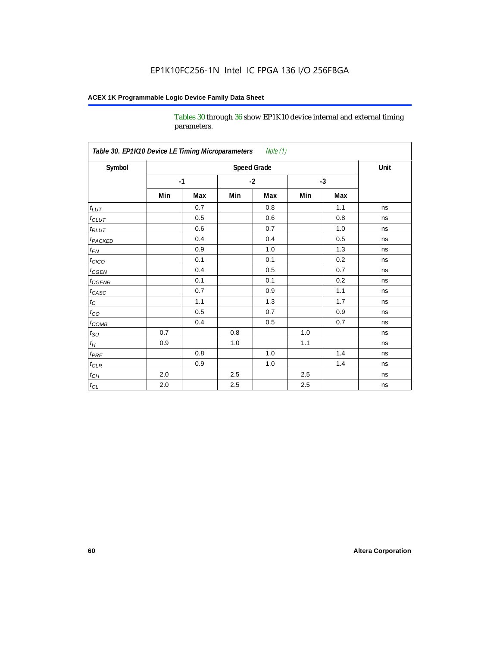Tables 30 through 36 show EP1K10 device internal and external timing parameters.

| Table 30. EP1K10 Device LE Timing Microparameters<br>Note (1) |     |                    |         |      |     |      |      |
|---------------------------------------------------------------|-----|--------------------|---------|------|-----|------|------|
| Symbol                                                        |     | <b>Speed Grade</b> |         |      |     |      | Unit |
|                                                               |     | $-1$               |         | $-2$ |     | $-3$ |      |
|                                                               | Min | Max                | Min     | Max  | Min | Max  |      |
| $t_{LUT}$                                                     |     | 0.7                |         | 0.8  |     | 1.1  | ns   |
| $t_{CLUT}$                                                    |     | 0.5                |         | 0.6  |     | 0.8  | ns   |
| $t_{RLUT}$                                                    |     | 0.6                |         | 0.7  |     | 1.0  | ns   |
| <b>t</b> <sub>PACKED</sub>                                    |     | 0.4                |         | 0.4  |     | 0.5  | ns   |
| $t_{EN}$                                                      |     | 0.9                |         | 1.0  |     | 1.3  | ns   |
| $t_{CICO}$                                                    |     | 0.1                |         | 0.1  |     | 0.2  | ns   |
| $t_{\text{CGEN}}$                                             |     | 0.4                |         | 0.5  |     | 0.7  | ns   |
| $t_{GENR}$                                                    |     | 0.1                |         | 0.1  |     | 0.2  | ns   |
| $t_{CASC}$                                                    |     | 0.7                |         | 0.9  |     | 1.1  | ns   |
| $t_{\rm C}$                                                   |     | 1.1                |         | 1.3  |     | 1.7  | ns   |
| $t_{CO}$                                                      |     | 0.5                |         | 0.7  |     | 0.9  | ns   |
| $t$ <sub>COMB</sub>                                           |     | 0.4                |         | 0.5  |     | 0.7  | ns   |
| $t_{\rm SU}$                                                  | 0.7 |                    | 0.8     |      | 1.0 |      | ns   |
| $t_H\,$                                                       | 0.9 |                    | 1.0     |      | 1.1 |      | ns   |
| $t_{PRE}$                                                     |     | 0.8                |         | 1.0  |     | 1.4  | ns   |
| $t_{CLR}$                                                     |     | 0.9                |         | 1.0  |     | 1.4  | ns   |
| $t_{\mathit{CH}}$                                             | 2.0 |                    | 2.5     |      | 2.5 |      | ns   |
| $t_{CL}$                                                      | 2.0 |                    | $2.5\,$ |      | 2.5 |      | ns   |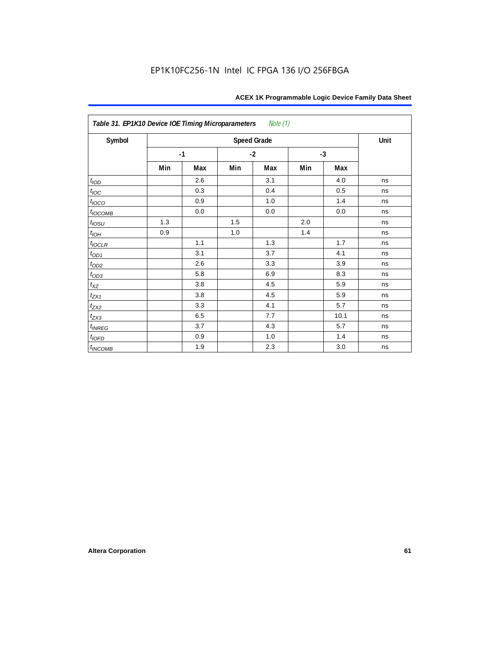| Table 31. EP1K10 Device IOE Timing Microparameters<br>Note $(1)$ |     |      |      |                    |      |      |      |  |  |
|------------------------------------------------------------------|-----|------|------|--------------------|------|------|------|--|--|
| Symbol                                                           |     |      |      | <b>Speed Grade</b> |      |      | Unit |  |  |
|                                                                  |     | $-1$ | $-2$ |                    | $-3$ |      |      |  |  |
|                                                                  | Min | Max  | Min  | Max                | Min  | Max  |      |  |  |
| t <sub>IOD</sub>                                                 |     | 2.6  |      | 3.1                |      | 4.0  | ns   |  |  |
| $t_{\text{IOC}}$                                                 |     | 0.3  |      | 0.4                |      | 0.5  | ns   |  |  |
| $t_{IOCO}$                                                       |     | 0.9  |      | 1.0                |      | 1.4  | ns   |  |  |
| $t_{IOCOMB}$                                                     |     | 0.0  |      | 0.0                |      | 0.0  | ns   |  |  |
| $t_{IOSU}$                                                       | 1.3 |      | 1.5  |                    | 2.0  |      | ns   |  |  |
| $t_{IOH}$                                                        | 0.9 |      | 1.0  |                    | 1.4  |      | ns   |  |  |
| $t_{IOCLR}$                                                      |     | 1.1  |      | 1.3                |      | 1.7  | ns   |  |  |
| $t_{OD1}$                                                        |     | 3.1  |      | 3.7                |      | 4.1  | ns   |  |  |
| $t_{OD2}$                                                        |     | 2.6  |      | 3.3                |      | 3.9  | ns   |  |  |
| $t_{OD3}$                                                        |     | 5.8  |      | 6.9                |      | 8.3  | ns   |  |  |
| $t_{XZ}$                                                         |     | 3.8  |      | 4.5                |      | 5.9  | ns   |  |  |
| $t_{ZX1}$                                                        |     | 3.8  |      | 4.5                |      | 5.9  | ns   |  |  |
| $t_{ZX2}$                                                        |     | 3.3  |      | 4.1                |      | 5.7  | ns   |  |  |
| $t_{ZX3}$                                                        |     | 6.5  |      | 7.7                |      | 10.1 | ns   |  |  |
| $t_{INREG}$                                                      |     | 3.7  |      | 4.3                |      | 5.7  | ns   |  |  |
| $t_{IOFD}$                                                       |     | 0.9  |      | 1.0                |      | 1.4  | ns   |  |  |
| $t_{INCOMB}$                                                     |     | 1.9  |      | 2.3                |      | 3.0  | ns   |  |  |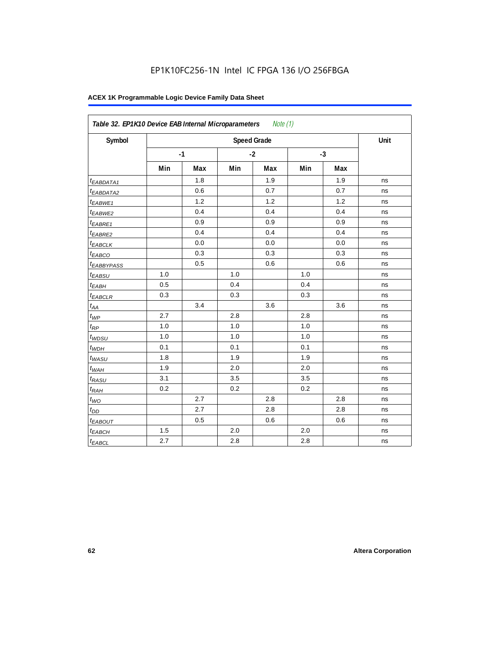| Symbol                 |       |      | <b>Speed Grade</b> |      |     |      | Unit |
|------------------------|-------|------|--------------------|------|-----|------|------|
|                        |       | $-1$ |                    | $-2$ |     | $-3$ |      |
|                        | Min   | Max  | Min                | Max  | Min | Max  |      |
| <sup>t</sup> EABDATA1  |       | 1.8  |                    | 1.9  |     | 1.9  | ns   |
| <sup>t</sup> EABDATA2  |       | 0.6  |                    | 0.7  |     | 0.7  | ns   |
| $t_{EABWE1}$           |       | 1.2  |                    | 1.2  |     | 1.2  | ns   |
| t <sub>EABWE2</sub>    |       | 0.4  |                    | 0.4  |     | 0.4  | ns   |
| <sup>t</sup> EABRE1    |       | 0.9  |                    | 0.9  |     | 0.9  | ns   |
| $t_{EABRE2}$           |       | 0.4  |                    | 0.4  |     | 0.4  | ns   |
| <sup>t</sup> EABCLK    |       | 0.0  |                    | 0.0  |     | 0.0  | ns   |
| t <sub>EABCO</sub>     |       | 0.3  |                    | 0.3  |     | 0.3  | ns   |
| <sup>t</sup> EABBYPASS |       | 0.5  |                    | 0.6  |     | 0.6  | ns   |
| $t_{EABSU}$            | 1.0   |      | 1.0                |      | 1.0 |      | ns   |
| t <sub>EABH</sub>      | 0.5   |      | 0.4                |      | 0.4 |      | ns   |
| $t_{EABCLR}$           | 0.3   |      | 0.3                |      | 0.3 |      | ns   |
| $t_{AA}$               |       | 3.4  |                    | 3.6  |     | 3.6  | ns   |
| $t_{\mathcal{WP}}$     | 2.7   |      | 2.8                |      | 2.8 |      | ns   |
| $t_{\mathit{RP}}$      | 1.0   |      | 1.0                |      | 1.0 |      | ns   |
| $t_{WDSU}$             | 1.0   |      | 1.0                |      | 1.0 |      | ns   |
| $t_{WDH}$              | 0.1   |      | 0.1                |      | 0.1 |      | ns   |
| $t_{WASU}$             | 1.8   |      | 1.9                |      | 1.9 |      | ns   |
| $t_{W\underline{AH}}$  | 1.9   |      | 2.0                |      | 2.0 |      | ns   |
| $t_{RASU}$             | 3.1   |      | 3.5                |      | 3.5 |      | ns   |
| $t_{RAH}$              | 0.2   |      | 0.2                |      | 0.2 |      | ns   |
| $t_{WO}$               |       | 2.7  |                    | 2.8  |     | 2.8  | ns   |
| $t_{DD}$               |       | 2.7  |                    | 2.8  |     | 2.8  | ns   |
| t <sub>EABOUT</sub>    |       | 0.5  |                    | 0.6  |     | 0.6  | ns   |
| $t_{EABCH}$            | $1.5$ |      | 2.0                |      | 2.0 |      | ns   |
| $t_{EABCL}$            | 2.7   |      | 2.8                |      | 2.8 |      | ns   |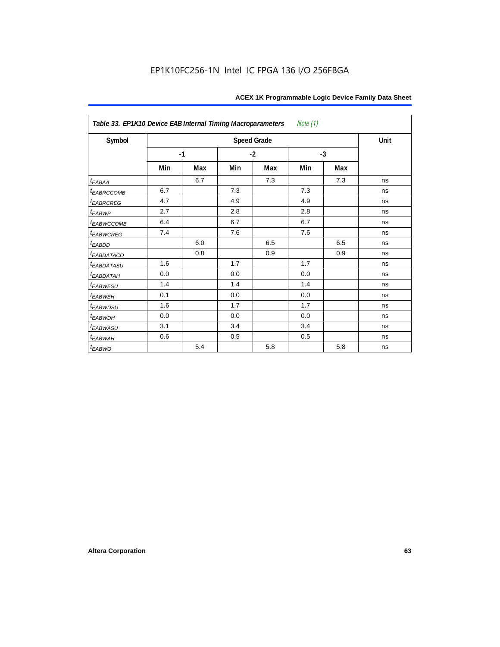| Note $(1)$<br>Table 33. EP1K10 Device EAB Internal Timing Macroparameters |      |     |     |                    |     |      |      |  |  |
|---------------------------------------------------------------------------|------|-----|-----|--------------------|-----|------|------|--|--|
| Symbol                                                                    |      |     |     | <b>Speed Grade</b> |     |      | Unit |  |  |
|                                                                           | $-1$ |     |     | $-2$               |     | $-3$ |      |  |  |
|                                                                           | Min  | Max | Min | Max                | Min | Max  |      |  |  |
| $t_{EABA}$                                                                |      | 6.7 |     | 7.3                |     | 7.3  | ns   |  |  |
| t <sub>EABRCCOMB</sub>                                                    | 6.7  |     | 7.3 |                    | 7.3 |      | ns   |  |  |
| <b><i>EABRCREG</i></b>                                                    | 4.7  |     | 4.9 |                    | 4.9 |      | ns   |  |  |
| $t_{EABWP}$                                                               | 2.7  |     | 2.8 |                    | 2.8 |      | ns   |  |  |
| <sup>t</sup> EABWCCOMB                                                    | 6.4  |     | 6.7 |                    | 6.7 |      | ns   |  |  |
| t <sub>EABWCREG</sub>                                                     | 7.4  |     | 7.6 |                    | 7.6 |      | ns   |  |  |
| t <sub>EABDD</sub>                                                        |      | 6.0 |     | 6.5                |     | 6.5  | ns   |  |  |
| <i>EABDATACO</i>                                                          |      | 0.8 |     | 0.9                |     | 0.9  | ns   |  |  |
| <i>EABDATASU</i>                                                          | 1.6  |     | 1.7 |                    | 1.7 |      | ns   |  |  |
| t <sub>EABDATAH</sub>                                                     | 0.0  |     | 0.0 |                    | 0.0 |      | ns   |  |  |
| t <sub>EABWESU</sub>                                                      | 1.4  |     | 1.4 |                    | 1.4 |      | ns   |  |  |
| t <sub>EABWEH</sub>                                                       | 0.1  |     | 0.0 |                    | 0.0 |      | ns   |  |  |
| <sup>t</sup> EABWDSU                                                      | 1.6  |     | 1.7 |                    | 1.7 |      | ns   |  |  |
| t <sub>EABWDH</sub>                                                       | 0.0  |     | 0.0 |                    | 0.0 |      | ns   |  |  |
| <sup>t</sup> EABWASU                                                      | 3.1  |     | 3.4 |                    | 3.4 |      | ns   |  |  |
| t <sub>ЕАВWАН</sub>                                                       | 0.6  |     | 0.5 |                    | 0.5 |      | ns   |  |  |
| t <sub>EABWO</sub>                                                        |      | 5.4 |     | 5.8                |     | 5.8  | ns   |  |  |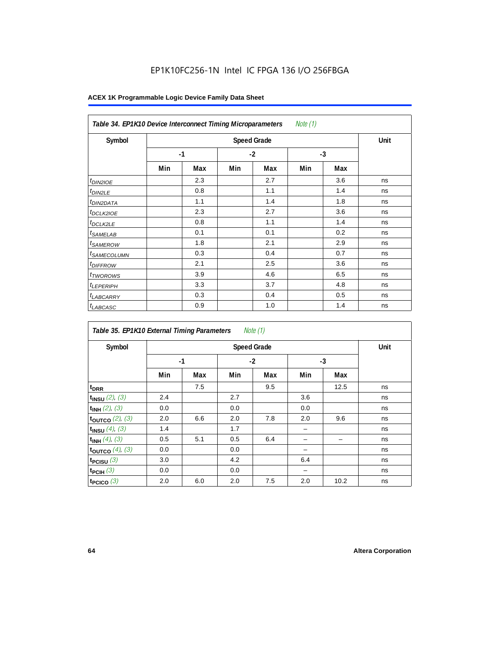| Note (1)<br>Table 34. EP1K10 Device Interconnect Timing Microparameters |     |      |      |     |      |     |    |  |  |  |
|-------------------------------------------------------------------------|-----|------|------|-----|------|-----|----|--|--|--|
| Symbol                                                                  |     | Unit |      |     |      |     |    |  |  |  |
|                                                                         |     | $-1$ | $-2$ |     | $-3$ |     |    |  |  |  |
|                                                                         | Min | Max  | Min  | Max | Min  | Max |    |  |  |  |
| $t_{DINZIOE}$                                                           |     | 2.3  |      | 2.7 |      | 3.6 | ns |  |  |  |
| <sup>t</sup> DIN2LE                                                     |     | 0.8  |      | 1.1 |      | 1.4 | ns |  |  |  |
| <sup>t</sup> DIN2DATA                                                   |     | 1.1  |      | 1.4 |      | 1.8 | ns |  |  |  |
| <sup>t</sup> DCLK2IOE                                                   |     | 2.3  |      | 2.7 |      | 3.6 | ns |  |  |  |
| <sup>t</sup> DCLK2LE                                                    |     | 0.8  |      | 1.1 |      | 1.4 | ns |  |  |  |
| <sup>t</sup> SAMELAB                                                    |     | 0.1  |      | 0.1 |      | 0.2 | ns |  |  |  |
| <sup>t</sup> SAMEROW                                                    |     | 1.8  |      | 2.1 |      | 2.9 | ns |  |  |  |
| <sup>t</sup> SAMECOLUMN                                                 |     | 0.3  |      | 0.4 |      | 0.7 | ns |  |  |  |
| <i>t<sub>DIFFROW</sub></i>                                              |     | 2.1  |      | 2.5 |      | 3.6 | ns |  |  |  |
| <sup>t</sup> TWOROWS                                                    |     | 3.9  |      | 4.6 |      | 6.5 | ns |  |  |  |
| <sup>t</sup> LEPERIPH                                                   |     | 3.3  |      | 3.7 |      | 4.8 | ns |  |  |  |
| <sup>t</sup> LABCARRY                                                   |     | 0.3  |      | 0.4 |      | 0.5 | ns |  |  |  |
| <sup>t</sup> LABCASC                                                    |     | 0.9  |      | 1.0 |      | 1.4 | ns |  |  |  |

| Note $(1)$<br>Table 35. EP1K10 External Timing Parameters |      |                    |     |      |     |      |    |  |  |  |
|-----------------------------------------------------------|------|--------------------|-----|------|-----|------|----|--|--|--|
| Symbol                                                    |      | <b>Speed Grade</b> |     |      |     |      |    |  |  |  |
|                                                           | $-1$ |                    |     | $-2$ |     | $-3$ |    |  |  |  |
|                                                           | Min  | Max                | Min | Max  | Min | Max  |    |  |  |  |
| t <sub>DRR</sub>                                          |      | 7.5                |     | 9.5  |     | 12.5 | ns |  |  |  |
| $t_{INSU}$ (2), (3)                                       | 2.4  |                    | 2.7 |      | 3.6 |      | ns |  |  |  |
| $t_{INH}$ (2), (3)                                        | 0.0  |                    | 0.0 |      | 0.0 |      | ns |  |  |  |
| toutco $(2)$ , $(3)$                                      | 2.0  | 6.6                | 2.0 | 7.8  | 2.0 | 9.6  | ns |  |  |  |
| $t_{INSU}(4)$ , (3)                                       | 1.4  |                    | 1.7 |      |     |      | ns |  |  |  |
| $t_{INH}$ (4), (3)                                        | 0.5  | 5.1                | 0.5 | 6.4  |     |      | ns |  |  |  |
| toutco $(4)$ , $(3)$                                      | 0.0  |                    | 0.0 |      |     |      | ns |  |  |  |
| t <sub>PCISU</sub> $(3)$                                  | 3.0  |                    | 4.2 |      | 6.4 |      | ns |  |  |  |
| $t_{PCH}(3)$                                              | 0.0  |                    | 0.0 |      |     |      | ns |  |  |  |
| t <sub>PCICO</sub> $(3)$                                  | 2.0  | 6.0                | 2.0 | 7.5  | 2.0 | 10.2 | ns |  |  |  |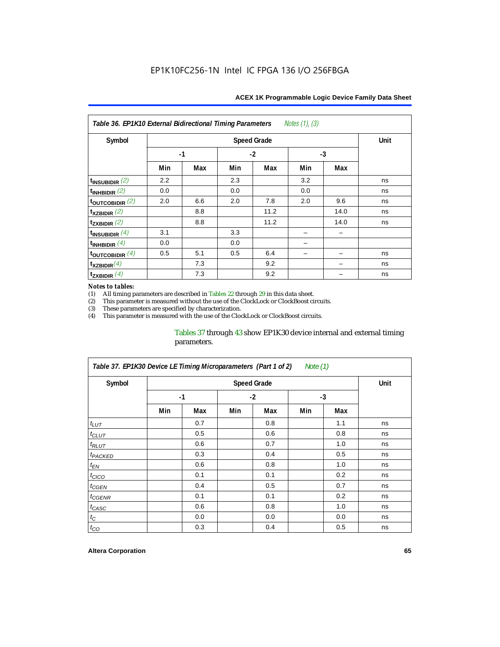| Notes $(1)$ , $(3)$<br>Table 36. EP1K10 External Bidirectional Timing Parameters |      |     |      |                    |      |      |             |  |  |  |
|----------------------------------------------------------------------------------|------|-----|------|--------------------|------|------|-------------|--|--|--|
| Symbol                                                                           |      |     |      | <b>Speed Grade</b> |      |      | <b>Unit</b> |  |  |  |
|                                                                                  | $-1$ |     | $-2$ |                    | $-3$ |      |             |  |  |  |
|                                                                                  | Min  | Max | Min  | Max                | Min  | Max  |             |  |  |  |
| $t_{INSUBIDIR}$ (2)                                                              | 2.2  |     | 2.3  |                    | 3.2  |      | ns          |  |  |  |
| $t_{INHBIDIR}$ (2)                                                               | 0.0  |     | 0.0  |                    | 0.0  |      | ns          |  |  |  |
| $t_{\text{OUTC}OBIDIR}$ (2)                                                      | 2.0  | 6.6 | 2.0  | 7.8                | 2.0  | 9.6  | ns          |  |  |  |
| $t_{XZBIDIR}$ (2)                                                                |      | 8.8 |      | 11.2               |      | 14.0 | ns          |  |  |  |
| $t_{ZXBIDIR}$ (2)                                                                |      | 8.8 |      | 11.2               |      | 14.0 | ns          |  |  |  |
| $t_{INSUBIDIR}(4)$                                                               | 3.1  |     | 3.3  |                    |      |      |             |  |  |  |
| $t_{INHBIDIR}(4)$                                                                | 0.0  |     | 0.0  |                    |      |      |             |  |  |  |
| $t_{\text{OUTCOBIDIR}}$ (4)                                                      | 0.5  | 5.1 | 0.5  | 6.4                |      |      | ns          |  |  |  |
| $t_{XZBIDIR}(4)$                                                                 |      | 7.3 |      | 9.2                |      |      | ns          |  |  |  |
| $t_{ZXBIDIR}$ $(4)$                                                              |      | 7.3 |      | 9.2                |      |      | ns          |  |  |  |

#### *Notes to tables:*

(1) All timing parameters are described in Tables  $22$  through  $29$  in this data sheet.<br>(2) This parameter is measured without the use of the ClockLock or ClockBoost cir This parameter is measured without the use of the ClockLock or ClockBoost circuits.

(3) These parameters are specified by characterization.

This parameter is measured with the use of the ClockLock or ClockBoost circuits.

#### Tables 37 through 43 show EP1K30 device internal and external timing parameters.

| Table 37. EP1K30 Device LE Timing Microparameters (Part 1 of 2)<br>Note $(1)$ |     |      |     |      |     |      |    |  |  |  |
|-------------------------------------------------------------------------------|-----|------|-----|------|-----|------|----|--|--|--|
| Symbol                                                                        |     | Unit |     |      |     |      |    |  |  |  |
|                                                                               |     | $-1$ |     | $-2$ |     | $-3$ |    |  |  |  |
|                                                                               | Min | Max  | Min | Max  | Min | Max  |    |  |  |  |
| $t_{LUT}$                                                                     |     | 0.7  |     | 0.8  |     | 1.1  | ns |  |  |  |
| $t_{CLUT}$                                                                    |     | 0.5  |     | 0.6  |     | 0.8  | ns |  |  |  |
| $t_{RLUT}$                                                                    |     | 0.6  |     | 0.7  |     | 1.0  | ns |  |  |  |
| <sup>t</sup> PACKED                                                           |     | 0.3  |     | 0.4  |     | 0.5  | ns |  |  |  |
| $t_{EN}$                                                                      |     | 0.6  |     | 0.8  |     | 1.0  | ns |  |  |  |
| $t_{CICO}$                                                                    |     | 0.1  |     | 0.1  |     | 0.2  | ns |  |  |  |
| t <sub>CGEN</sub>                                                             |     | 0.4  |     | 0.5  |     | 0.7  | ns |  |  |  |
| t <sub>CGENR</sub>                                                            |     | 0.1  |     | 0.1  |     | 0.2  | ns |  |  |  |
| $t_{CASC}$                                                                    |     | 0.6  |     | 0.8  |     | 1.0  | ns |  |  |  |
| $t_{\rm C}$                                                                   |     | 0.0  |     | 0.0  |     | 0.0  | ns |  |  |  |
| $t_{CO}$                                                                      |     | 0.3  |     | 0.4  |     | 0.5  | ns |  |  |  |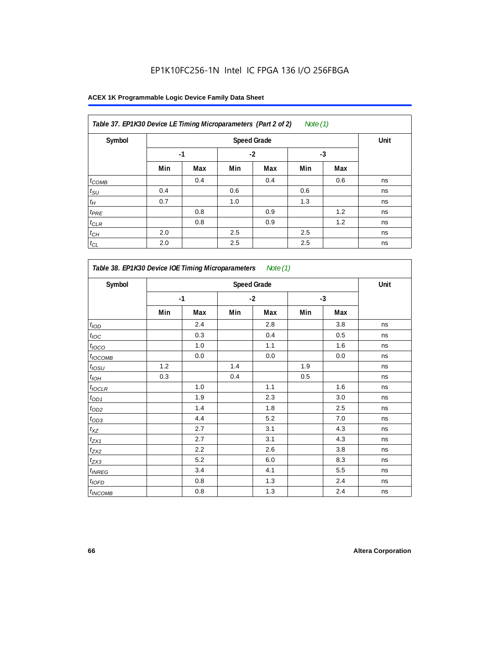| Table 37. EP1K30 Device LE Timing Microparameters (Part 2 of 2)<br>Note $(1)$ |      |      |      |     |     |     |    |  |  |
|-------------------------------------------------------------------------------|------|------|------|-----|-----|-----|----|--|--|
| Symbol                                                                        |      | Unit |      |     |     |     |    |  |  |
|                                                                               | $-1$ |      | $-2$ |     | -3  |     |    |  |  |
|                                                                               | Min  | Max  | Min  | Max | Min | Max |    |  |  |
| $t_{COMB}$                                                                    |      | 0.4  |      | 0.4 |     | 0.6 | ns |  |  |
| $t_{\rm SU}$                                                                  | 0.4  |      | 0.6  |     | 0.6 |     | ns |  |  |
| $t_H$                                                                         | 0.7  |      | 1.0  |     | 1.3 |     | ns |  |  |
| $t_{PRE}$                                                                     |      | 0.8  |      | 0.9 |     | 1.2 | ns |  |  |
| $t_{CLR}$                                                                     |      | 0.8  |      | 0.9 |     | 1.2 | ns |  |  |
| $t_{CH}$                                                                      | 2.0  |      | 2.5  |     | 2.5 |     | ns |  |  |
| $t_{CL}$                                                                      | 2.0  |      | 2.5  |     | 2.5 |     | ns |  |  |

| Symbol                     | <b>Speed Grade</b> |         |     |         |     |      |    |  |
|----------------------------|--------------------|---------|-----|---------|-----|------|----|--|
|                            |                    | $-1$    |     | $-2$    |     | $-3$ |    |  |
|                            | Min                | Max     | Min | Max     | Min | Max  |    |  |
| t <sub>IOD</sub>           |                    | 2.4     |     | 2.8     |     | 3.8  | ns |  |
| $t_{\text{IOC}}$           |                    | 0.3     |     | 0.4     |     | 0.5  | ns |  |
| t <sub>IOCO</sub>          |                    | 1.0     |     | 1.1     |     | 1.6  | ns |  |
| $t_{IOCOMB}$               |                    | 0.0     |     | $0.0\,$ |     | 0.0  | ns |  |
| $t_{IOSU}$                 | 1.2                |         | 1.4 |         | 1.9 |      | ns |  |
| $t_{I\underline{OH}}$      | 0.3                |         | 0.4 |         | 0.5 |      | ns |  |
| $t_{IOCLR}$                |                    | 1.0     |     | 1.1     |     | 1.6  | ns |  |
| $t_{OD1}$                  |                    | 1.9     |     | 2.3     |     | 3.0  | ns |  |
| $t_{OD2}$                  |                    | 1.4     |     | 1.8     |     | 2.5  | ns |  |
| $t_{OD3}$                  |                    | 4.4     |     | 5.2     |     | 7.0  | ns |  |
| $t_{XZ}$                   |                    | 2.7     |     | 3.1     |     | 4.3  | ns |  |
| $t_{ZX1}$                  |                    | 2.7     |     | 3.1     |     | 4.3  | ns |  |
| t <sub>ZX2</sub>           |                    | 2.2     |     | 2.6     |     | 3.8  | ns |  |
| $t_{ZX3}$                  |                    | 5.2     |     | 6.0     |     | 8.3  | ns |  |
| $t_{INREG}$                |                    | 3.4     |     | 4.1     |     | 5.5  | ns |  |
| $t_{IOFD}$                 |                    | 0.8     |     | 1.3     |     | 2.4  | ns |  |
| <i>t</i> <sub>INCOMB</sub> |                    | $0.8\,$ |     | 1.3     |     | 2.4  | ns |  |

r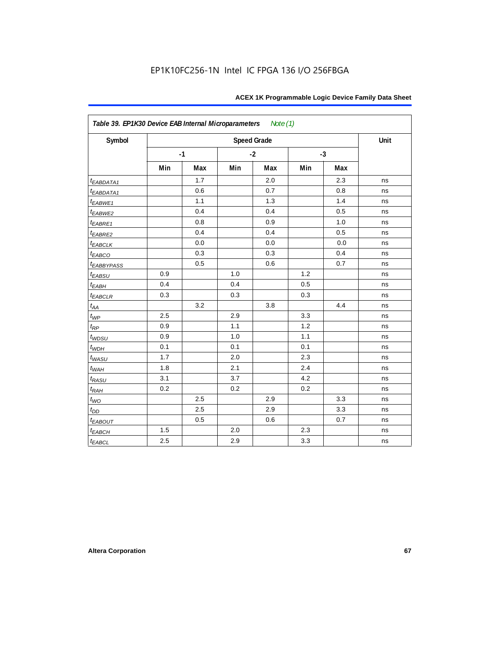| Table 39. EP1K30 Device EAB Internal Microparameters Note (1) |     |      |     |                    |     |      |      |  |  |
|---------------------------------------------------------------|-----|------|-----|--------------------|-----|------|------|--|--|
| Symbol                                                        |     |      |     | <b>Speed Grade</b> |     |      | Unit |  |  |
|                                                               |     | $-1$ |     | $-2$               |     | $-3$ |      |  |  |
|                                                               | Min | Max  | Min | Max                | Min | Max  |      |  |  |
| <i>EABDATA1</i>                                               |     | 1.7  |     | 2.0                |     | 2.3  | ns   |  |  |
| $t_{EABDATA1}$                                                |     | 0.6  |     | 0.7                |     | 0.8  | ns   |  |  |
| $t_{EABWE1}$                                                  |     | 1.1  |     | 1.3                |     | 1.4  | ns   |  |  |
| $t_{EABWE2}$                                                  |     | 0.4  |     | 0.4                |     | 0.5  | ns   |  |  |
| $t_{EABRE1}$                                                  |     | 0.8  |     | 0.9                |     | 1.0  | ns   |  |  |
| $t_{EABRE2}$                                                  |     | 0.4  |     | 0.4                |     | 0.5  | ns   |  |  |
| $t_{EABCLK}$                                                  |     | 0.0  |     | 0.0                |     | 0.0  | ns   |  |  |
| $t_{EABCO}$                                                   |     | 0.3  |     | 0.3                |     | 0.4  | ns   |  |  |
| <i>EABBYPASS</i>                                              |     | 0.5  |     | 0.6                |     | 0.7  | ns   |  |  |
| $t_{EABSU}$                                                   | 0.9 |      | 1.0 |                    | 1.2 |      | ns   |  |  |
| $t_{EABH}$                                                    | 0.4 |      | 0.4 |                    | 0.5 |      | ns   |  |  |
| $t_{EABCLR}$                                                  | 0.3 |      | 0.3 |                    | 0.3 |      | ns   |  |  |
| $t_{AA}$                                                      |     | 3.2  |     | 3.8                |     | 4.4  | ns   |  |  |
| $t_{WP}$                                                      | 2.5 |      | 2.9 |                    | 3.3 |      | ns   |  |  |
| $t_{RP}$                                                      | 0.9 |      | 1.1 |                    | 1.2 |      | ns   |  |  |
| $t_{WDSU}$                                                    | 0.9 |      | 1.0 |                    | 1.1 |      | ns   |  |  |
| $t_{WDH}$                                                     | 0.1 |      | 0.1 |                    | 0.1 |      | ns   |  |  |
| $t_{WASU}$                                                    | 1.7 |      | 2.0 |                    | 2.3 |      | ns   |  |  |
| $t_{WAH}$                                                     | 1.8 |      | 2.1 |                    | 2.4 |      | ns   |  |  |
| $t_{RASU}$                                                    | 3.1 |      | 3.7 |                    | 4.2 |      | ns   |  |  |
| $t_{RAH}$                                                     | 0.2 |      | 0.2 |                    | 0.2 |      | ns   |  |  |
| $t_{WO}$                                                      |     | 2.5  |     | 2.9                |     | 3.3  | ns   |  |  |
| $t_{\mathit{DD}}$                                             |     | 2.5  |     | 2.9                |     | 3.3  | ns   |  |  |
| $t_{EABOUT}$                                                  |     | 0.5  |     | 0.6                |     | 0.7  | ns   |  |  |
| $t_{EABCH}$                                                   | 1.5 |      | 2.0 |                    | 2.3 |      | ns   |  |  |
| $t_{EABCL}$                                                   | 2.5 |      | 2.9 |                    | 3.3 |      | ns   |  |  |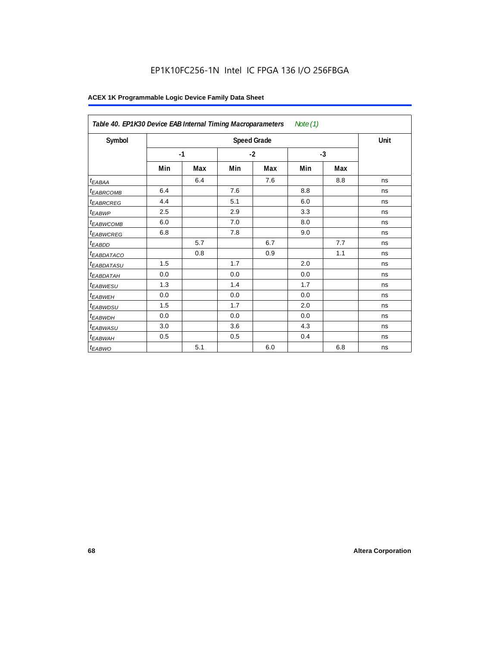|                        | Table 40. EP1K30 Device EAB Internal Timing Macroparameters<br>Note $(1)$ |     |      |                    |      |     |      |  |  |  |
|------------------------|---------------------------------------------------------------------------|-----|------|--------------------|------|-----|------|--|--|--|
| Symbol                 |                                                                           |     |      | <b>Speed Grade</b> |      |     | Unit |  |  |  |
|                        | $-1$                                                                      |     | $-2$ |                    | $-3$ |     |      |  |  |  |
|                        | Min                                                                       | Max | Min  | Max                | Min  | Max |      |  |  |  |
| <sup>t</sup> EABAA     |                                                                           | 6.4 |      | 7.6                |      | 8.8 | ns   |  |  |  |
| <i><b>EABRCOMB</b></i> | 6.4                                                                       |     | 7.6  |                    | 8.8  |     | ns   |  |  |  |
| <sup>t</sup> EABRCREG  | 4.4                                                                       |     | 5.1  |                    | 6.0  |     | ns   |  |  |  |
| t <sub>EABWP</sub>     | 2.5                                                                       |     | 2.9  |                    | 3.3  |     | ns   |  |  |  |
| <sup>t</sup> EABWCOMB  | 6.0                                                                       |     | 7.0  |                    | 8.0  |     | ns   |  |  |  |
| <sup>t</sup> EABWCREG  | 6.8                                                                       |     | 7.8  |                    | 9.0  |     | ns   |  |  |  |
| <sup>t</sup> EABDD     |                                                                           | 5.7 |      | 6.7                |      | 7.7 | ns   |  |  |  |
| <sup>t</sup> EABDATACO |                                                                           | 0.8 |      | 0.9                |      | 1.1 | ns   |  |  |  |
| <sup>t</sup> EABDATASU | 1.5                                                                       |     | 1.7  |                    | 2.0  |     | ns   |  |  |  |
| <sup>t</sup> EABDATAH  | 0.0                                                                       |     | 0.0  |                    | 0.0  |     | ns   |  |  |  |
| <sup>t</sup> EABWESU   | 1.3                                                                       |     | 1.4  |                    | 1.7  |     | ns   |  |  |  |
| <sup>t</sup> EABWEH    | 0.0                                                                       |     | 0.0  |                    | 0.0  |     | ns   |  |  |  |
| <sup>t</sup> EABWDSU   | 1.5                                                                       |     | 1.7  |                    | 2.0  |     | ns   |  |  |  |
| <sup>t</sup> EABWDH    | 0.0                                                                       |     | 0.0  |                    | 0.0  |     | ns   |  |  |  |
| <sup>t</sup> EABWASU   | 3.0                                                                       |     | 3.6  |                    | 4.3  |     | ns   |  |  |  |
| <sup>t</sup> EABWAH    | 0.5                                                                       |     | 0.5  |                    | 0.4  |     | ns   |  |  |  |
| t <sub>EABWO</sub>     |                                                                           | 5.1 |      | 6.0                |      | 6.8 | ns   |  |  |  |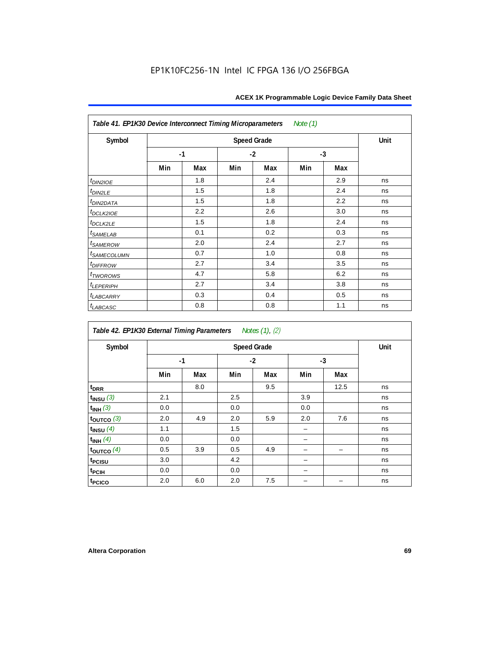| Table 41. EP1K30 Device Interconnect Timing Microparameters<br>Note (1) |      |      |      |     |      |     |    |  |
|-------------------------------------------------------------------------|------|------|------|-----|------|-----|----|--|
| Symbol                                                                  |      | Unit |      |     |      |     |    |  |
|                                                                         | $-1$ |      | $-2$ |     | $-3$ |     |    |  |
|                                                                         | Min  | Max  | Min  | Max | Min  | Max |    |  |
| $t_{DIN2IOE}$                                                           |      | 1.8  |      | 2.4 |      | 2.9 | ns |  |
| $t_{DIN2LE}$                                                            |      | 1.5  |      | 1.8 |      | 2.4 | ns |  |
| <sup>t</sup> DIN2DATA                                                   |      | 1.5  |      | 1.8 |      | 2.2 | ns |  |
| t <sub>DCLK2IOE</sub>                                                   |      | 2.2  |      | 2.6 |      | 3.0 | ns |  |
| $t_{DCLK2LE}$                                                           |      | 1.5  |      | 1.8 |      | 2.4 | ns |  |
| $t_{SAMELAB}$                                                           |      | 0.1  |      | 0.2 |      | 0.3 | ns |  |
| <i>t</i> <sub>SAMEROW</sub>                                             |      | 2.0  |      | 2.4 |      | 2.7 | ns |  |
| <i>t<sub>SAMECOLUMN</sub></i>                                           |      | 0.7  |      | 1.0 |      | 0.8 | ns |  |
| $t$ DIFFROW                                                             |      | 2.7  |      | 3.4 |      | 3.5 | ns |  |
| t <sub>TWOROWS</sub>                                                    |      | 4.7  |      | 5.8 |      | 6.2 | ns |  |
| $t_{LEPERIPH}$                                                          |      | 2.7  |      | 3.4 |      | 3.8 | ns |  |
| <b><i>t<sub>LABCARRY</sub></i></b>                                      |      | 0.3  |      | 0.4 |      | 0.5 | ns |  |
| $t_{LABCASC}$                                                           |      | 0.8  |      | 0.8 |      | 1.1 | ns |  |

| Notes (1), (2)<br>Table 42. EP1K30 External Timing Parameters |     |      |      |     |      |      |    |  |
|---------------------------------------------------------------|-----|------|------|-----|------|------|----|--|
| Symbol                                                        |     | Unit |      |     |      |      |    |  |
|                                                               |     | $-1$ | $-2$ |     | $-3$ |      |    |  |
|                                                               | Min | Max  | Min  | Max | Min  | Max  |    |  |
| t <sub>DRR</sub>                                              |     | 8.0  |      | 9.5 |      | 12.5 | ns |  |
| $t_{INSU}$ (3)                                                | 2.1 |      | 2.5  |     | 3.9  |      | ns |  |
| $t_{INH}$ (3)                                                 | 0.0 |      | 0.0  |     | 0.0  |      | ns |  |
| $t_{OUTCO}$ (3)                                               | 2.0 | 4.9  | 2.0  | 5.9 | 2.0  | 7.6  | ns |  |
| $t_{INSU}$ $(4)$                                              | 1.1 |      | 1.5  |     |      |      | ns |  |
| $t_{INH}$ (4)                                                 | 0.0 |      | 0.0  |     |      |      | ns |  |
| $t_{\text{OUTCO}}(4)$                                         | 0.5 | 3.9  | 0.5  | 4.9 |      |      | ns |  |
| t <sub>PCISU</sub>                                            | 3.0 |      | 4.2  |     |      |      | ns |  |
| <sup>t</sup> PCIH                                             | 0.0 |      | 0.0  |     |      |      | ns |  |
| t <sub>PCICO</sub>                                            | 2.0 | 6.0  | 2.0  | 7.5 |      |      | ns |  |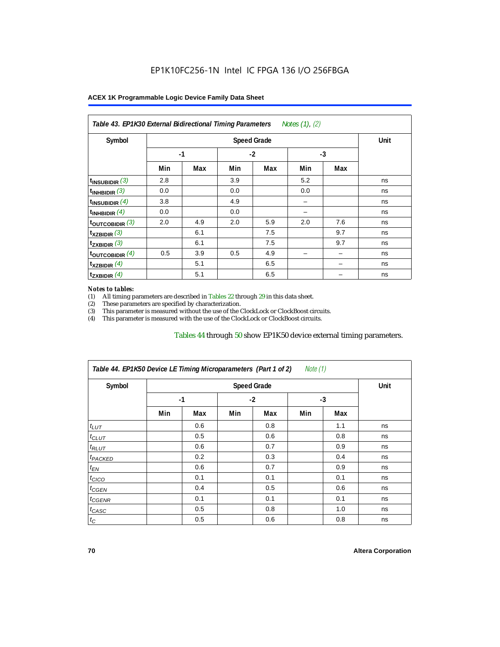| Symbol                      |      | Unit |      |     |      |     |    |
|-----------------------------|------|------|------|-----|------|-----|----|
|                             | $-1$ |      | $-2$ |     | $-3$ |     |    |
|                             | Min  | Max  | Min  | Max | Min  | Max |    |
| $t_{\text{INSUBIDIR}}(3)$   | 2.8  |      | 3.9  |     | 5.2  |     | ns |
| $t_{INHBIDIR}$ (3)          | 0.0  |      | 0.0  |     | 0.0  |     | ns |
| $t_{INSUBIDIR}$ (4)         | 3.8  |      | 4.9  |     |      |     | ns |
| $t_{INHBIDIR}(4)$           | 0.0  |      | 0.0  |     |      |     | ns |
| $t_{\text{OUTCOBIDIR}}$ (3) | 2.0  | 4.9  | 2.0  | 5.9 | 2.0  | 7.6 | ns |
| $t_{XZBIDIR}$ (3)           |      | 6.1  |      | 7.5 |      | 9.7 | ns |
| $t_{ZXBIDIR}$ (3)           |      | 6.1  |      | 7.5 |      | 9.7 | ns |
| toutcobidir $(4)$           | 0.5  | 3.9  | 0.5  | 4.9 |      |     | ns |
| $t_{XZBIDIR}$ (4)           |      | 5.1  |      | 6.5 |      |     | ns |
| $t_{ZXBIDIR}$ (4)           |      | 5.1  |      | 6.5 |      |     | ns |

#### *Notes to tables:*

(1) All timing parameters are described in Tables 22 through  $29$  in this data sheet.<br>(2) These parameters are specified by characterization.

(2) These parameters are specified by characterization.<br>
(3) This parameter is measured without the use of the C This parameter is measured without the use of the ClockLock or ClockBoost circuits.

(4) This parameter is measured with the use of the ClockLock or ClockBoost circuits.

#### Tables 44 through 50 show EP1K50 device external timing parameters.

| Symbol               |      | <b>Speed Grade</b> |      |     |     |     |    |  |  |
|----------------------|------|--------------------|------|-----|-----|-----|----|--|--|
|                      | $-1$ |                    | $-2$ |     | -3  |     |    |  |  |
|                      | Min  | Max                | Min  | Max | Min | Max |    |  |  |
| $t_{LUT}$            |      | 0.6                |      | 0.8 |     | 1.1 | ns |  |  |
| $t_{CLUT}$           |      | 0.5                |      | 0.6 |     | 0.8 | ns |  |  |
| $t_{RLUT}$           |      | 0.6                |      | 0.7 |     | 0.9 | ns |  |  |
| <sup>t</sup> PACKED  |      | 0.2                |      | 0.3 |     | 0.4 | ns |  |  |
| $t_{EN}$             |      | 0.6                |      | 0.7 |     | 0.9 | ns |  |  |
| $t_{CICO}$           |      | 0.1                |      | 0.1 |     | 0.1 | ns |  |  |
| $t_{\overline{GED}}$ |      | 0.4                |      | 0.5 |     | 0.6 | ns |  |  |
| $t_{GENR}$           |      | 0.1                |      | 0.1 |     | 0.1 | ns |  |  |
| $t_{CASC}$           |      | 0.5                |      | 0.8 |     | 1.0 | ns |  |  |
| $t_C$                |      | 0.5                |      | 0.6 |     | 0.8 | ns |  |  |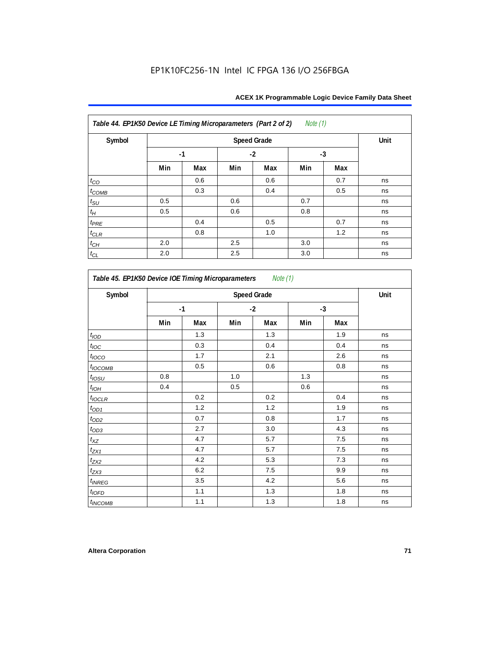| Table 44. EP1K50 Device LE Timing Microparameters (Part 2 of 2)<br>Note $(1)$ |      |      |      |     |      |     |    |  |
|-------------------------------------------------------------------------------|------|------|------|-----|------|-----|----|--|
| Symbol                                                                        |      | Unit |      |     |      |     |    |  |
|                                                                               | $-1$ |      | $-2$ |     | $-3$ |     |    |  |
|                                                                               | Min  | Max  | Min  | Max | Min  | Max |    |  |
| $t_{CO}$                                                                      |      | 0.6  |      | 0.6 |      | 0.7 | ns |  |
| $t_{COMB}$                                                                    |      | 0.3  |      | 0.4 |      | 0.5 | ns |  |
| $t_{\rm SU}$                                                                  | 0.5  |      | 0.6  |     | 0.7  |     | ns |  |
| $t_H\,$                                                                       | 0.5  |      | 0.6  |     | 0.8  |     | ns |  |
| $t_{PRE}$                                                                     |      | 0.4  |      | 0.5 |      | 0.7 | ns |  |
| $t_{CLR}$                                                                     |      | 0.8  |      | 1.0 |      | 1.2 | ns |  |
| $t_{\mathbb{C} H}$                                                            | 2.0  |      | 2.5  |     | 3.0  |     | ns |  |
| $t_{CL}$                                                                      | 2.0  |      | 2.5  |     | 3.0  |     | ns |  |

*Table 45. EP1K50 Device IOE Timing Microparameters Note (1)* Symbol **Constanting Speed Grade** Constanting Speed Grade Constanting Speed Grade Constanting Speed Constanting O **-1 -2 -3 Min Max Min Max Min Max**  $t_{\mathsf{IOD}}$  | | 1.3 | | 1.3 | | 1.9 | ns  $t_{\mathit{loc}}$  | | 0.3 | | 0.4 | | 0.4 | ns *t<sub>l</sub>oco* | | 1.7 | | 2.1 | | 2.6 | ns  $t_{\textit{OCOMB}}$  | 0.5 | 0.6 | 0.8 | ns  $t_{\mathit{OSU}}$  | 0.8 | | 1.0 | | 1.3 | | | ns tIOH 0.4 0.5 0.6 ns  $t_{\sf{IOCLR}}$  | | 0.2 | | 0.2 | | 0.4 | ns  $t_{OD1}$  | 1.2 | 1.2 | 1.2 | 1.9 | ns tOD2 0.7 0.8 1.7 ns  $t_{OD3}$  | 2.7 | 3.0 | 4.3 | ns  $t_{XZ}$  | 4.7 | 5.7 | 7.5 | ns  $t_{\text{ZX1}}$  | 4.7 | 5.7 | 7.5 | ns  $t_{\rm{ZX2}}$  1 4.2  $\pm$  5.3  $\pm$  7.3  $\pm$  ns  $t_{\rm{ZX3}}$  1  $\pm$  6.2  $\pm$  7.5  $\pm$  9.9 ns  $t_{INREG}$   $\begin{array}{|c|c|c|c|c|c|} \hline \end{array}$   $\begin{array}{|c|c|c|c|c|c|} \hline \end{array}$  4.2 | 5.6 | ns  $t_{\sf 10FD}$  | 1.1 | 1.3 | 1.8 | ns  $t_{INCOMB}$  | 1.1 | 1.3 | 1.8 | ns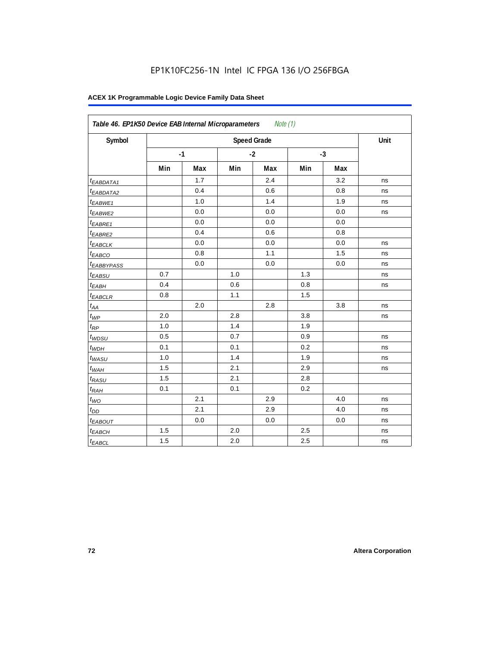| Symbol                 |     | <b>Speed Grade</b> |     |      |     |      |    |  |  |  |
|------------------------|-----|--------------------|-----|------|-----|------|----|--|--|--|
|                        |     | $-1$               |     | $-2$ |     | $-3$ |    |  |  |  |
|                        | Min | Max                | Min | Max  | Min | Max  |    |  |  |  |
| t <sub>EABDATA1</sub>  |     | 1.7                |     | 2.4  |     | 3.2  | ns |  |  |  |
| <sup>t</sup> EABDATA2  |     | 0.4                |     | 0.6  |     | 0.8  | ns |  |  |  |
| t <sub>EABWE1</sub>    |     | 1.0                |     | 1.4  |     | 1.9  | ns |  |  |  |
| <sup>t</sup> EABWE2    |     | 0.0                |     | 0.0  |     | 0.0  | ns |  |  |  |
| <sup>t</sup> EABRE1    |     | 0.0                |     | 0.0  |     | 0.0  |    |  |  |  |
| $t_{EABRE2}$           |     | 0.4                |     | 0.6  |     | 0.8  |    |  |  |  |
| <sup>t</sup> EABCLK    |     | 0.0                |     | 0.0  |     | 0.0  | ns |  |  |  |
| t <sub>EABCO</sub>     |     | 0.8                |     | 1.1  |     | 1.5  | ns |  |  |  |
| <sup>t</sup> EABBYPASS |     | 0.0                |     | 0.0  |     | 0.0  | ns |  |  |  |
| $t_{EABSU}$            | 0.7 |                    | 1.0 |      | 1.3 |      | ns |  |  |  |
| t <sub>ЕАВН</sub>      | 0.4 |                    | 0.6 |      | 0.8 |      | ns |  |  |  |
| $t_{EABCLR}$           | 0.8 |                    | 1.1 |      | 1.5 |      |    |  |  |  |
| $t_{AA}$               |     | 2.0                |     | 2.8  |     | 3.8  | ns |  |  |  |
| $t_{\mathcal{WP}}$     | 2.0 |                    | 2.8 |      | 3.8 |      | ns |  |  |  |
| $t_{RP}$               | 1.0 |                    | 1.4 |      | 1.9 |      |    |  |  |  |
| $t_{WDSU}$             | 0.5 |                    | 0.7 |      | 0.9 |      | ns |  |  |  |
| $t_{WDH}$              | 0.1 |                    | 0.1 |      | 0.2 |      | ns |  |  |  |
| $t_{WASU}$             | 1.0 |                    | 1.4 |      | 1.9 |      | ns |  |  |  |
| $t_{WAH}$              | 1.5 |                    | 2.1 |      | 2.9 |      | ns |  |  |  |
| t <sub>RASU</sub>      | 1.5 |                    | 2.1 |      | 2.8 |      |    |  |  |  |
| $t_{RAH}$              | 0.1 |                    | 0.1 |      | 0.2 |      |    |  |  |  |
| $t_{WO}$               |     | 2.1                |     | 2.9  |     | 4.0  | ns |  |  |  |
| $t_{DD}$               |     | 2.1                |     | 2.9  |     | 4.0  | ns |  |  |  |
| $t_{EABOUT}$           |     | 0.0                |     | 0.0  |     | 0.0  | ns |  |  |  |
| t <sub>EABCH</sub>     | 1.5 |                    | 2.0 |      | 2.5 |      | ns |  |  |  |
| $t_{EABCL}$            | 1.5 |                    | 2.0 |      | 2.5 |      | ns |  |  |  |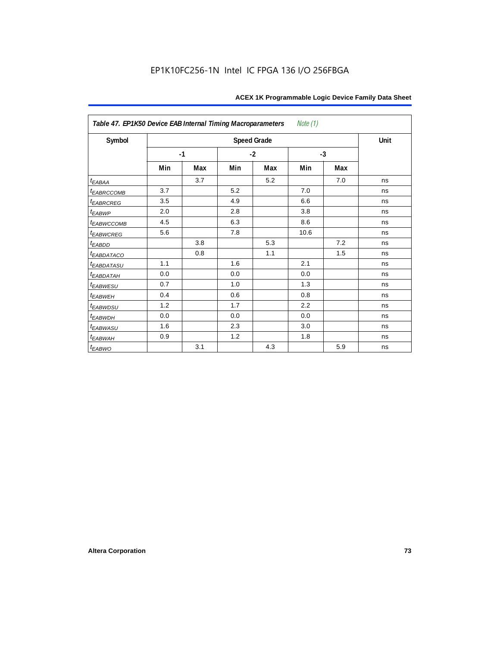| Note $(1)$<br>Table 47. EP1K50 Device EAB Internal Timing Macroparameters |     |      |     |                    |      |      |      |  |  |  |
|---------------------------------------------------------------------------|-----|------|-----|--------------------|------|------|------|--|--|--|
| Symbol                                                                    |     |      |     | <b>Speed Grade</b> |      |      | Unit |  |  |  |
|                                                                           |     | $-1$ |     | $-2$               |      | $-3$ |      |  |  |  |
|                                                                           | Min | Max  | Min | Max                | Min  | Max  |      |  |  |  |
| $t_{EABA}$                                                                |     | 3.7  |     | 5.2                |      | 7.0  | ns   |  |  |  |
| t <sub>EABRCCOMB</sub>                                                    | 3.7 |      | 5.2 |                    | 7.0  |      | ns   |  |  |  |
| <b><i>EABRCREG</i></b>                                                    | 3.5 |      | 4.9 |                    | 6.6  |      | ns   |  |  |  |
| $t_{EABWP}$                                                               | 2.0 |      | 2.8 |                    | 3.8  |      | ns   |  |  |  |
| <sup>t</sup> EABWCCOMB                                                    | 4.5 |      | 6.3 |                    | 8.6  |      | ns   |  |  |  |
| t <sub>EABWCREG</sub>                                                     | 5.6 |      | 7.8 |                    | 10.6 |      | ns   |  |  |  |
| t <sub>EABDD</sub>                                                        |     | 3.8  |     | 5.3                |      | 7.2  | ns   |  |  |  |
| <i>EABDATACO</i>                                                          |     | 0.8  |     | 1.1                |      | 1.5  | ns   |  |  |  |
| <i>EABDATASU</i>                                                          | 1.1 |      | 1.6 |                    | 2.1  |      | ns   |  |  |  |
| t <sub>EABDATAH</sub>                                                     | 0.0 |      | 0.0 |                    | 0.0  |      | ns   |  |  |  |
| t <sub>EABWESU</sub>                                                      | 0.7 |      | 1.0 |                    | 1.3  |      | ns   |  |  |  |
| t <sub>EABWEH</sub>                                                       | 0.4 |      | 0.6 |                    | 0.8  |      | ns   |  |  |  |
| <sup>t</sup> EABWDSU                                                      | 1.2 |      | 1.7 |                    | 2.2  |      | ns   |  |  |  |
| t <sub>EABWDH</sub>                                                       | 0.0 |      | 0.0 |                    | 0.0  |      | ns   |  |  |  |
| <sup>t</sup> EABWASU                                                      | 1.6 |      | 2.3 |                    | 3.0  |      | ns   |  |  |  |
| t <sub>ЕАВWАН</sub>                                                       | 0.9 |      | 1.2 |                    | 1.8  |      | ns   |  |  |  |
| t <sub>EABWO</sub>                                                        |     | 3.1  |     | 4.3                |      | 5.9  | ns   |  |  |  |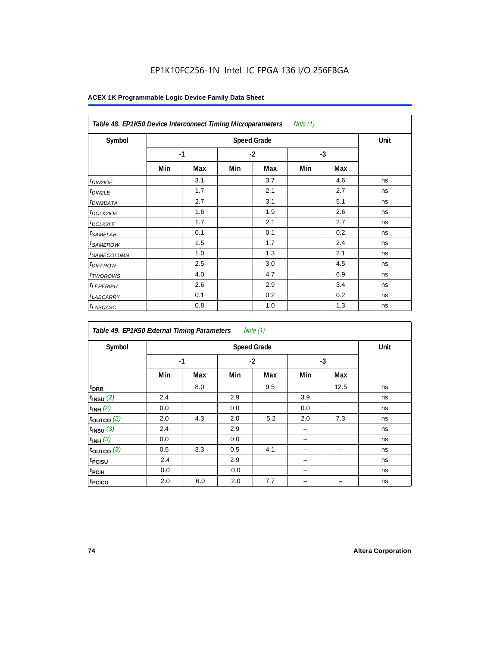| Note $(1)$<br>Table 48. EP1K50 Device Interconnect Timing Microparameters |     |      |     |      |     |      |    |  |  |  |
|---------------------------------------------------------------------------|-----|------|-----|------|-----|------|----|--|--|--|
| Symbol                                                                    |     | Unit |     |      |     |      |    |  |  |  |
|                                                                           |     | $-1$ |     | $-2$ |     | $-3$ |    |  |  |  |
|                                                                           | Min | Max  | Min | Max  | Min | Max  |    |  |  |  |
| t <sub>DIN2IOE</sub>                                                      |     | 3.1  |     | 3.7  |     | 4.6  | ns |  |  |  |
| <sup>t</sup> DIN2LE                                                       |     | 1.7  |     | 2.1  |     | 2.7  | ns |  |  |  |
| <sup>t</sup> DIN2DATA                                                     |     | 2.7  |     | 3.1  |     | 5.1  | ns |  |  |  |
| <sup>t</sup> DCLK2IOE                                                     |     | 1.6  |     | 1.9  |     | 2.6  | ns |  |  |  |
| <sup>t</sup> DCLK2LE                                                      |     | 1.7  |     | 2.1  |     | 2.7  | ns |  |  |  |
| <sup>t</sup> SAMELAB                                                      |     | 0.1  |     | 0.1  |     | 0.2  | ns |  |  |  |
| <sup>t</sup> SAMEROW                                                      |     | 1.5  |     | 1.7  |     | 2.4  | ns |  |  |  |
| <sup>t</sup> SAMECOLUMN                                                   |     | 1.0  |     | 1.3  |     | 2.1  | ns |  |  |  |
| <i><b>IDIFFROW</b></i>                                                    |     | 2.5  |     | 3.0  |     | 4.5  | ns |  |  |  |
| <sup>t</sup> TWOROWS                                                      |     | 4.0  |     | 4.7  |     | 6.9  | ns |  |  |  |
| <sup>t</sup> LEPERIPH                                                     |     | 2.6  |     | 2.9  |     | 3.4  | ns |  |  |  |
| <sup>t</sup> LABCARRY                                                     |     | 0.1  |     | 0.2  |     | 0.2  | ns |  |  |  |
| <sup>t</sup> LABCASC                                                      |     | 0.8  |     | 1.0  |     | 1.3  | ns |  |  |  |

| Note $(1)$<br>Table 49. EP1K50 External Timing Parameters |     |                    |     |      |     |      |    |  |  |  |
|-----------------------------------------------------------|-----|--------------------|-----|------|-----|------|----|--|--|--|
| Symbol                                                    |     | <b>Speed Grade</b> |     |      |     |      |    |  |  |  |
|                                                           |     | $-1$               |     | $-2$ |     | $-3$ |    |  |  |  |
|                                                           | Min | Max                | Min | Max  | Min | Max  |    |  |  |  |
| t <sub>DRR</sub>                                          |     | 8.0                |     | 9.5  |     | 12.5 | ns |  |  |  |
| $t_{INSU}$ (2)                                            | 2.4 |                    | 2.9 |      | 3.9 |      | ns |  |  |  |
| $t_{INH}$ (2)                                             | 0.0 |                    | 0.0 |      | 0.0 |      | ns |  |  |  |
| $t_{OUTCO}$ (2)                                           | 2.0 | 4.3                | 2.0 | 5.2  | 2.0 | 7.3  | ns |  |  |  |
| $t_{INSU}$ (3)                                            | 2.4 |                    | 2.9 |      |     |      | ns |  |  |  |
| $t_{INH}$ (3)                                             | 0.0 |                    | 0.0 |      |     |      | ns |  |  |  |
| $t_{OUTCO}$ (3)                                           | 0.5 | 3.3                | 0.5 | 4.1  |     | -    | ns |  |  |  |
| t <sub>PCISU</sub>                                        | 2.4 |                    | 2.9 |      |     |      | ns |  |  |  |
| t <sub>PCIH</sub>                                         | 0.0 |                    | 0.0 |      |     |      | ns |  |  |  |
| t <sub>PCICO</sub>                                        | 2.0 | 6.0                | 2.0 | 7.7  |     |      | ns |  |  |  |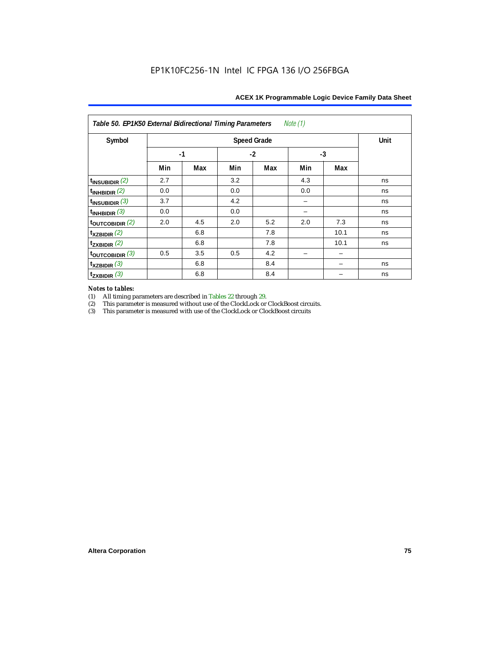|  | ACEX 1K Programmable Logic Device Family Data Sheet |  |  |  |
|--|-----------------------------------------------------|--|--|--|
|  |                                                     |  |  |  |

| Note (1)<br>Table 50. EP1K50 External Bidirectional Timing Parameters |      |      |     |     |     |      |    |  |  |  |
|-----------------------------------------------------------------------|------|------|-----|-----|-----|------|----|--|--|--|
| Symbol                                                                |      | Unit |     |     |     |      |    |  |  |  |
|                                                                       | $-1$ |      |     |     |     |      |    |  |  |  |
|                                                                       | Min  | Max  | Min | Max | Min | Max  |    |  |  |  |
| $t_{INSUBIDIR}$ (2)                                                   | 2.7  |      | 3.2 |     | 4.3 |      | ns |  |  |  |
| $t_{INHBIDIR}$ (2)                                                    | 0.0  |      | 0.0 |     | 0.0 |      | ns |  |  |  |
| $t_{INSUBIDIR}$ (3)                                                   | 3.7  |      | 4.2 |     |     |      | ns |  |  |  |
| $t_{INHBIDIR}$ (3)                                                    | 0.0  |      | 0.0 |     |     |      | ns |  |  |  |
| toutcobidir $(2)$                                                     | 2.0  | 4.5  | 2.0 | 5.2 | 2.0 | 7.3  | ns |  |  |  |
| $t_{XZBIDIR}$ (2)                                                     |      | 6.8  |     | 7.8 |     | 10.1 | ns |  |  |  |
| $t_{ZXBIDIR}$ (2)                                                     |      | 6.8  |     | 7.8 |     | 10.1 | ns |  |  |  |
| $t_{\text{OUTCOBIDIR}}$ (3)                                           | 0.5  | 3.5  | 0.5 | 4.2 |     |      |    |  |  |  |
| $t_{XZBIDIR}$ (3)                                                     |      | 6.8  |     | 8.4 |     |      | ns |  |  |  |
| $t_{ZXBIDIR}$ (3)                                                     |      | 6.8  |     | 8.4 |     |      | ns |  |  |  |

# *Notes to tables:*

(1) All timing parameters are described in Tables 22 through 29.<br>
(2) This parameter is measured without use of the ClockLock or

This parameter is measured without use of the ClockLock or ClockBoost circuits.

(3) This parameter is measured with use of the ClockLock or ClockBoost circuits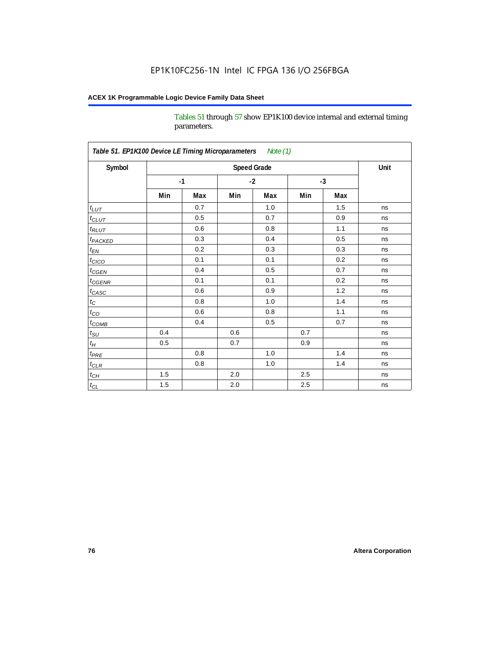Tables 51 through 57 show EP1K100 device internal and external timing parameters.

| Table 51. EP1K100 Device LE Timing Microparameters Note (1) |     |                    |         |      |     |      | Unit |  |  |  |
|-------------------------------------------------------------|-----|--------------------|---------|------|-----|------|------|--|--|--|
| Symbol                                                      |     | <b>Speed Grade</b> |         |      |     |      |      |  |  |  |
|                                                             |     | $-1$               |         | $-2$ |     | $-3$ |      |  |  |  |
|                                                             | Min | Max                | Min     | Max  | Min | Max  |      |  |  |  |
| $t_{LUT}$                                                   |     | 0.7                |         | 1.0  |     | 1.5  | ns   |  |  |  |
| $t_{CLUT}$                                                  |     | 0.5                |         | 0.7  |     | 0.9  | ns   |  |  |  |
| $t_{RLUT}$                                                  |     | 0.6                |         | 0.8  |     | 1.1  | ns   |  |  |  |
| <b>t</b> <sub>PACKED</sub>                                  |     | 0.3                |         | 0.4  |     | 0.5  | ns   |  |  |  |
| $t_{EN}$                                                    |     | 0.2                |         | 0.3  |     | 0.3  | ns   |  |  |  |
| $t_{CICO}$                                                  |     | 0.1                |         | 0.1  |     | 0.2  | ns   |  |  |  |
| $t_{\text{CGEN}}$                                           |     | 0.4                |         | 0.5  |     | 0.7  | ns   |  |  |  |
| $t_{GENR}$                                                  |     | 0.1                |         | 0.1  |     | 0.2  | ns   |  |  |  |
| $t_{CASC}$                                                  |     | 0.6                |         | 0.9  |     | 1.2  | ns   |  |  |  |
| $t_{\rm C}$                                                 |     | 0.8                |         | 1.0  |     | 1.4  | ns   |  |  |  |
| $t_{CO}$                                                    |     | 0.6                |         | 0.8  |     | 1.1  | ns   |  |  |  |
| $t$ <sub>COMB</sub>                                         |     | 0.4                |         | 0.5  |     | 0.7  | ns   |  |  |  |
| $t_{\rm SU}$                                                | 0.4 |                    | 0.6     |      | 0.7 |      | ns   |  |  |  |
| $t_H\,$                                                     | 0.5 |                    | 0.7     |      | 0.9 |      | ns   |  |  |  |
| $t_{PRE}$                                                   |     | 0.8                |         | 1.0  |     | 1.4  | ns   |  |  |  |
| $t_{CLR}$                                                   |     | 0.8                |         | 1.0  |     | 1.4  | ns   |  |  |  |
| $t_{CH}$                                                    | 1.5 |                    | 2.0     |      | 2.5 |      | ns   |  |  |  |
| $t_{CL}$                                                    | 1.5 |                    | $2.0\,$ |      | 2.5 |      | ns   |  |  |  |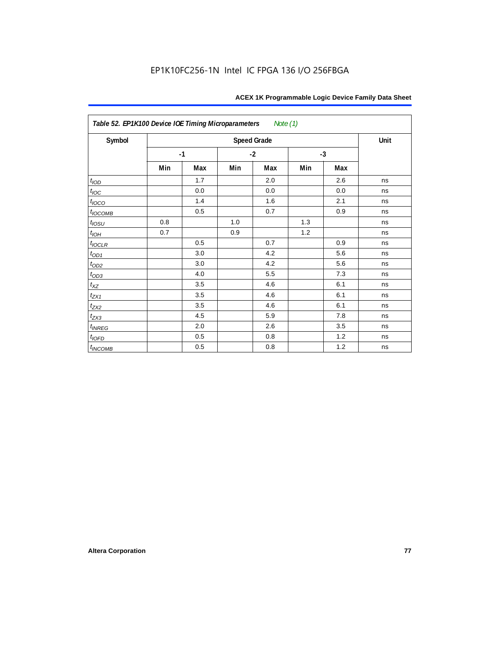| Table 52. EP1K100 Device IOE Timing Microparameters Note (1) |     |      |         |                    |     |      |      |  |  |
|--------------------------------------------------------------|-----|------|---------|--------------------|-----|------|------|--|--|
| Symbol                                                       |     |      |         | <b>Speed Grade</b> |     |      | Unit |  |  |
|                                                              |     | $-1$ |         | $-2$               |     | $-3$ |      |  |  |
|                                                              | Min | Max  | Min     | Max                | Min | Max  |      |  |  |
| t <sub>IOD</sub>                                             |     | 1.7  |         | 2.0                |     | 2.6  | ns   |  |  |
| $t_{\text{IOC}}$                                             |     | 0.0  |         | 0.0                |     | 0.0  | ns   |  |  |
| $t_{IOCO}$                                                   |     | 1.4  |         | 1.6                |     | 2.1  | ns   |  |  |
| $t_{IOCOMB}$                                                 |     | 0.5  |         | 0.7                |     | 0.9  | ns   |  |  |
| $t_{IOSU}$                                                   | 0.8 |      | $1.0\,$ |                    | 1.3 |      | ns   |  |  |
| $t_{IOH}$                                                    | 0.7 |      | 0.9     |                    | 1.2 |      | ns   |  |  |
| $t_{IOCLR}$                                                  |     | 0.5  |         | 0.7                |     | 0.9  | ns   |  |  |
| $t_{OD1}$                                                    |     | 3.0  |         | 4.2                |     | 5.6  | ns   |  |  |
| $t_{OD2}$                                                    |     | 3.0  |         | 4.2                |     | 5.6  | ns   |  |  |
|                                                              |     | 4.0  |         | 5.5                |     | 7.3  | ns   |  |  |
| $\frac{t_{OD3}}{t_{XZ}}$                                     |     | 3.5  |         | 4.6                |     | 6.1  | ns   |  |  |
| $t_{ZX1}$                                                    |     | 3.5  |         | 4.6                |     | 6.1  | ns   |  |  |
| $t_{ZX2}$                                                    |     | 3.5  |         | 4.6                |     | 6.1  | ns   |  |  |
| $t_{ZX3}$                                                    |     | 4.5  |         | 5.9                |     | 7.8  | ns   |  |  |
| $t_{INREG}$                                                  |     | 2.0  |         | 2.6                |     | 3.5  | ns   |  |  |
| $t_{IOFD}$                                                   |     | 0.5  |         | 0.8                |     | 1.2  | ns   |  |  |
| $t_{INCOMB}$                                                 |     | 0.5  |         | 0.8                |     | 1.2  | ns   |  |  |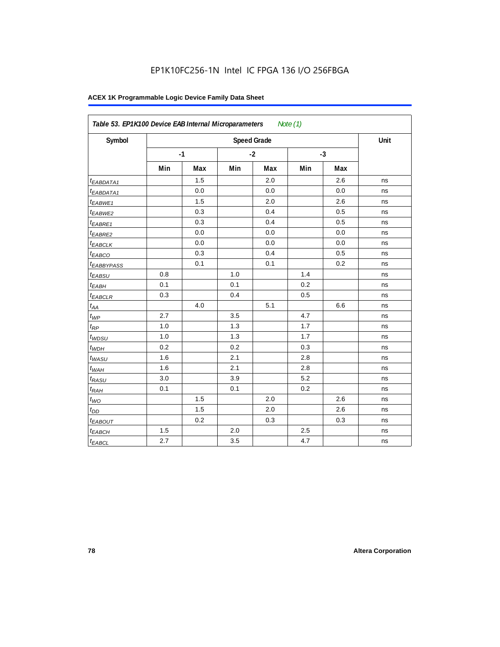| Symbol                  |     | Unit |     |      |      |     |    |
|-------------------------|-----|------|-----|------|------|-----|----|
|                         |     | $-1$ |     | $-2$ | $-3$ |     |    |
|                         | Min | Max  | Min | Max  | Min  | Max |    |
| <sup>t</sup> EABDATA1   |     | 1.5  |     | 2.0  |      | 2.6 | ns |
| <sup>t</sup> EABDATA1   |     | 0.0  |     | 0.0  |      | 0.0 | ns |
| t <sub>EABWE1</sub>     |     | 1.5  |     | 2.0  |      | 2.6 | ns |
| <sup>t</sup> EABWE2     |     | 0.3  |     | 0.4  |      | 0.5 | ns |
| <sup>t</sup> EABRE1     |     | 0.3  |     | 0.4  |      | 0.5 | ns |
| <sup>t</sup> EABRE2     |     | 0.0  |     | 0.0  |      | 0.0 | ns |
| <sup>t</sup> EABCLK     |     | 0.0  |     | 0.0  |      | 0.0 | ns |
| t <sub>EABCO</sub>      |     | 0.3  |     | 0.4  |      | 0.5 | ns |
| <i><b>EABBYPASS</b></i> |     | 0.1  |     | 0.1  |      | 0.2 | ns |
| t <sub>EABSU</sub>      | 0.8 |      | 1.0 |      | 1.4  |     | ns |
| t <sub>EABH</sub>       | 0.1 |      | 0.1 |      | 0.2  |     | ns |
| <sup>t</sup> EABCLR     | 0.3 |      | 0.4 |      | 0.5  |     | ns |
| $t_{AA}$                |     | 4.0  |     | 5.1  |      | 6.6 | ns |
| $t_{\mathit{WP}}$       | 2.7 |      | 3.5 |      | 4.7  |     | ns |
| $t_{RP}$                | 1.0 |      | 1.3 |      | 1.7  |     | ns |
| $t_{WDSU}$              | 1.0 |      | 1.3 |      | 1.7  |     | ns |
| $t_{WDH}$               | 0.2 |      | 0.2 |      | 0.3  |     | ns |
| $t_{WASU}$              | 1.6 |      | 2.1 |      | 2.8  |     | ns |
| $t_{WAH}$               | 1.6 |      | 2.1 |      | 2.8  |     | ns |
| t <sub>RASU</sub>       | 3.0 |      | 3.9 |      | 5.2  |     | ns |
| $t_{RAH}$               | 0.1 |      | 0.1 |      | 0.2  |     | ns |
| $t_{WO}$                |     | 1.5  |     | 2.0  |      | 2.6 | ns |
| $t_{DD}$                |     | 1.5  |     | 2.0  |      | 2.6 | ns |
| t <sub>EABOUT</sub>     |     | 0.2  |     | 0.3  |      | 0.3 | ns |
| t <sub>EABCH</sub>      | 1.5 |      | 2.0 |      | 2.5  |     | ns |
| $t_{EABCL}$             | 2.7 |      | 3.5 |      | 4.7  |     | ns |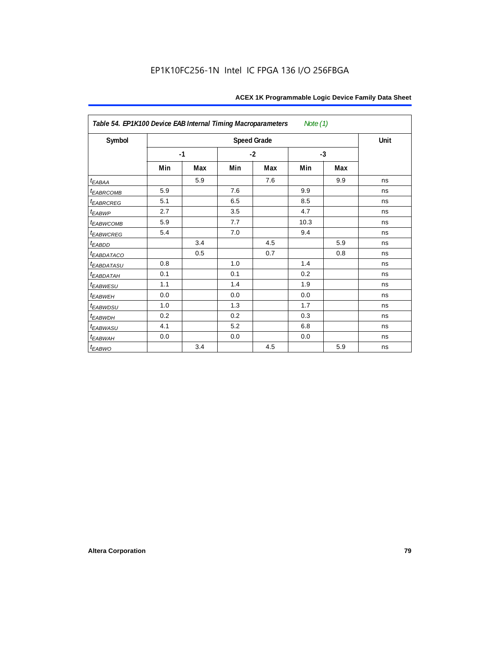| Table 54. EP1K100 Device EAB Internal Timing Macroparameters<br>Note $(1)$ |                      |     |     |                    |      |     |      |  |  |
|----------------------------------------------------------------------------|----------------------|-----|-----|--------------------|------|-----|------|--|--|
| Symbol                                                                     |                      |     |     | <b>Speed Grade</b> |      |     | Unit |  |  |
|                                                                            | $-2$<br>$-1$<br>$-3$ |     |     |                    |      |     |      |  |  |
|                                                                            | Min                  | Max | Min | Max                | Min  | Max |      |  |  |
| $t_{EABA}$                                                                 |                      | 5.9 |     | 7.6                |      | 9.9 | ns   |  |  |
| t <sub>EABRCOMB</sub>                                                      | 5.9                  |     | 7.6 |                    | 9.9  |     | ns   |  |  |
| <sup>t</sup> EABRCREG                                                      | 5.1                  |     | 6.5 |                    | 8.5  |     | ns   |  |  |
| $t_{EABWP}$                                                                | 2.7                  |     | 3.5 |                    | 4.7  |     | ns   |  |  |
| <sup>t</sup> EABWCOMB                                                      | 5.9                  |     | 7.7 |                    | 10.3 |     | ns   |  |  |
| <b><i>EABWCREG</i></b>                                                     | 5.4                  |     | 7.0 |                    | 9.4  |     | ns   |  |  |
| $t_{EABDD}$                                                                |                      | 3.4 |     | 4.5                |      | 5.9 | ns   |  |  |
| <b><i>EABDATACO</i></b>                                                    |                      | 0.5 |     | 0.7                |      | 0.8 | ns   |  |  |
| <b><i>EABDATASU</i></b>                                                    | 0.8                  |     | 1.0 |                    | 1.4  |     | ns   |  |  |
| <sup>t</sup> EABDATAH                                                      | 0.1                  |     | 0.1 |                    | 0.2  |     | ns   |  |  |
| t <sub>EABWESU</sub>                                                       | 1.1                  |     | 1.4 |                    | 1.9  |     | ns   |  |  |
| <sup>t</sup> EABWEH                                                        | 0.0                  |     | 0.0 |                    | 0.0  |     | ns   |  |  |
| <sup>t</sup> EABWDSU                                                       | 1.0                  |     | 1.3 |                    | 1.7  |     | ns   |  |  |
| <sup>t</sup> EABWDH                                                        | 0.2                  |     | 0.2 |                    | 0.3  |     | ns   |  |  |
| <sup>t</sup> EABWASU                                                       | 4.1                  |     | 5.2 |                    | 6.8  |     | ns   |  |  |
| <sup>t</sup> EABWAH                                                        | 0.0                  |     | 0.0 |                    | 0.0  |     | ns   |  |  |
| t <sub>EABWO</sub>                                                         |                      | 3.4 |     | 4.5                |      | 5.9 | ns   |  |  |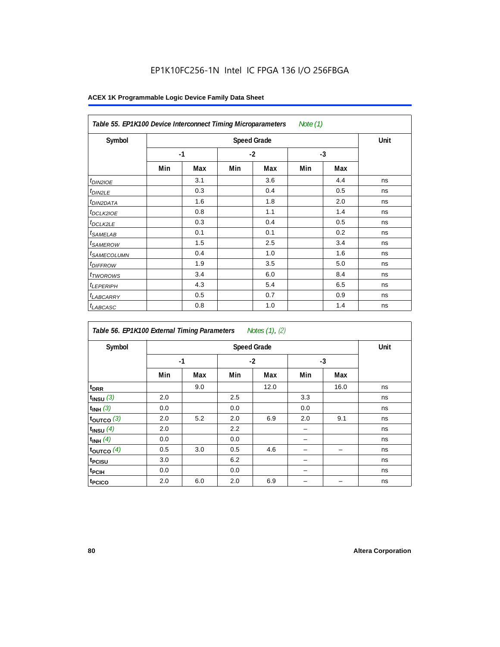| Table 55. EP1K100 Device Interconnect Timing Microparameters<br>Note (1) |     |      |     |      |      |     |    |  |  |  |
|--------------------------------------------------------------------------|-----|------|-----|------|------|-----|----|--|--|--|
| Symbol                                                                   |     | Unit |     |      |      |     |    |  |  |  |
|                                                                          |     | $-1$ |     | $-2$ | $-3$ |     |    |  |  |  |
|                                                                          | Min | Max  | Min | Max  | Min  | Max |    |  |  |  |
| t <sub>DIN2IOE</sub>                                                     |     | 3.1  |     | 3.6  |      | 4.4 | ns |  |  |  |
| <sup>t</sup> DIN2LE                                                      |     | 0.3  |     | 0.4  |      | 0.5 | ns |  |  |  |
| <sup>t</sup> DIN2DATA                                                    |     | 1.6  |     | 1.8  |      | 2.0 | ns |  |  |  |
| <sup>t</sup> DCLK2IOE                                                    |     | 0.8  |     | 1.1  |      | 1.4 | ns |  |  |  |
| <sup>t</sup> DCLK2LE                                                     |     | 0.3  |     | 0.4  |      | 0.5 | ns |  |  |  |
| <sup>t</sup> SAMELAB                                                     |     | 0.1  |     | 0.1  |      | 0.2 | ns |  |  |  |
| <sup>t</sup> SAMEROW                                                     |     | 1.5  |     | 2.5  |      | 3.4 | ns |  |  |  |
| <sup>t</sup> SAMECOLUMN                                                  |     | 0.4  |     | 1.0  |      | 1.6 | ns |  |  |  |
| <i><b>IDIFFROW</b></i>                                                   |     | 1.9  |     | 3.5  |      | 5.0 | ns |  |  |  |
| <sup>t</sup> TWOROWS                                                     |     | 3.4  |     | 6.0  |      | 8.4 | ns |  |  |  |
| <sup>t</sup> LEPERIPH                                                    |     | 4.3  |     | 5.4  |      | 6.5 | ns |  |  |  |
| <sup>t</sup> LABCARRY                                                    |     | 0.5  |     | 0.7  |      | 0.9 | ns |  |  |  |
| <sup>t</sup> LABCASC                                                     |     | 0.8  |     | 1.0  |      | 1.4 | ns |  |  |  |

| Table 56. EP1K100 External Timing Parameters Notes (1), (2) |     |                      |     |      |     |      |    |  |  |  |
|-------------------------------------------------------------|-----|----------------------|-----|------|-----|------|----|--|--|--|
| Symbol                                                      |     | Unit                 |     |      |     |      |    |  |  |  |
|                                                             |     | $-1$<br>$-2$<br>$-3$ |     |      |     |      |    |  |  |  |
|                                                             | Min | Max                  | Min | Max  | Min | Max  |    |  |  |  |
| t <sub>DRR</sub>                                            |     | 9.0                  |     | 12.0 |     | 16.0 | ns |  |  |  |
| $t_{INSU}$ (3)                                              | 2.0 |                      | 2.5 |      | 3.3 |      | ns |  |  |  |
| $t_{INH}$ (3)                                               | 0.0 |                      | 0.0 |      | 0.0 |      | ns |  |  |  |
| $t_{OUTCO}$ (3)                                             | 2.0 | 5.2                  | 2.0 | 6.9  | 2.0 | 9.1  | ns |  |  |  |
| $t_{INSU}$ (4)                                              | 2.0 |                      | 2.2 |      |     |      | ns |  |  |  |
| $t_{INH}$ (4)                                               | 0.0 |                      | 0.0 |      |     |      | ns |  |  |  |
| toutco $(4)$                                                | 0.5 | 3.0                  | 0.5 | 4.6  |     |      | ns |  |  |  |
| t <sub>PCISU</sub>                                          | 3.0 |                      | 6.2 |      |     |      | ns |  |  |  |
| t <sub>PCIH</sub>                                           | 0.0 |                      | 0.0 |      | -   |      | ns |  |  |  |
| t <sub>PCICO</sub>                                          | 2.0 | 6.0                  | 2.0 | 6.9  |     |      | ns |  |  |  |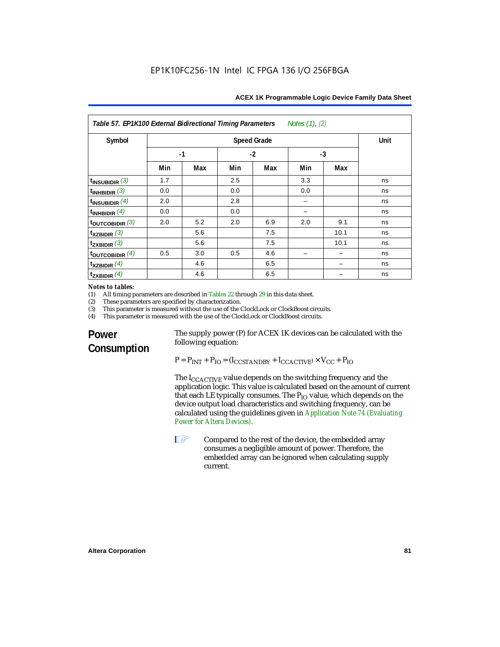| Notes $(1)$ , $(2)$<br>Table 57. EP1K100 External Bidirectional Timing Parameters |                    |     |      |     |      |      |    |
|-----------------------------------------------------------------------------------|--------------------|-----|------|-----|------|------|----|
| Symbol                                                                            | <b>Speed Grade</b> |     |      |     |      | Unit |    |
|                                                                                   | $-1$               |     | $-2$ |     | $-3$ |      |    |
|                                                                                   | Min                | Max | Min  | Max | Min  | Max  |    |
| $t_{INSUBIDIR}$ (3)                                                               | 1.7                |     | 2.5  |     | 3.3  |      | ns |
| $t_{INHBIDIR}$ (3)                                                                | 0.0                |     | 0.0  |     | 0.0  |      | ns |
| $t_{INSUBIDIR}(4)$                                                                | 2.0                |     | 2.8  |     |      |      | ns |
| $t_{INHBIDIR}$ (4)                                                                | 0.0                |     | 0.0  |     |      |      | ns |
| $t_{\text{OUTCOBIDIR}}$ (3)                                                       | 2.0                | 5.2 | 2.0  | 6.9 | 2.0  | 9.1  | ns |
| $t_{XZBIDIR}$ (3)                                                                 |                    | 5.6 |      | 7.5 |      | 10.1 | ns |
| $t_{ZXBIDIR}$ (3)                                                                 |                    | 5.6 |      | 7.5 |      | 10.1 | ns |
| $t_{\text{OUTCOBIDIR}}$ (4)                                                       | 0.5                | 3.0 | 0.5  | 4.6 |      |      | ns |
| $t_{XZBIDIR}$ (4)                                                                 |                    | 4.6 |      | 6.5 |      |      | ns |
| $t_{ZXBIDIR}$ (4)                                                                 |                    | 4.6 |      | 6.5 |      |      | ns |

# *Notes to tables:*<br>(1) All timing p

(1) All timing parameters are described in Tables 22 through  $29$  in this data sheet.<br>(2) These parameters are specified by characterization.

(2) These parameters are specified by characterization.<br>(3) This parameter is measured without the use of the C

(3) This parameter is measured without the use of the ClockLock or ClockBoost circuits.<br>(4) This parameter is measured with the use of the ClockLock or ClockBoost circuits.

This parameter is measured with the use of the ClockLock or ClockBoost circuits.

## **Power Consumption**

The supply power (P) for ACEX 1K devices can be calculated with the following equation:

 $P = P_{INT} + P_{IO} = (I_{CCSTANDBY} + I_{CCACTIVE}) \times V_{CC} + P_{IO}$ 

The I<sub>CCACTIVE</sub> value depends on the switching frequency and the application logic. This value is calculated based on the amount of current that each LE typically consumes. The  $P_{IO}$  value, which depends on the device output load characteristics and switching frequency, can be calculated using the guidelines given in *Application Note 74 (Evaluating Power for Altera Devices)*.

**1 Compared to the rest of the device, the embedded array** consumes a negligible amount of power. Therefore, the embedded array can be ignored when calculating supply current.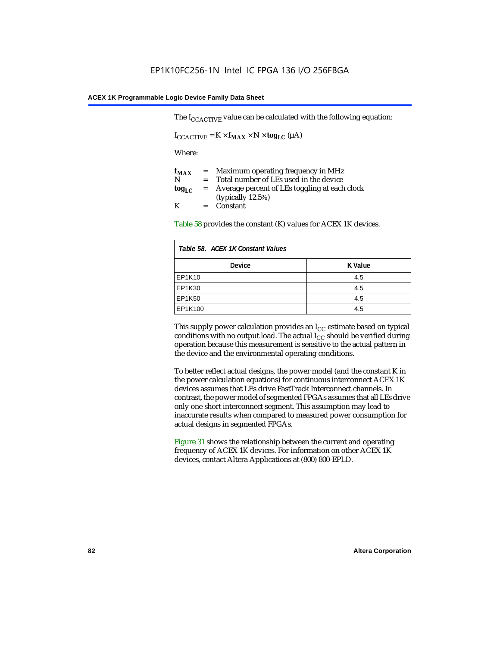The  $I_{CCACTIVE}$  value can be calculated with the following equation:

 $I_{\text{CCACTIVE}} = K \times f_{\text{MAX}} \times N \times \text{tog}_{\text{LC}} (\mu A)$ 

Where:

| $f_{MAX}$  | $=$     | Maximum operating frequency in MHz            |
|------------|---------|-----------------------------------------------|
| N          | $=$ $-$ | Total number of LEs used in the device        |
| $log_{LC}$ | $=$     | Average percent of LEs toggling at each clock |
|            |         | (typically $12.5\%$ )                         |
| K          |         | $=$ Constant                                  |

Table 58 provides the constant (K) values for ACEX 1K devices.

| Table 58. ACEX 1K Constant Values |         |  |
|-----------------------------------|---------|--|
| <b>Device</b>                     | K Value |  |
| EP1K10                            | 4.5     |  |
| EP1K30                            | 4.5     |  |
| <b>EP1K50</b>                     | 4.5     |  |
| EP1K100                           | 4.5     |  |

This supply power calculation provides an  $I_{CC}$  estimate based on typical conditions with no output load. The actual  $I_{CC}$  should be verified during operation because this measurement is sensitive to the actual pattern in the device and the environmental operating conditions.

To better reflect actual designs, the power model (and the constant K in the power calculation equations) for continuous interconnect ACEX 1K devices assumes that LEs drive FastTrack Interconnect channels. In contrast, the power model of segmented FPGAs assumes that all LEs drive only one short interconnect segment. This assumption may lead to inaccurate results when compared to measured power consumption for actual designs in segmented FPGAs.

Figure 31 shows the relationship between the current and operating frequency of ACEX 1K devices. For information on other ACEX 1K devices, contact Altera Applications at (800) 800-EPLD.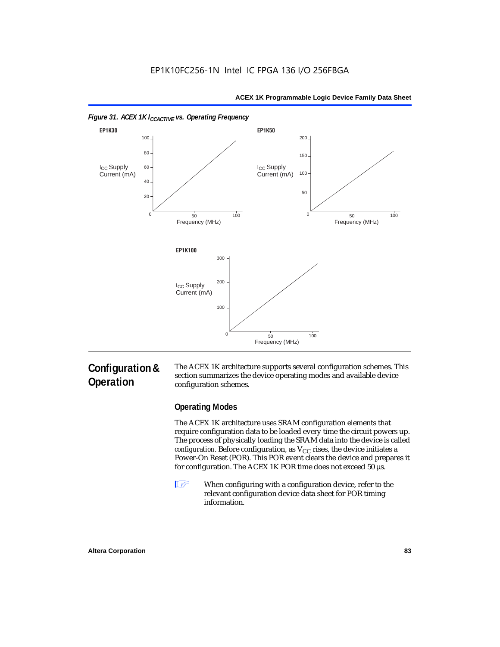



### **Configuration & Operation**

The ACEX 1K architecture supports several configuration schemes. This section summarizes the device operating modes and available device configuration schemes.

### **Operating Modes**

The ACEX 1K architecture uses SRAM configuration elements that require configuration data to be loaded every time the circuit powers up. The process of physically loading the SRAM data into the device is called *configuration*. Before configuration, as  $V_{CC}$  rises, the device initiates a Power-On Reset (POR). This POR event clears the device and prepares it for configuration. The ACEX 1K POR time does not exceed 50 µs.

**1** When configuring with a configuration device, refer to the relevant configuration device data sheet for POR timing information.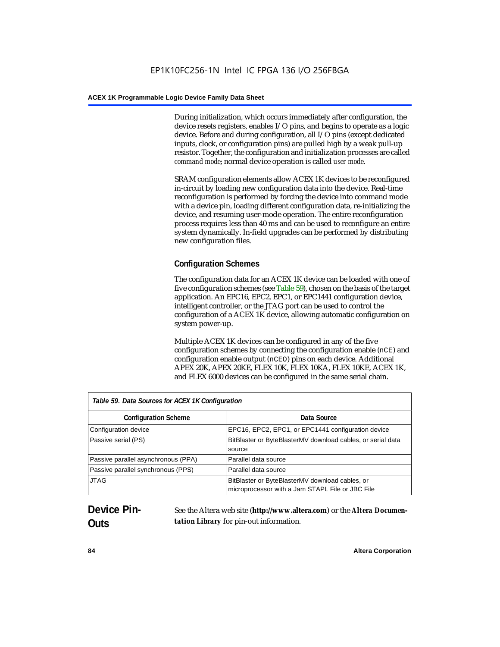During initialization, which occurs immediately after configuration, the device resets registers, enables I/O pins, and begins to operate as a logic device. Before and during configuration, all I/O pins (except dedicated inputs, clock, or configuration pins) are pulled high by a weak pull-up resistor. Together, the configuration and initialization processes are called *command mode*; normal device operation is called *user mode*.

SRAM configuration elements allow ACEX 1K devices to be reconfigured in-circuit by loading new configuration data into the device. Real-time reconfiguration is performed by forcing the device into command mode with a device pin, loading different configuration data, re-initializing the device, and resuming user-mode operation. The entire reconfiguration process requires less than 40 ms and can be used to reconfigure an entire system dynamically. In-field upgrades can be performed by distributing new configuration files.

### **Configuration Schemes**

The configuration data for an ACEX 1K device can be loaded with one of five configuration schemes (see Table 59), chosen on the basis of the target application. An EPC16, EPC2, EPC1, or EPC1441 configuration device, intelligent controller, or the JTAG port can be used to control the configuration of a ACEX 1K device, allowing automatic configuration on system power-up.

Multiple ACEX 1K devices can be configured in any of the five configuration schemes by connecting the configuration enable (nCE) and configuration enable output (nCEO) pins on each device. Additional APEX 20K, APEX 20KE, FLEX 10K, FLEX 10KA, FLEX 10KE, ACEX 1K, and FLEX 6000 devices can be configured in the same serial chain.

| Table 59. Data Sources for ACEX 1K Configuration |                                                                                                     |
|--------------------------------------------------|-----------------------------------------------------------------------------------------------------|
| <b>Configuration Scheme</b>                      | Data Source                                                                                         |
| Configuration device                             | EPC16, EPC2, EPC1, or EPC1441 configuration device                                                  |
| Passive serial (PS)                              | BitBlaster or ByteBlasterMV download cables, or serial data<br>source                               |
| Passive parallel asynchronous (PPA)              | Parallel data source                                                                                |
| Passive parallel synchronous (PPS)               | Parallel data source                                                                                |
| <b>JTAG</b>                                      | BitBlaster or ByteBlasterMV download cables, or<br>microprocessor with a Jam STAPL File or JBC File |

## **Device Pin-Outs**

See the Altera web site (**http://www.altera.com**) or the *Altera Documentation Library* for pin-out information.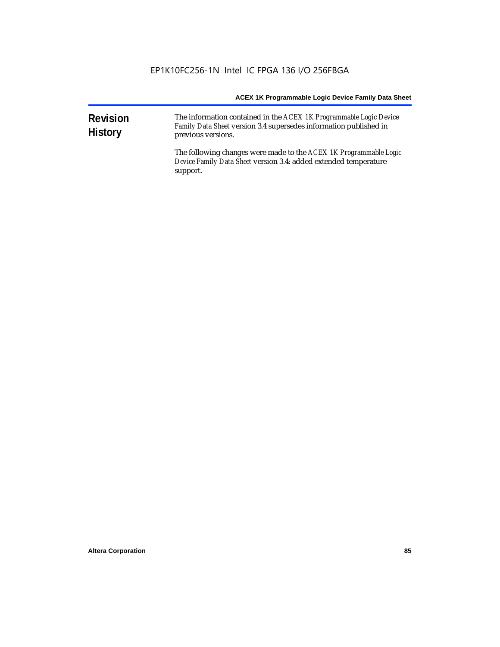| <b>Revision</b><br><b>History</b> | The information contained in the ACEX 1K Programmable Logic Device<br>Family Data Sheet version 3.4 supersedes information published in<br>previous versions. |  |  |
|-----------------------------------|---------------------------------------------------------------------------------------------------------------------------------------------------------------|--|--|
|                                   | The following changes were made to the ACEX 1K Programmable Logic<br>Device Family Data Sheet version 3.4: added extended temperature<br>support.             |  |  |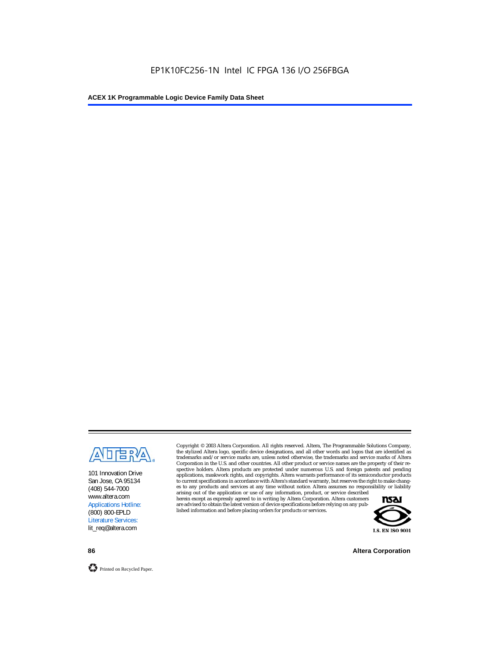

101 Innovation Drive San Jose, CA 95134 (408) 544-7000 www.altera.com Applications Hotline: (800) 800-EPLD Literature Services: lit\_req@altera.com

Copyright © 2003 Altera Corporation. All rights reserved. Altera, The Programmable Solutions Company, the stylized Altera logo, specific device designations, and all other words and logos that are identified as trademarks and/or service marks are, unless noted otherwise, the trademarks and service marks of Altera Corporation in the U.S. and other countries. All other product or service names are the property of their respective holders. Altera products are protected under numerous U.S. and foreign patents and pending applications, maskwork rights, and copyrights. Altera warrants performance of its semiconductor products to current specifications in accordance with Altera's standard warranty, but reserves the right to make changes to any products and services at any time without notice. Altera assumes no responsibility or liability

arising out of the application or use of any information, product, or service described herein except as expressly agreed to in writing by Altera Corporation. Altera customers are advised to obtain the latest version of device specifications before relying on any published information and before placing orders for products or services.



**86 Altera Corporation**